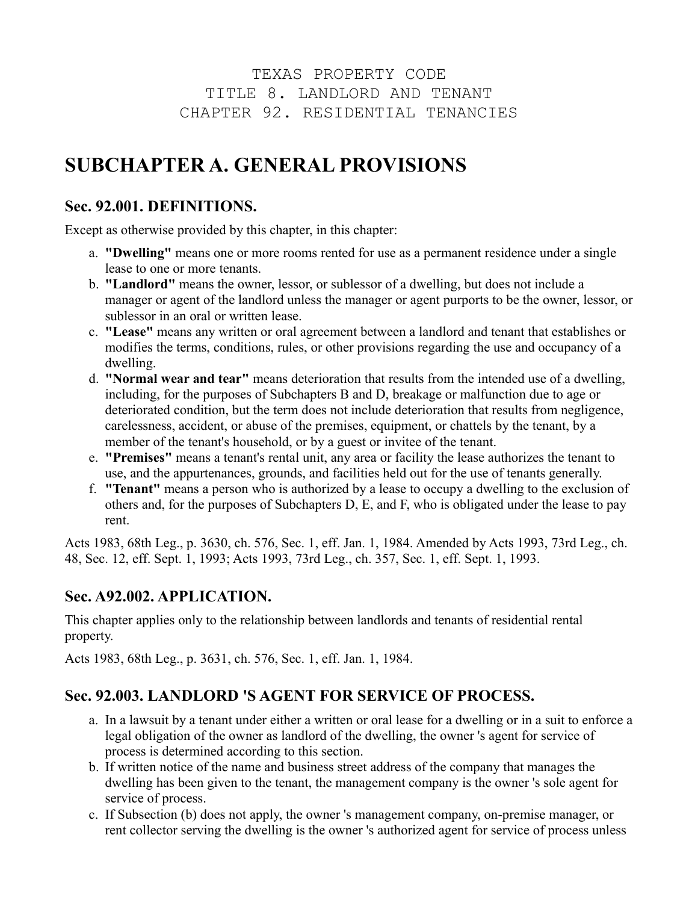## TEXAS PROPERTY CODE TITLE 8. LANDLORD AND TENANT CHAPTER 92. RESIDENTIAL TENANCIES

# **SUBCHAPTER A. GENERAL PROVISIONS**

#### **Sec. 92.001. DEFINITIONS.**

Except as otherwise provided by this chapter, in this chapter:

- a. **"Dwelling"** means one or more rooms rented for use as a permanent residence under a single lease to one or more tenants.
- b. **"Landlord"** means the owner, lessor, or sublessor of a dwelling, but does not include a manager or agent of the landlord unless the manager or agent purports to be the owner, lessor, or sublessor in an oral or written lease.
- c. **"Lease"** means any written or oral agreement between a landlord and tenant that establishes or modifies the terms, conditions, rules, or other provisions regarding the use and occupancy of a dwelling.
- d. **"Normal wear and tear"** means deterioration that results from the intended use of a dwelling, including, for the purposes of Subchapters B and D, breakage or malfunction due to age or deteriorated condition, but the term does not include deterioration that results from negligence, carelessness, accident, or abuse of the premises, equipment, or chattels by the tenant, by a member of the tenant's household, or by a guest or invitee of the tenant.
- e. **"Premises"** means a tenant's rental unit, any area or facility the lease authorizes the tenant to use, and the appurtenances, grounds, and facilities held out for the use of tenants generally.
- f. **"Tenant"** means a person who is authorized by a lease to occupy a dwelling to the exclusion of others and, for the purposes of Subchapters D, E, and F, who is obligated under the lease to pay rent.

Acts 1983, 68th Leg., p. 3630, ch. 576, Sec. 1, eff. Jan. 1, 1984. Amended by Acts 1993, 73rd Leg., ch. 48, Sec. 12, eff. Sept. 1, 1993; Acts 1993, 73rd Leg., ch. 357, Sec. 1, eff. Sept. 1, 1993.

#### **Sec. A92.002. APPLICATION.**

This chapter applies only to the relationship between landlords and tenants of residential rental property.

Acts 1983, 68th Leg., p. 3631, ch. 576, Sec. 1, eff. Jan. 1, 1984.

#### **Sec. 92.003. LANDLORD 'S AGENT FOR SERVICE OF PROCESS.**

- a. In a lawsuit by a tenant under either a written or oral lease for a dwelling or in a suit to enforce a legal obligation of the owner as landlord of the dwelling, the owner 's agent for service of process is determined according to this section.
- b. If written notice of the name and business street address of the company that manages the dwelling has been given to the tenant, the management company is the owner 's sole agent for service of process.
- c. If Subsection (b) does not apply, the owner 's management company, on-premise manager, or rent collector serving the dwelling is the owner 's authorized agent for service of process unless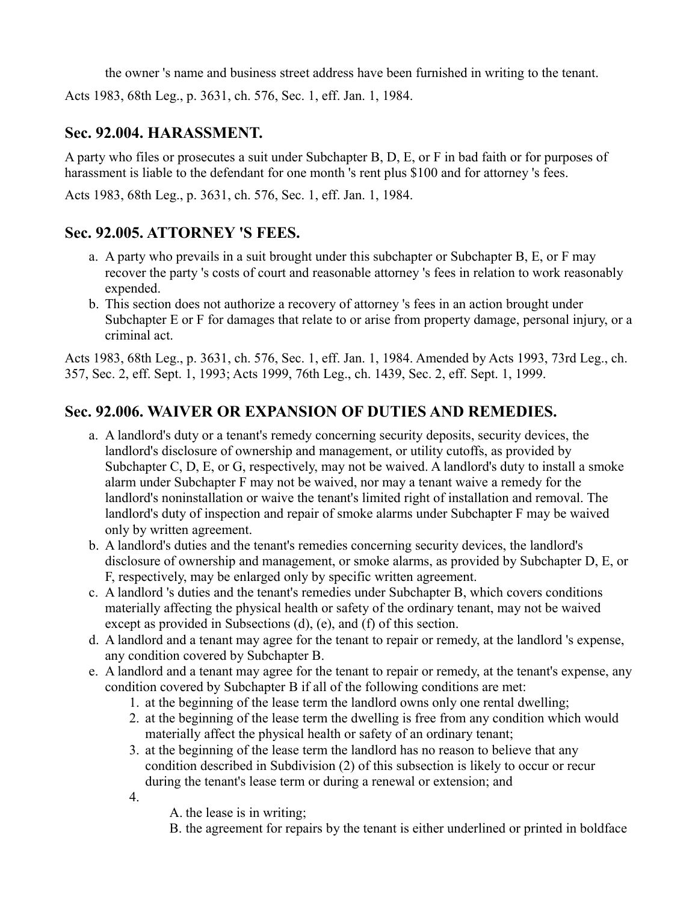the owner 's name and business street address have been furnished in writing to the tenant. Acts 1983, 68th Leg., p. 3631, ch. 576, Sec. 1, eff. Jan. 1, 1984.

## **Sec. 92.004. HARASSMENT.**

A party who files or prosecutes a suit under Subchapter B, D, E, or F in bad faith or for purposes of harassment is liable to the defendant for one month 's rent plus \$100 and for attorney 's fees.

Acts 1983, 68th Leg., p. 3631, ch. 576, Sec. 1, eff. Jan. 1, 1984.

## **Sec. 92.005. ATTORNEY 'S FEES.**

- a. A party who prevails in a suit brought under this subchapter or Subchapter B, E, or F may recover the party 's costs of court and reasonable attorney 's fees in relation to work reasonably expended.
- b. This section does not authorize a recovery of attorney 's fees in an action brought under Subchapter E or F for damages that relate to or arise from property damage, personal injury, or a criminal act.

Acts 1983, 68th Leg., p. 3631, ch. 576, Sec. 1, eff. Jan. 1, 1984. Amended by Acts 1993, 73rd Leg., ch. 357, Sec. 2, eff. Sept. 1, 1993; Acts 1999, 76th Leg., ch. 1439, Sec. 2, eff. Sept. 1, 1999.

# **Sec. 92.006. WAIVER OR EXPANSION OF DUTIES AND REMEDIES.**

- a. A landlord's duty or a tenant's remedy concerning security deposits, security devices, the landlord's disclosure of ownership and management, or utility cutoffs, as provided by Subchapter C, D, E, or G, respectively, may not be waived. A landlord's duty to install a smoke alarm under Subchapter F may not be waived, nor may a tenant waive a remedy for the landlord's noninstallation or waive the tenant's limited right of installation and removal. The landlord's duty of inspection and repair of smoke alarms under Subchapter F may be waived only by written agreement.
- b. A landlord's duties and the tenant's remedies concerning security devices, the landlord's disclosure of ownership and management, or smoke alarms, as provided by Subchapter D, E, or F, respectively, may be enlarged only by specific written agreement.
- c. A landlord 's duties and the tenant's remedies under Subchapter B, which covers conditions materially affecting the physical health or safety of the ordinary tenant, may not be waived except as provided in Subsections (d), (e), and (f) of this section.
- d. A landlord and a tenant may agree for the tenant to repair or remedy, at the landlord 's expense, any condition covered by Subchapter B.
- e. A landlord and a tenant may agree for the tenant to repair or remedy, at the tenant's expense, any condition covered by Subchapter B if all of the following conditions are met:
	- 1. at the beginning of the lease term the landlord owns only one rental dwelling;
	- 2. at the beginning of the lease term the dwelling is free from any condition which would materially affect the physical health or safety of an ordinary tenant;
	- 3. at the beginning of the lease term the landlord has no reason to believe that any condition described in Subdivision (2) of this subsection is likely to occur or recur during the tenant's lease term or during a renewal or extension; and
	- 4.

A. the lease is in writing;

B. the agreement for repairs by the tenant is either underlined or printed in boldface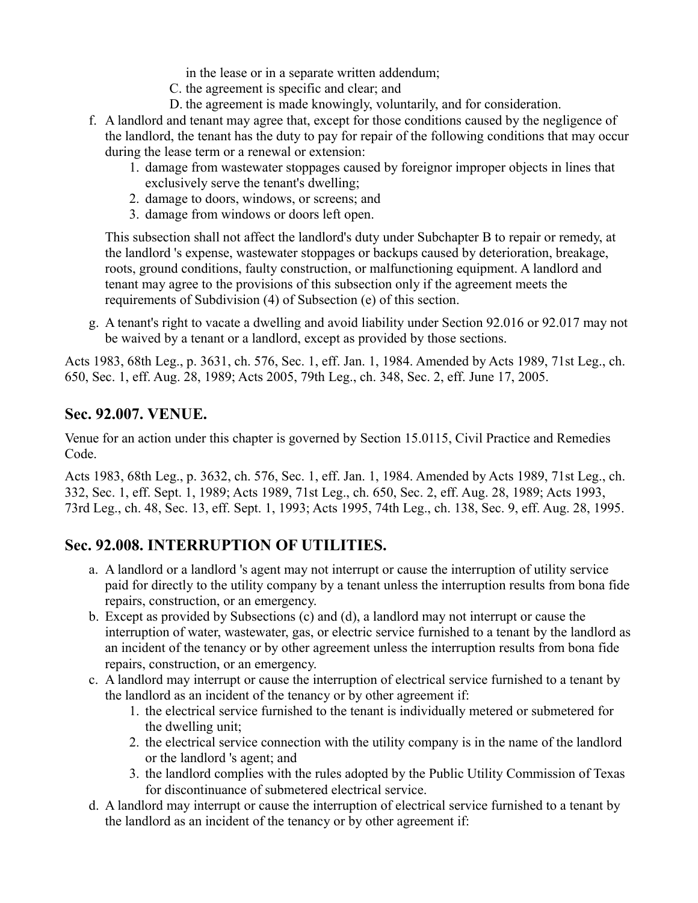in the lease or in a separate written addendum;

- C. the agreement is specific and clear; and
- D. the agreement is made knowingly, voluntarily, and for consideration.
- f. A landlord and tenant may agree that, except for those conditions caused by the negligence of the landlord, the tenant has the duty to pay for repair of the following conditions that may occur during the lease term or a renewal or extension:
	- 1. damage from wastewater stoppages caused by foreignor improper objects in lines that exclusively serve the tenant's dwelling;
	- 2. damage to doors, windows, or screens; and
	- 3. damage from windows or doors left open.

This subsection shall not affect the landlord's duty under Subchapter B to repair or remedy, at the landlord 's expense, wastewater stoppages or backups caused by deterioration, breakage, roots, ground conditions, faulty construction, or malfunctioning equipment. A landlord and tenant may agree to the provisions of this subsection only if the agreement meets the requirements of Subdivision (4) of Subsection (e) of this section.

g. A tenant's right to vacate a dwelling and avoid liability under Section 92.016 or 92.017 may not be waived by a tenant or a landlord, except as provided by those sections.

Acts 1983, 68th Leg., p. 3631, ch. 576, Sec. 1, eff. Jan. 1, 1984. Amended by Acts 1989, 71st Leg., ch. 650, Sec. 1, eff. Aug. 28, 1989; Acts 2005, 79th Leg., ch. 348, Sec. 2, eff. June 17, 2005.

#### **Sec. 92.007. VENUE.**

Venue for an action under this chapter is governed by Section 15.0115, Civil Practice and Remedies Code.

Acts 1983, 68th Leg., p. 3632, ch. 576, Sec. 1, eff. Jan. 1, 1984. Amended by Acts 1989, 71st Leg., ch. 332, Sec. 1, eff. Sept. 1, 1989; Acts 1989, 71st Leg., ch. 650, Sec. 2, eff. Aug. 28, 1989; Acts 1993, 73rd Leg., ch. 48, Sec. 13, eff. Sept. 1, 1993; Acts 1995, 74th Leg., ch. 138, Sec. 9, eff. Aug. 28, 1995.

### **Sec. 92.008. INTERRUPTION OF UTILITIES.**

- a. A landlord or a landlord 's agent may not interrupt or cause the interruption of utility service paid for directly to the utility company by a tenant unless the interruption results from bona fide repairs, construction, or an emergency.
- b. Except as provided by Subsections (c) and (d), a landlord may not interrupt or cause the interruption of water, wastewater, gas, or electric service furnished to a tenant by the landlord as an incident of the tenancy or by other agreement unless the interruption results from bona fide repairs, construction, or an emergency.
- c. A landlord may interrupt or cause the interruption of electrical service furnished to a tenant by the landlord as an incident of the tenancy or by other agreement if:
	- 1. the electrical service furnished to the tenant is individually metered or submetered for the dwelling unit;
	- 2. the electrical service connection with the utility company is in the name of the landlord or the landlord 's agent; and
	- 3. the landlord complies with the rules adopted by the Public Utility Commission of Texas for discontinuance of submetered electrical service.
- d. A landlord may interrupt or cause the interruption of electrical service furnished to a tenant by the landlord as an incident of the tenancy or by other agreement if: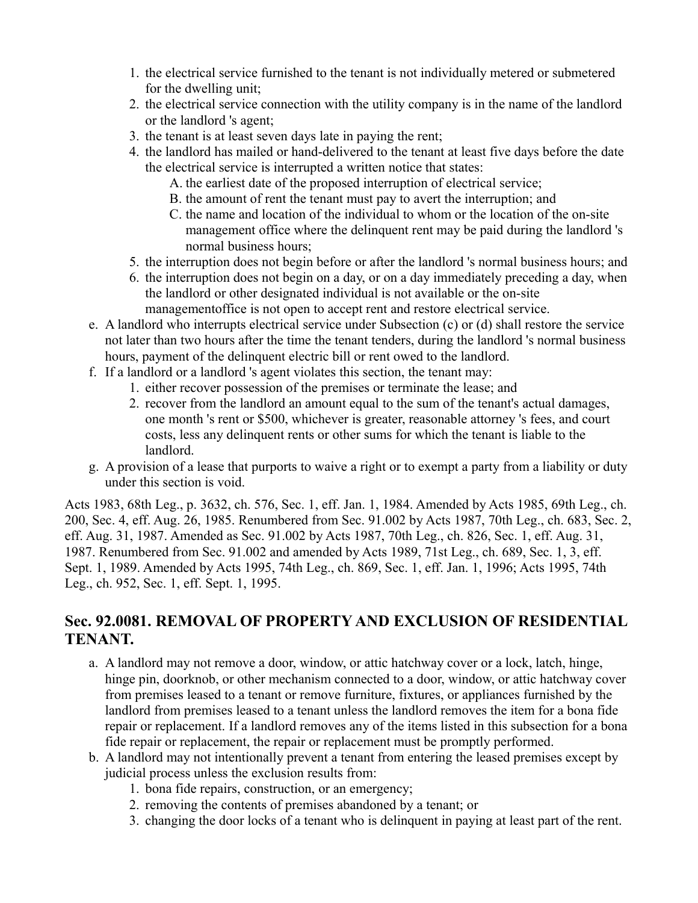- 1. the electrical service furnished to the tenant is not individually metered or submetered for the dwelling unit;
- 2. the electrical service connection with the utility company is in the name of the landlord or the landlord 's agent;
- 3. the tenant is at least seven days late in paying the rent;
- 4. the landlord has mailed or hand-delivered to the tenant at least five days before the date the electrical service is interrupted a written notice that states:
	- A. the earliest date of the proposed interruption of electrical service;
	- B. the amount of rent the tenant must pay to avert the interruption; and
	- C. the name and location of the individual to whom or the location of the on-site management office where the delinquent rent may be paid during the landlord 's normal business hours;
- 5. the interruption does not begin before or after the landlord 's normal business hours; and
- 6. the interruption does not begin on a day, or on a day immediately preceding a day, when the landlord or other designated individual is not available or the on-site managementoffice is not open to accept rent and restore electrical service.
- e. A landlord who interrupts electrical service under Subsection (c) or (d) shall restore the service not later than two hours after the time the tenant tenders, during the landlord 's normal business hours, payment of the delinquent electric bill or rent owed to the landlord.
- f. If a landlord or a landlord 's agent violates this section, the tenant may:
	- 1. either recover possession of the premises or terminate the lease; and
	- 2. recover from the landlord an amount equal to the sum of the tenant's actual damages, one month 's rent or \$500, whichever is greater, reasonable attorney 's fees, and court costs, less any delinquent rents or other sums for which the tenant is liable to the landlord.
- g. A provision of a lease that purports to waive a right or to exempt a party from a liability or duty under this section is void.

Acts 1983, 68th Leg., p. 3632, ch. 576, Sec. 1, eff. Jan. 1, 1984. Amended by Acts 1985, 69th Leg., ch. 200, Sec. 4, eff. Aug. 26, 1985. Renumbered from Sec. 91.002 by Acts 1987, 70th Leg., ch. 683, Sec. 2, eff. Aug. 31, 1987. Amended as Sec. 91.002 by Acts 1987, 70th Leg., ch. 826, Sec. 1, eff. Aug. 31, 1987. Renumbered from Sec. 91.002 and amended by Acts 1989, 71st Leg., ch. 689, Sec. 1, 3, eff. Sept. 1, 1989. Amended by Acts 1995, 74th Leg., ch. 869, Sec. 1, eff. Jan. 1, 1996; Acts 1995, 74th Leg., ch. 952, Sec. 1, eff. Sept. 1, 1995.

#### **Sec. 92.0081. REMOVAL OF PROPERTY AND EXCLUSION OF RESIDENTIAL TENANT.**

- a. A landlord may not remove a door, window, or attic hatchway cover or a lock, latch, hinge, hinge pin, doorknob, or other mechanism connected to a door, window, or attic hatchway cover from premises leased to a tenant or remove furniture, fixtures, or appliances furnished by the landlord from premises leased to a tenant unless the landlord removes the item for a bona fide repair or replacement. If a landlord removes any of the items listed in this subsection for a bona fide repair or replacement, the repair or replacement must be promptly performed.
- b. A landlord may not intentionally prevent a tenant from entering the leased premises except by judicial process unless the exclusion results from:
	- 1. bona fide repairs, construction, or an emergency;
	- 2. removing the contents of premises abandoned by a tenant; or
	- 3. changing the door locks of a tenant who is delinquent in paying at least part of the rent.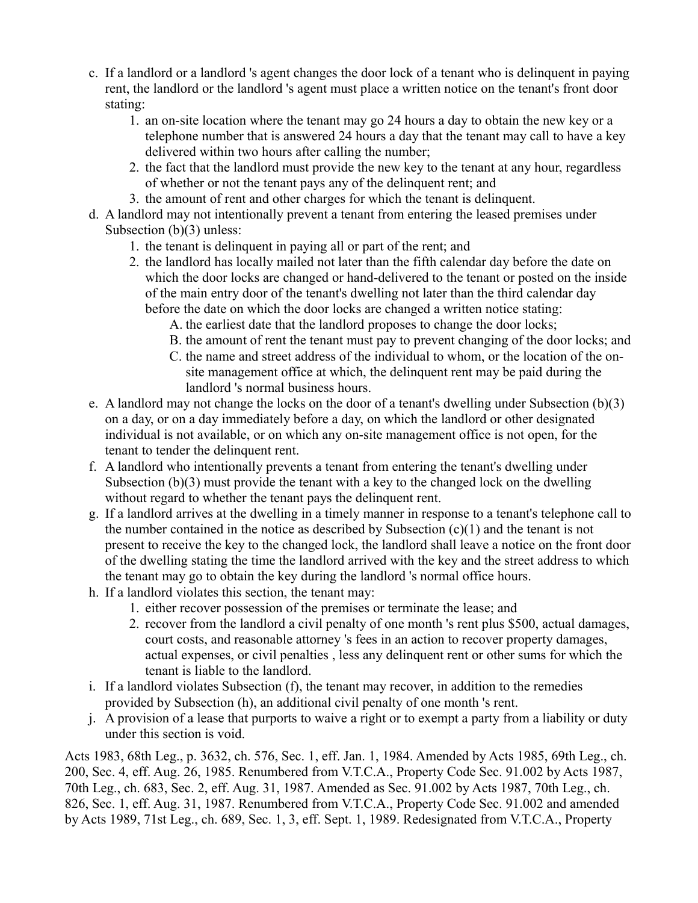- c. If a landlord or a landlord 's agent changes the door lock of a tenant who is delinquent in paying rent, the landlord or the landlord 's agent must place a written notice on the tenant's front door stating:
	- 1. an on-site location where the tenant may go 24 hours a day to obtain the new key or a telephone number that is answered 24 hours a day that the tenant may call to have a key delivered within two hours after calling the number;
	- 2. the fact that the landlord must provide the new key to the tenant at any hour, regardless of whether or not the tenant pays any of the delinquent rent; and
	- 3. the amount of rent and other charges for which the tenant is delinquent.
- d. A landlord may not intentionally prevent a tenant from entering the leased premises under Subsection (b)(3) unless:
	- 1. the tenant is delinquent in paying all or part of the rent; and
	- 2. the landlord has locally mailed not later than the fifth calendar day before the date on which the door locks are changed or hand-delivered to the tenant or posted on the inside of the main entry door of the tenant's dwelling not later than the third calendar day before the date on which the door locks are changed a written notice stating:
		- A. the earliest date that the landlord proposes to change the door locks;
		- B. the amount of rent the tenant must pay to prevent changing of the door locks; and
		- C. the name and street address of the individual to whom, or the location of the onsite management office at which, the delinquent rent may be paid during the landlord 's normal business hours.
- e. A landlord may not change the locks on the door of a tenant's dwelling under Subsection (b)(3) on a day, or on a day immediately before a day, on which the landlord or other designated individual is not available, or on which any on-site management office is not open, for the tenant to tender the delinquent rent.
- f. A landlord who intentionally prevents a tenant from entering the tenant's dwelling under Subsection (b)(3) must provide the tenant with a key to the changed lock on the dwelling without regard to whether the tenant pays the delinquent rent.
- g. If a landlord arrives at the dwelling in a timely manner in response to a tenant's telephone call to the number contained in the notice as described by Subsection (c)(1) and the tenant is not present to receive the key to the changed lock, the landlord shall leave a notice on the front door of the dwelling stating the time the landlord arrived with the key and the street address to which the tenant may go to obtain the key during the landlord 's normal office hours.
- h. If a landlord violates this section, the tenant may:
	- 1. either recover possession of the premises or terminate the lease; and
	- 2. recover from the landlord a civil penalty of one month 's rent plus \$500, actual damages, court costs, and reasonable attorney 's fees in an action to recover property damages, actual expenses, or civil penalties , less any delinquent rent or other sums for which the tenant is liable to the landlord.
- i. If a landlord violates Subsection (f), the tenant may recover, in addition to the remedies provided by Subsection (h), an additional civil penalty of one month 's rent.
- j. A provision of a lease that purports to waive a right or to exempt a party from a liability or duty under this section is void.

Acts 1983, 68th Leg., p. 3632, ch. 576, Sec. 1, eff. Jan. 1, 1984. Amended by Acts 1985, 69th Leg., ch. 200, Sec. 4, eff. Aug. 26, 1985. Renumbered from V.T.C.A., Property Code Sec. 91.002 by Acts 1987, 70th Leg., ch. 683, Sec. 2, eff. Aug. 31, 1987. Amended as Sec. 91.002 by Acts 1987, 70th Leg., ch. 826, Sec. 1, eff. Aug. 31, 1987. Renumbered from V.T.C.A., Property Code Sec. 91.002 and amended by Acts 1989, 71st Leg., ch. 689, Sec. 1, 3, eff. Sept. 1, 1989. Redesignated from V.T.C.A., Property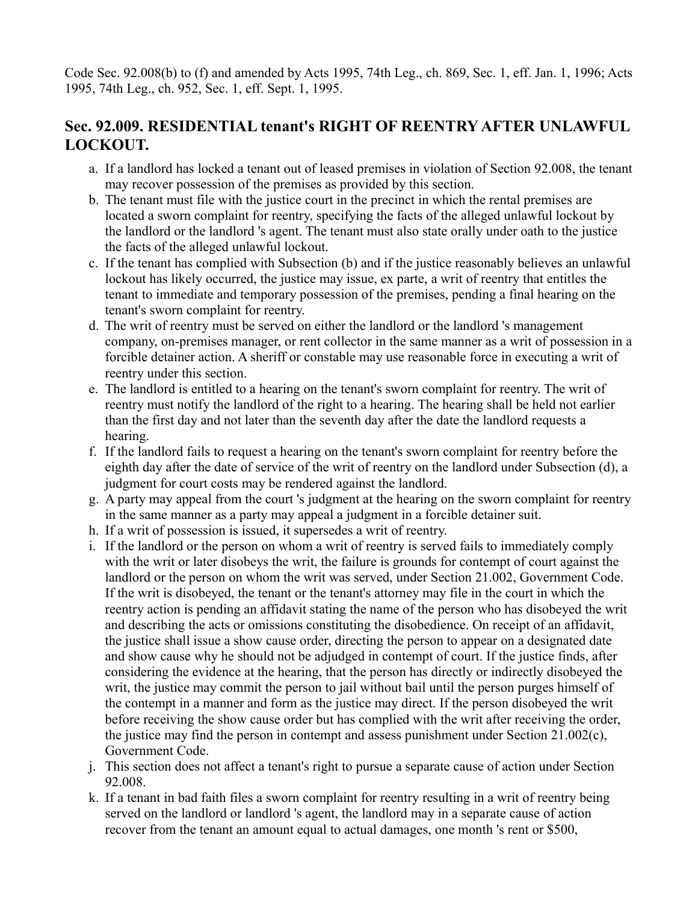Code Sec. 92.008(b) to (f) and amended by Acts 1995, 74th Leg., ch. 869, Sec. 1, eff. Jan. 1, 1996; Acts 1995, 74th Leg., ch. 952, Sec. 1, eff. Sept. 1, 1995.

#### **Sec. 92.009. RESIDENTIAL tenant's RIGHT OF REENTRY AFTER UNLAWFUL LOCKOUT.**

- a. If a landlord has locked a tenant out of leased premises in violation of Section 92.008, the tenant may recover possession of the premises as provided by this section.
- b. The tenant must file with the justice court in the precinct in which the rental premises are located a sworn complaint for reentry, specifying the facts of the alleged unlawful lockout by the landlord or the landlord 's agent. The tenant must also state orally under oath to the justice the facts of the alleged unlawful lockout.
- c. If the tenant has complied with Subsection (b) and if the justice reasonably believes an unlawful lockout has likely occurred, the justice may issue, ex parte, a writ of reentry that entitles the tenant to immediate and temporary possession of the premises, pending a final hearing on the tenant's sworn complaint for reentry.
- d. The writ of reentry must be served on either the landlord or the landlord 's management company, on-premises manager, or rent collector in the same manner as a writ of possession in a forcible detainer action. A sheriff or constable may use reasonable force in executing a writ of reentry under this section.
- e. The landlord is entitled to a hearing on the tenant's sworn complaint for reentry. The writ of reentry must notify the landlord of the right to a hearing. The hearing shall be held not earlier than the first day and not later than the seventh day after the date the landlord requests a hearing.
- f. If the landlord fails to request a hearing on the tenant's sworn complaint for reentry before the eighth day after the date of service of the writ of reentry on the landlord under Subsection (d), a judgment for court costs may be rendered against the landlord.
- g. A party may appeal from the court 's judgment at the hearing on the sworn complaint for reentry in the same manner as a party may appeal a judgment in a forcible detainer suit.
- h. If a writ of possession is issued, it supersedes a writ of reentry.
- i. If the landlord or the person on whom a writ of reentry is served fails to immediately comply with the writ or later disobeys the writ, the failure is grounds for contempt of court against the landlord or the person on whom the writ was served, under Section 21.002, Government Code. If the writ is disobeyed, the tenant or the tenant's attorney may file in the court in which the reentry action is pending an affidavit stating the name of the person who has disobeyed the writ and describing the acts or omissions constituting the disobedience. On receipt of an affidavit, the justice shall issue a show cause order, directing the person to appear on a designated date and show cause why he should not be adjudged in contempt of court. If the justice finds, after considering the evidence at the hearing, that the person has directly or indirectly disobeyed the writ, the justice may commit the person to jail without bail until the person purges himself of the contempt in a manner and form as the justice may direct. If the person disobeyed the writ before receiving the show cause order but has complied with the writ after receiving the order, the justice may find the person in contempt and assess punishment under Section 21.002(c), Government Code.
- j. This section does not affect a tenant's right to pursue a separate cause of action under Section 92.008.
- k. If a tenant in bad faith files a sworn complaint for reentry resulting in a writ of reentry being served on the landlord or landlord 's agent, the landlord may in a separate cause of action recover from the tenant an amount equal to actual damages, one month 's rent or \$500,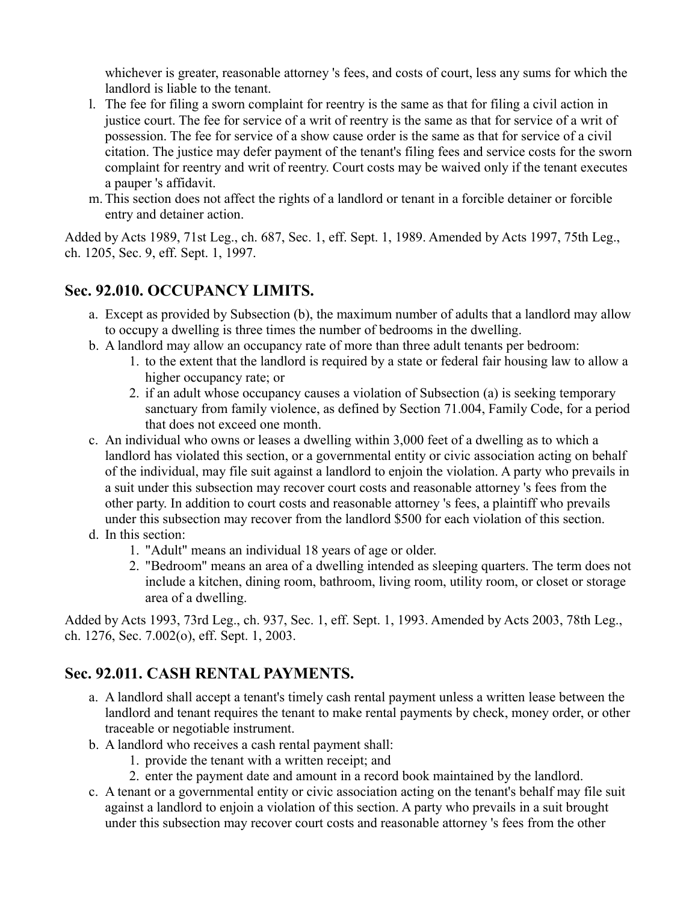whichever is greater, reasonable attorney 's fees, and costs of court, less any sums for which the landlord is liable to the tenant.

- l. The fee for filing a sworn complaint for reentry is the same as that for filing a civil action in justice court. The fee for service of a writ of reentry is the same as that for service of a writ of possession. The fee for service of a show cause order is the same as that for service of a civil citation. The justice may defer payment of the tenant's filing fees and service costs for the sworn complaint for reentry and writ of reentry. Court costs may be waived only if the tenant executes a pauper 's affidavit.
- m. This section does not affect the rights of a landlord or tenant in a forcible detainer or forcible entry and detainer action.

Added by Acts 1989, 71st Leg., ch. 687, Sec. 1, eff. Sept. 1, 1989. Amended by Acts 1997, 75th Leg., ch. 1205, Sec. 9, eff. Sept. 1, 1997.

#### **Sec. 92.010. OCCUPANCY LIMITS.**

- a. Except as provided by Subsection (b), the maximum number of adults that a landlord may allow to occupy a dwelling is three times the number of bedrooms in the dwelling.
- b. A landlord may allow an occupancy rate of more than three adult tenants per bedroom:
	- 1. to the extent that the landlord is required by a state or federal fair housing law to allow a higher occupancy rate; or
	- 2. if an adult whose occupancy causes a violation of Subsection (a) is seeking temporary sanctuary from family violence, as defined by Section 71.004, Family Code, for a period that does not exceed one month.
- c. An individual who owns or leases a dwelling within 3,000 feet of a dwelling as to which a landlord has violated this section, or a governmental entity or civic association acting on behalf of the individual, may file suit against a landlord to enjoin the violation. A party who prevails in a suit under this subsection may recover court costs and reasonable attorney 's fees from the other party. In addition to court costs and reasonable attorney 's fees, a plaintiff who prevails under this subsection may recover from the landlord \$500 for each violation of this section.
- d. In this section:
	- 1. "Adult" means an individual 18 years of age or older.
	- 2. "Bedroom" means an area of a dwelling intended as sleeping quarters. The term does not include a kitchen, dining room, bathroom, living room, utility room, or closet or storage area of a dwelling.

Added by Acts 1993, 73rd Leg., ch. 937, Sec. 1, eff. Sept. 1, 1993. Amended by Acts 2003, 78th Leg., ch. 1276, Sec. 7.002(o), eff. Sept. 1, 2003.

### **Sec. 92.011. CASH RENTAL PAYMENTS.**

- a. A landlord shall accept a tenant's timely cash rental payment unless a written lease between the landlord and tenant requires the tenant to make rental payments by check, money order, or other traceable or negotiable instrument.
- b. A landlord who receives a cash rental payment shall:
	- 1. provide the tenant with a written receipt; and
	- 2. enter the payment date and amount in a record book maintained by the landlord.
- c. A tenant or a governmental entity or civic association acting on the tenant's behalf may file suit against a landlord to enjoin a violation of this section. A party who prevails in a suit brought under this subsection may recover court costs and reasonable attorney 's fees from the other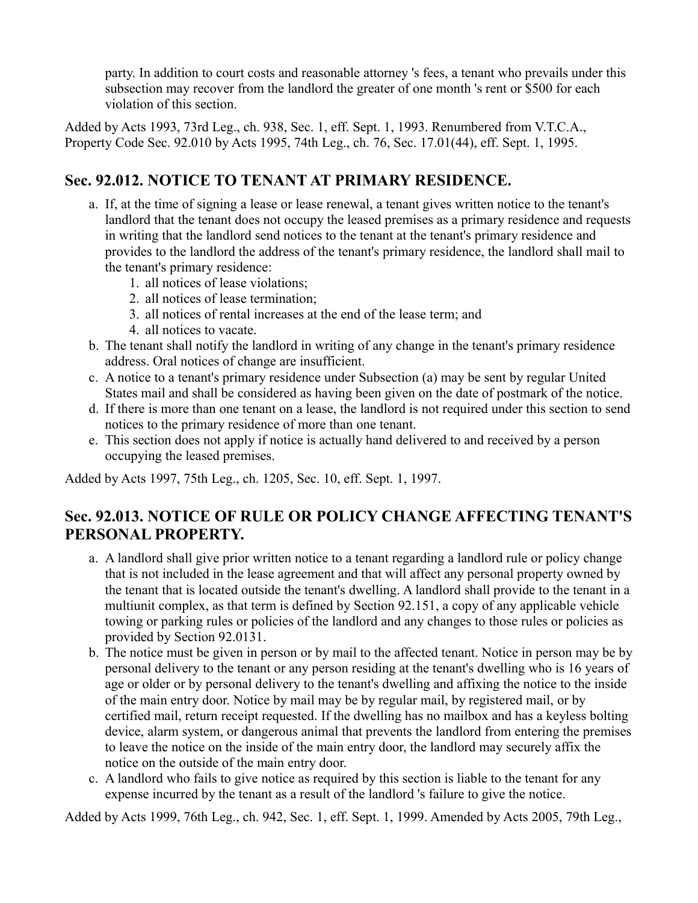party. In addition to court costs and reasonable attorney 's fees, a tenant who prevails under this subsection may recover from the landlord the greater of one month 's rent or \$500 for each violation of this section.

Added by Acts 1993, 73rd Leg., ch. 938, Sec. 1, eff. Sept. 1, 1993. Renumbered from V.T.C.A., Property Code Sec. 92.010 by Acts 1995, 74th Leg., ch. 76, Sec. 17.01(44), eff. Sept. 1, 1995.

## **Sec. 92.012. NOTICE TO TENANT AT PRIMARY RESIDENCE.**

- a. If, at the time of signing a lease or lease renewal, a tenant gives written notice to the tenant's landlord that the tenant does not occupy the leased premises as a primary residence and requests in writing that the landlord send notices to the tenant at the tenant's primary residence and provides to the landlord the address of the tenant's primary residence, the landlord shall mail to the tenant's primary residence:
	- 1. all notices of lease violations;
	- 2. all notices of lease termination;
	- 3. all notices of rental increases at the end of the lease term; and
	- 4. all notices to vacate.
- b. The tenant shall notify the landlord in writing of any change in the tenant's primary residence address. Oral notices of change are insufficient.
- c. A notice to a tenant's primary residence under Subsection (a) may be sent by regular United States mail and shall be considered as having been given on the date of postmark of the notice.
- d. If there is more than one tenant on a lease, the landlord is not required under this section to send notices to the primary residence of more than one tenant.
- e. This section does not apply if notice is actually hand delivered to and received by a person occupying the leased premises.

Added by Acts 1997, 75th Leg., ch. 1205, Sec. 10, eff. Sept. 1, 1997.

#### **Sec. 92.013. NOTICE OF RULE OR POLICY CHANGE AFFECTING TENANT'S PERSONAL PROPERTY.**

- a. A landlord shall give prior written notice to a tenant regarding a landlord rule or policy change that is not included in the lease agreement and that will affect any personal property owned by the tenant that is located outside the tenant's dwelling. A landlord shall provide to the tenant in a multiunit complex, as that term is defined by Section 92.151, a copy of any applicable vehicle towing or parking rules or policies of the landlord and any changes to those rules or policies as provided by Section 92.0131.
- b. The notice must be given in person or by mail to the affected tenant. Notice in person may be by personal delivery to the tenant or any person residing at the tenant's dwelling who is 16 years of age or older or by personal delivery to the tenant's dwelling and affixing the notice to the inside of the main entry door. Notice by mail may be by regular mail, by registered mail, or by certified mail, return receipt requested. If the dwelling has no mailbox and has a keyless bolting device, alarm system, or dangerous animal that prevents the landlord from entering the premises to leave the notice on the inside of the main entry door, the landlord may securely affix the notice on the outside of the main entry door.
- c. A landlord who fails to give notice as required by this section is liable to the tenant for any expense incurred by the tenant as a result of the landlord 's failure to give the notice.

Added by Acts 1999, 76th Leg., ch. 942, Sec. 1, eff. Sept. 1, 1999. Amended by Acts 2005, 79th Leg.,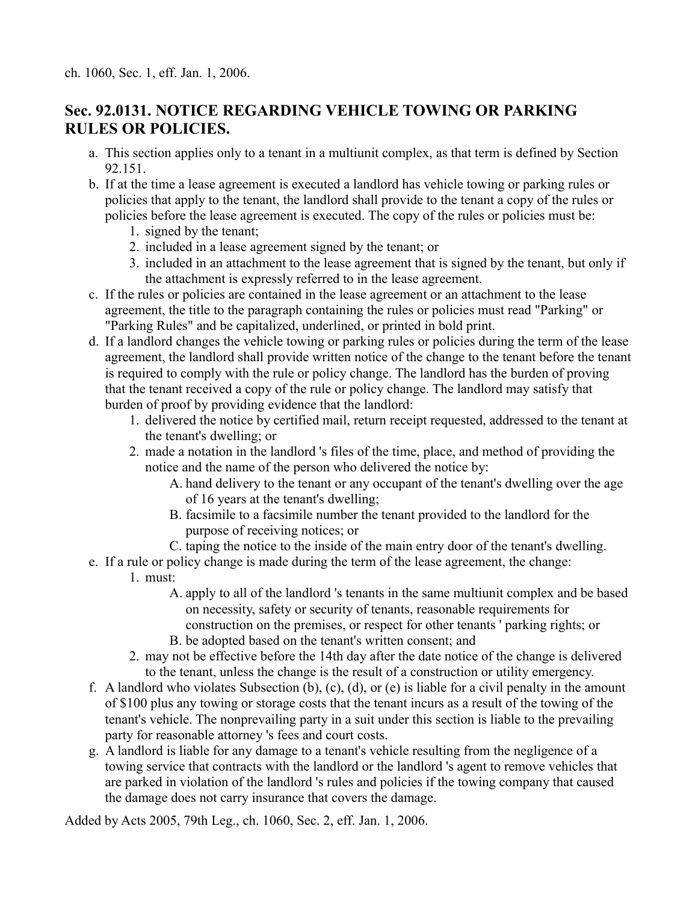ch. 1060, Sec. 1, eff. Jan. 1, 2006.

### **Sec. 92.0131. NOTICE REGARDING VEHICLE TOWING OR PARKING RULES OR POLICIES.**

- a. This section applies only to a tenant in a multiunit complex, as that term is defined by Section 92.151.
- b. If at the time a lease agreement is executed a landlord has vehicle towing or parking rules or policies that apply to the tenant, the landlord shall provide to the tenant a copy of the rules or policies before the lease agreement is executed. The copy of the rules or policies must be:
	- 1. signed by the tenant;
	- 2. included in a lease agreement signed by the tenant; or
	- 3. included in an attachment to the lease agreement that is signed by the tenant, but only if the attachment is expressly referred to in the lease agreement.
- c. If the rules or policies are contained in the lease agreement or an attachment to the lease agreement, the title to the paragraph containing the rules or policies must read "Parking" or "Parking Rules" and be capitalized, underlined, or printed in bold print.
- d. If a landlord changes the vehicle towing or parking rules or policies during the term of the lease agreement, the landlord shall provide written notice of the change to the tenant before the tenant is required to comply with the rule or policy change. The landlord has the burden of proving that the tenant received a copy of the rule or policy change. The landlord may satisfy that burden of proof by providing evidence that the landlord:
	- 1. delivered the notice by certified mail, return receipt requested, addressed to the tenant at the tenant's dwelling; or
	- 2. made a notation in the landlord 's files of the time, place, and method of providing the notice and the name of the person who delivered the notice by:
		- A. hand delivery to the tenant or any occupant of the tenant's dwelling over the age of 16 years at the tenant's dwelling;
		- B. facsimile to a facsimile number the tenant provided to the landlord for the purpose of receiving notices; or
		- C. taping the notice to the inside of the main entry door of the tenant's dwelling.
- e. If a rule or policy change is made during the term of the lease agreement, the change:
	- 1. must:
		- A. apply to all of the landlord 's tenants in the same multiunit complex and be based on necessity, safety or security of tenants, reasonable requirements for construction on the premises, or respect for other tenants ' parking rights; or B. be adopted based on the tenant's written consent; and
	- 2. may not be effective before the 14th day after the date notice of the change is delivered to the tenant, unless the change is the result of a construction or utility emergency.
- f. A landlord who violates Subsection (b), (c), (d), or (e) is liable for a civil penalty in the amount of \$100 plus any towing or storage costs that the tenant incurs as a result of the towing of the tenant's vehicle. The nonprevailing party in a suit under this section is liable to the prevailing party for reasonable attorney 's fees and court costs.
- g. A landlord is liable for any damage to a tenant's vehicle resulting from the negligence of a towing service that contracts with the landlord or the landlord 's agent to remove vehicles that are parked in violation of the landlord 's rules and policies if the towing company that caused the damage does not carry insurance that covers the damage.

Added by Acts 2005, 79th Leg., ch. 1060, Sec. 2, eff. Jan. 1, 2006.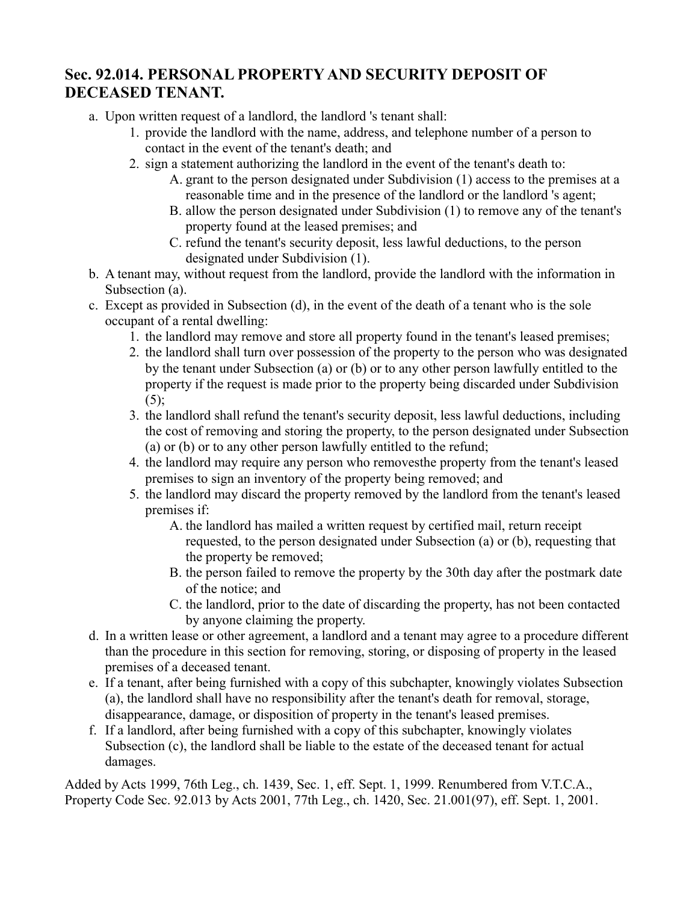# **Sec. 92.014. PERSONAL PROPERTY AND SECURITY DEPOSIT OF DECEASED TENANT.**

- a. Upon written request of a landlord, the landlord 's tenant shall:
	- 1. provide the landlord with the name, address, and telephone number of a person to contact in the event of the tenant's death; and
	- 2. sign a statement authorizing the landlord in the event of the tenant's death to:
		- A. grant to the person designated under Subdivision (1) access to the premises at a reasonable time and in the presence of the landlord or the landlord 's agent;
		- B. allow the person designated under Subdivision (1) to remove any of the tenant's property found at the leased premises; and
		- C. refund the tenant's security deposit, less lawful deductions, to the person designated under Subdivision (1).
- b. A tenant may, without request from the landlord, provide the landlord with the information in Subsection (a).
- c. Except as provided in Subsection (d), in the event of the death of a tenant who is the sole occupant of a rental dwelling:
	- 1. the landlord may remove and store all property found in the tenant's leased premises;
	- 2. the landlord shall turn over possession of the property to the person who was designated by the tenant under Subsection (a) or (b) or to any other person lawfully entitled to the property if the request is made prior to the property being discarded under Subdivision  $(5)$ ;
	- 3. the landlord shall refund the tenant's security deposit, less lawful deductions, including the cost of removing and storing the property, to the person designated under Subsection (a) or (b) or to any other person lawfully entitled to the refund;
	- 4. the landlord may require any person who removesthe property from the tenant's leased premises to sign an inventory of the property being removed; and
	- 5. the landlord may discard the property removed by the landlord from the tenant's leased premises if:
		- A. the landlord has mailed a written request by certified mail, return receipt requested, to the person designated under Subsection (a) or (b), requesting that the property be removed;
		- B. the person failed to remove the property by the 30th day after the postmark date of the notice; and
		- C. the landlord, prior to the date of discarding the property, has not been contacted by anyone claiming the property.
- d. In a written lease or other agreement, a landlord and a tenant may agree to a procedure different than the procedure in this section for removing, storing, or disposing of property in the leased premises of a deceased tenant.
- e. If a tenant, after being furnished with a copy of this subchapter, knowingly violates Subsection (a), the landlord shall have no responsibility after the tenant's death for removal, storage, disappearance, damage, or disposition of property in the tenant's leased premises.
- f. If a landlord, after being furnished with a copy of this subchapter, knowingly violates Subsection (c), the landlord shall be liable to the estate of the deceased tenant for actual damages.

Added by Acts 1999, 76th Leg., ch. 1439, Sec. 1, eff. Sept. 1, 1999. Renumbered from V.T.C.A., Property Code Sec. 92.013 by Acts 2001, 77th Leg., ch. 1420, Sec. 21.001(97), eff. Sept. 1, 2001.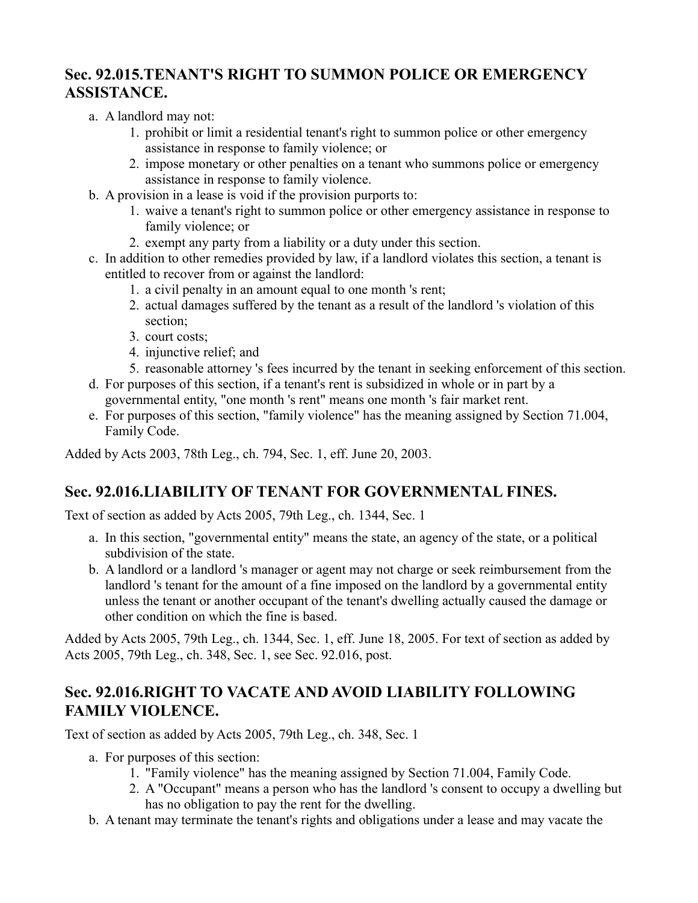# **Sec. 92.015.TENANT'S RIGHT TO SUMMON POLICE OR EMERGENCY ASSISTANCE.**

- a. A landlord may not:
	- 1. prohibit or limit a residential tenant's right to summon police or other emergency assistance in response to family violence; or
	- 2. impose monetary or other penalties on a tenant who summons police or emergency assistance in response to family violence.
- b. A provision in a lease is void if the provision purports to:
	- 1. waive a tenant's right to summon police or other emergency assistance in response to family violence; or
	- 2. exempt any party from a liability or a duty under this section.
- c. In addition to other remedies provided by law, if a landlord violates this section, a tenant is entitled to recover from or against the landlord:
	- 1. a civil penalty in an amount equal to one month 's rent;
	- 2. actual damages suffered by the tenant as a result of the landlord 's violation of this section;
	- 3. court costs;
	- 4. injunctive relief; and
	- 5. reasonable attorney 's fees incurred by the tenant in seeking enforcement of this section.
- d. For purposes of this section, if a tenant's rent is subsidized in whole or in part by a governmental entity, "one month 's rent" means one month 's fair market rent.
- e. For purposes of this section, "family violence" has the meaning assigned by Section 71.004, Family Code.

Added by Acts 2003, 78th Leg., ch. 794, Sec. 1, eff. June 20, 2003.

### **Sec. 92.016.LIABILITY OF TENANT FOR GOVERNMENTAL FINES.**

Text of section as added by Acts 2005, 79th Leg., ch. 1344, Sec. 1

- a. In this section, "governmental entity" means the state, an agency of the state, or a political subdivision of the state.
- b. A landlord or a landlord 's manager or agent may not charge or seek reimbursement from the landlord 's tenant for the amount of a fine imposed on the landlord by a governmental entity unless the tenant or another occupant of the tenant's dwelling actually caused the damage or other condition on which the fine is based.

Added by Acts 2005, 79th Leg., ch. 1344, Sec. 1, eff. June 18, 2005. For text of section as added by Acts 2005, 79th Leg., ch. 348, Sec. 1, see Sec. 92.016, post.

### **Sec. 92.016.RIGHT TO VACATE AND AVOID LIABILITY FOLLOWING FAMILY VIOLENCE.**

Text of section as added by Acts 2005, 79th Leg., ch. 348, Sec. 1

- a. For purposes of this section:
	- 1. "Family violence" has the meaning assigned by Section 71.004, Family Code.
	- 2. A "Occupant" means a person who has the landlord 's consent to occupy a dwelling but has no obligation to pay the rent for the dwelling.
- b. A tenant may terminate the tenant's rights and obligations under a lease and may vacate the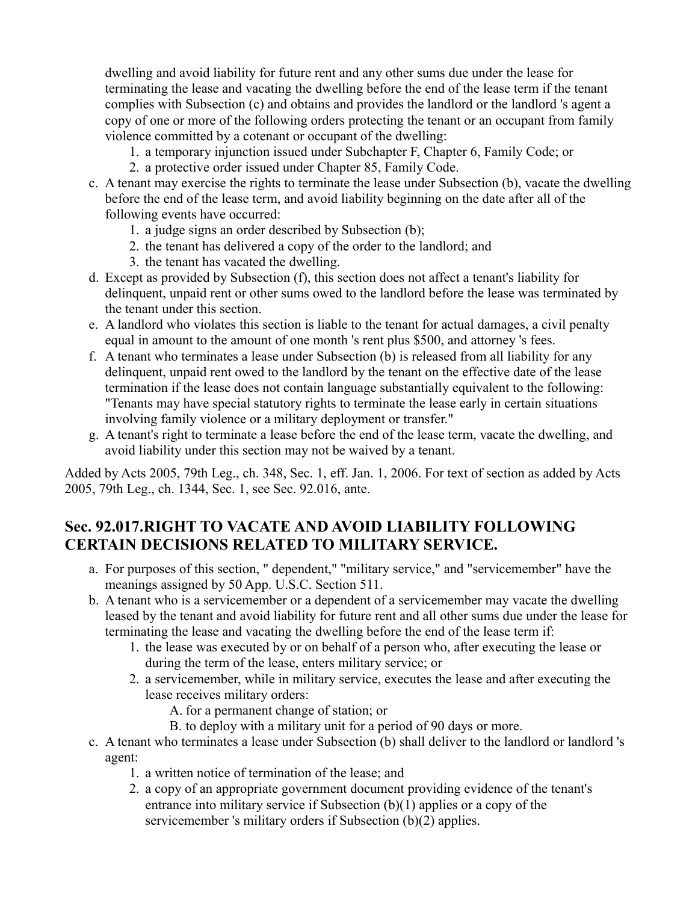dwelling and avoid liability for future rent and any other sums due under the lease for terminating the lease and vacating the dwelling before the end of the lease term if the tenant complies with Subsection (c) and obtains and provides the landlord or the landlord 's agent a copy of one or more of the following orders protecting the tenant or an occupant from family violence committed by a cotenant or occupant of the dwelling:

- 1. a temporary injunction issued under Subchapter F, Chapter 6, Family Code; or
- 2. a protective order issued under Chapter 85, Family Code.
- c. A tenant may exercise the rights to terminate the lease under Subsection (b), vacate the dwelling before the end of the lease term, and avoid liability beginning on the date after all of the following events have occurred:
	- 1. a judge signs an order described by Subsection (b);
	- 2. the tenant has delivered a copy of the order to the landlord; and
	- 3. the tenant has vacated the dwelling.
- d. Except as provided by Subsection (f), this section does not affect a tenant's liability for delinquent, unpaid rent or other sums owed to the landlord before the lease was terminated by the tenant under this section.
- e. A landlord who violates this section is liable to the tenant for actual damages, a civil penalty equal in amount to the amount of one month 's rent plus \$500, and attorney 's fees.
- f. A tenant who terminates a lease under Subsection (b) is released from all liability for any delinquent, unpaid rent owed to the landlord by the tenant on the effective date of the lease termination if the lease does not contain language substantially equivalent to the following: "Tenants may have special statutory rights to terminate the lease early in certain situations involving family violence or a military deployment or transfer."
- g. A tenant's right to terminate a lease before the end of the lease term, vacate the dwelling, and avoid liability under this section may not be waived by a tenant.

Added by Acts 2005, 79th Leg., ch. 348, Sec. 1, eff. Jan. 1, 2006. For text of section as added by Acts 2005, 79th Leg., ch. 1344, Sec. 1, see Sec. 92.016, ante.

## **Sec. 92.017.RIGHT TO VACATE AND AVOID LIABILITY FOLLOWING CERTAIN DECISIONS RELATED TO MILITARY SERVICE.**

- a. For purposes of this section, " dependent," "military service," and "servicemember" have the meanings assigned by 50 App. U.S.C. Section 511.
- b. A tenant who is a servicemember or a dependent of a servicemember may vacate the dwelling leased by the tenant and avoid liability for future rent and all other sums due under the lease for terminating the lease and vacating the dwelling before the end of the lease term if:
	- 1. the lease was executed by or on behalf of a person who, after executing the lease or during the term of the lease, enters military service; or
	- 2. a servicemember, while in military service, executes the lease and after executing the lease receives military orders:
		- A. for a permanent change of station; or
		- B. to deploy with a military unit for a period of 90 days or more.
- c. A tenant who terminates a lease under Subsection (b) shall deliver to the landlord or landlord 's agent:
	- 1. a written notice of termination of the lease; and
	- 2. a copy of an appropriate government document providing evidence of the tenant's entrance into military service if Subsection (b)(1) applies or a copy of the servicemember 's military orders if Subsection (b)(2) applies.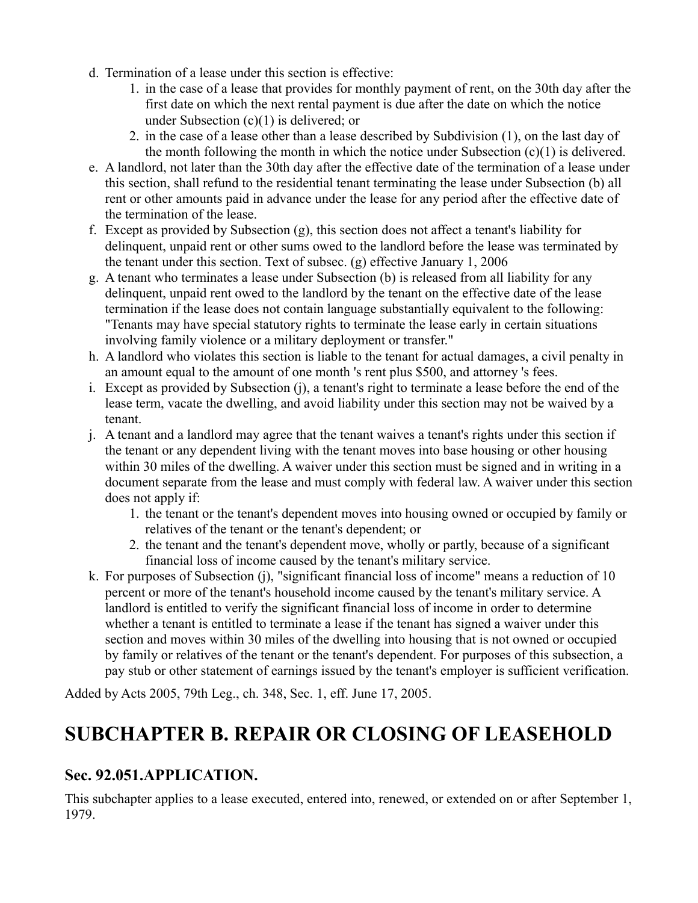- d. Termination of a lease under this section is effective:
	- 1. in the case of a lease that provides for monthly payment of rent, on the 30th day after the first date on which the next rental payment is due after the date on which the notice under Subsection (c)(1) is delivered; or
	- 2. in the case of a lease other than a lease described by Subdivision (1), on the last day of the month following the month in which the notice under Subsection  $(c)(1)$  is delivered.
- e. A landlord, not later than the 30th day after the effective date of the termination of a lease under this section, shall refund to the residential tenant terminating the lease under Subsection (b) all rent or other amounts paid in advance under the lease for any period after the effective date of the termination of the lease.
- f. Except as provided by Subsection (g), this section does not affect a tenant's liability for delinquent, unpaid rent or other sums owed to the landlord before the lease was terminated by the tenant under this section. Text of subsec. (g) effective January 1, 2006
- g. A tenant who terminates a lease under Subsection (b) is released from all liability for any delinquent, unpaid rent owed to the landlord by the tenant on the effective date of the lease termination if the lease does not contain language substantially equivalent to the following: "Tenants may have special statutory rights to terminate the lease early in certain situations involving family violence or a military deployment or transfer."
- h. A landlord who violates this section is liable to the tenant for actual damages, a civil penalty in an amount equal to the amount of one month 's rent plus \$500, and attorney 's fees.
- i. Except as provided by Subsection (j), a tenant's right to terminate a lease before the end of the lease term, vacate the dwelling, and avoid liability under this section may not be waived by a tenant.
- j. A tenant and a landlord may agree that the tenant waives a tenant's rights under this section if the tenant or any dependent living with the tenant moves into base housing or other housing within 30 miles of the dwelling. A waiver under this section must be signed and in writing in a document separate from the lease and must comply with federal law. A waiver under this section does not apply if:
	- 1. the tenant or the tenant's dependent moves into housing owned or occupied by family or relatives of the tenant or the tenant's dependent; or
	- 2. the tenant and the tenant's dependent move, wholly or partly, because of a significant financial loss of income caused by the tenant's military service.
- k. For purposes of Subsection (j), "significant financial loss of income" means a reduction of 10 percent or more of the tenant's household income caused by the tenant's military service. A landlord is entitled to verify the significant financial loss of income in order to determine whether a tenant is entitled to terminate a lease if the tenant has signed a waiver under this section and moves within 30 miles of the dwelling into housing that is not owned or occupied by family or relatives of the tenant or the tenant's dependent. For purposes of this subsection, a pay stub or other statement of earnings issued by the tenant's employer is sufficient verification.

Added by Acts 2005, 79th Leg., ch. 348, Sec. 1, eff. June 17, 2005.

# **SUBCHAPTER B. REPAIR OR CLOSING OF LEASEHOLD**

### **Sec. 92.051.APPLICATION.**

This subchapter applies to a lease executed, entered into, renewed, or extended on or after September 1, 1979.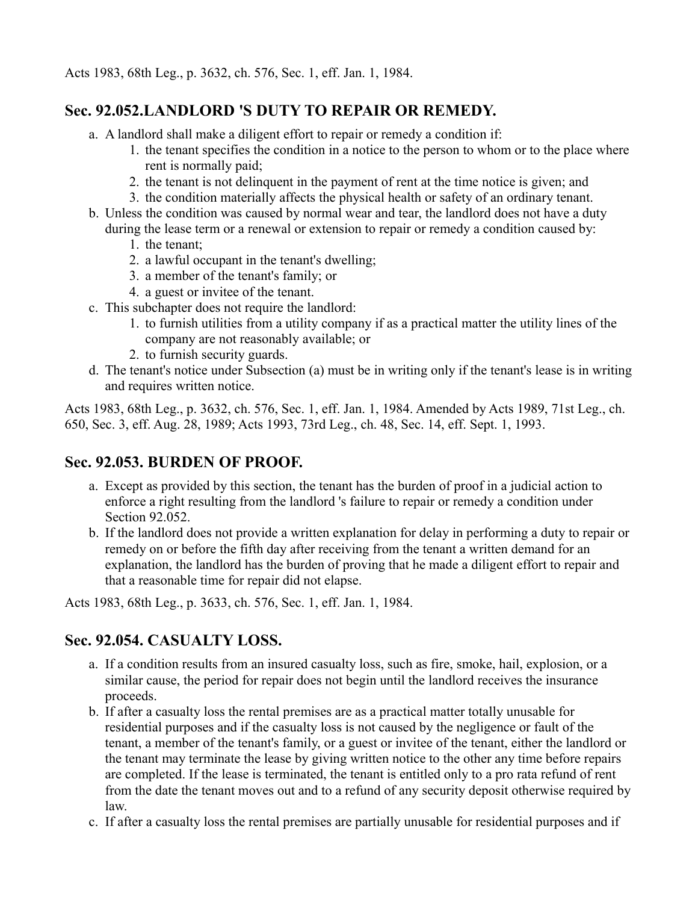#### **Sec. 92.052.LANDLORD 'S DUTY TO REPAIR OR REMEDY.**

- a. A landlord shall make a diligent effort to repair or remedy a condition if:
	- 1. the tenant specifies the condition in a notice to the person to whom or to the place where rent is normally paid;
	- 2. the tenant is not delinquent in the payment of rent at the time notice is given; and
	- 3. the condition materially affects the physical health or safety of an ordinary tenant.
- b. Unless the condition was caused by normal wear and tear, the landlord does not have a duty during the lease term or a renewal or extension to repair or remedy a condition caused by:
	- 1. the tenant;
	- 2. a lawful occupant in the tenant's dwelling;
	- 3. a member of the tenant's family; or
	- 4. a guest or invitee of the tenant.
- c. This subchapter does not require the landlord:
	- 1. to furnish utilities from a utility company if as a practical matter the utility lines of the company are not reasonably available; or
	- 2. to furnish security guards.
- d. The tenant's notice under Subsection (a) must be in writing only if the tenant's lease is in writing and requires written notice.

Acts 1983, 68th Leg., p. 3632, ch. 576, Sec. 1, eff. Jan. 1, 1984. Amended by Acts 1989, 71st Leg., ch. 650, Sec. 3, eff. Aug. 28, 1989; Acts 1993, 73rd Leg., ch. 48, Sec. 14, eff. Sept. 1, 1993.

### **Sec. 92.053. BURDEN OF PROOF.**

- a. Except as provided by this section, the tenant has the burden of proof in a judicial action to enforce a right resulting from the landlord 's failure to repair or remedy a condition under Section 92.052.
- b. If the landlord does not provide a written explanation for delay in performing a duty to repair or remedy on or before the fifth day after receiving from the tenant a written demand for an explanation, the landlord has the burden of proving that he made a diligent effort to repair and that a reasonable time for repair did not elapse.

Acts 1983, 68th Leg., p. 3633, ch. 576, Sec. 1, eff. Jan. 1, 1984.

### **Sec. 92.054. CASUALTY LOSS.**

- a. If a condition results from an insured casualty loss, such as fire, smoke, hail, explosion, or a similar cause, the period for repair does not begin until the landlord receives the insurance proceeds.
- b. If after a casualty loss the rental premises are as a practical matter totally unusable for residential purposes and if the casualty loss is not caused by the negligence or fault of the tenant, a member of the tenant's family, or a guest or invitee of the tenant, either the landlord or the tenant may terminate the lease by giving written notice to the other any time before repairs are completed. If the lease is terminated, the tenant is entitled only to a pro rata refund of rent from the date the tenant moves out and to a refund of any security deposit otherwise required by law.
- c. If after a casualty loss the rental premises are partially unusable for residential purposes and if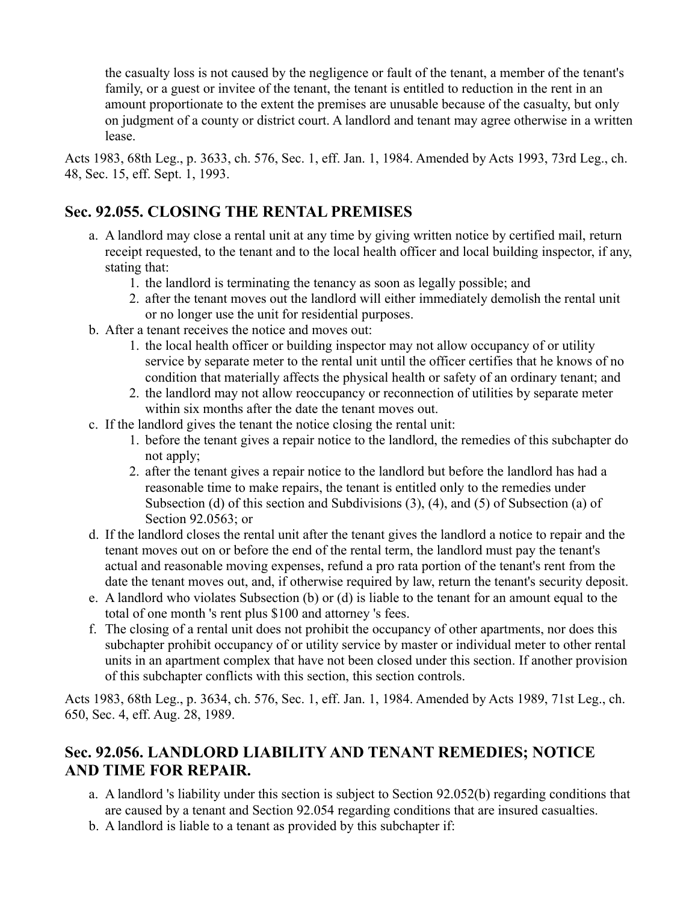the casualty loss is not caused by the negligence or fault of the tenant, a member of the tenant's family, or a guest or invitee of the tenant, the tenant is entitled to reduction in the rent in an amount proportionate to the extent the premises are unusable because of the casualty, but only on judgment of a county or district court. A landlord and tenant may agree otherwise in a written lease.

Acts 1983, 68th Leg., p. 3633, ch. 576, Sec. 1, eff. Jan. 1, 1984. Amended by Acts 1993, 73rd Leg., ch. 48, Sec. 15, eff. Sept. 1, 1993.

## **Sec. 92.055. CLOSING THE RENTAL PREMISES**

- a. A landlord may close a rental unit at any time by giving written notice by certified mail, return receipt requested, to the tenant and to the local health officer and local building inspector, if any, stating that:
	- 1. the landlord is terminating the tenancy as soon as legally possible; and
	- 2. after the tenant moves out the landlord will either immediately demolish the rental unit or no longer use the unit for residential purposes.
- b. After a tenant receives the notice and moves out:
	- 1. the local health officer or building inspector may not allow occupancy of or utility service by separate meter to the rental unit until the officer certifies that he knows of no condition that materially affects the physical health or safety of an ordinary tenant; and
	- 2. the landlord may not allow reoccupancy or reconnection of utilities by separate meter within six months after the date the tenant moves out.
- c. If the landlord gives the tenant the notice closing the rental unit:
	- 1. before the tenant gives a repair notice to the landlord, the remedies of this subchapter do not apply;
	- 2. after the tenant gives a repair notice to the landlord but before the landlord has had a reasonable time to make repairs, the tenant is entitled only to the remedies under Subsection (d) of this section and Subdivisions (3), (4), and (5) of Subsection (a) of Section 92.0563; or
- d. If the landlord closes the rental unit after the tenant gives the landlord a notice to repair and the tenant moves out on or before the end of the rental term, the landlord must pay the tenant's actual and reasonable moving expenses, refund a pro rata portion of the tenant's rent from the date the tenant moves out, and, if otherwise required by law, return the tenant's security deposit.
- e. A landlord who violates Subsection (b) or (d) is liable to the tenant for an amount equal to the total of one month 's rent plus \$100 and attorney 's fees.
- f. The closing of a rental unit does not prohibit the occupancy of other apartments, nor does this subchapter prohibit occupancy of or utility service by master or individual meter to other rental units in an apartment complex that have not been closed under this section. If another provision of this subchapter conflicts with this section, this section controls.

Acts 1983, 68th Leg., p. 3634, ch. 576, Sec. 1, eff. Jan. 1, 1984. Amended by Acts 1989, 71st Leg., ch. 650, Sec. 4, eff. Aug. 28, 1989.

#### **Sec. 92.056. LANDLORD LIABILITY AND TENANT REMEDIES; NOTICE AND TIME FOR REPAIR.**

- a. A landlord 's liability under this section is subject to Section 92.052(b) regarding conditions that are caused by a tenant and Section 92.054 regarding conditions that are insured casualties.
- b. A landlord is liable to a tenant as provided by this subchapter if: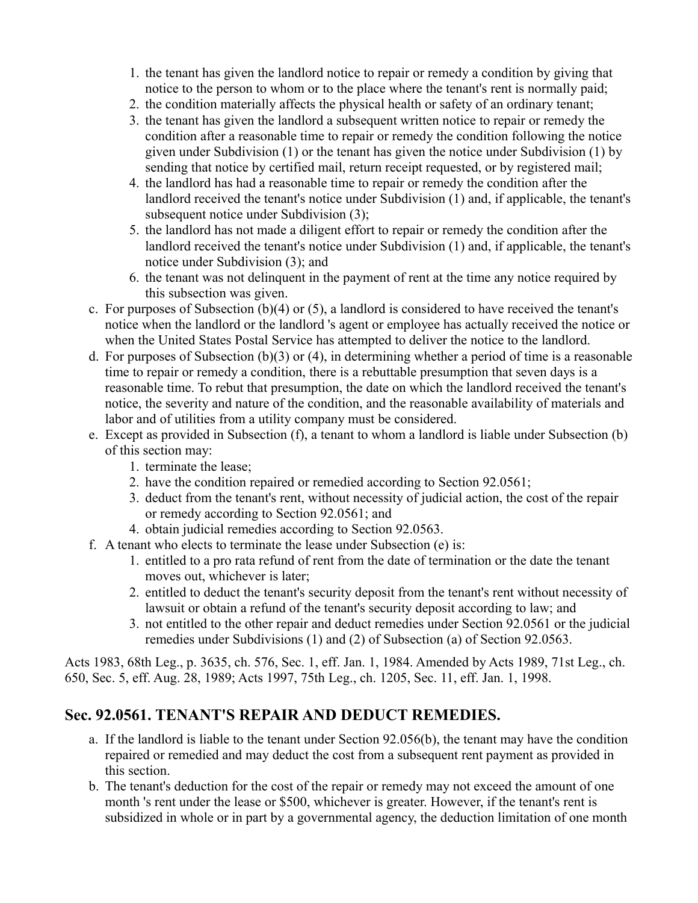- 1. the tenant has given the landlord notice to repair or remedy a condition by giving that notice to the person to whom or to the place where the tenant's rent is normally paid;
- 2. the condition materially affects the physical health or safety of an ordinary tenant;
- 3. the tenant has given the landlord a subsequent written notice to repair or remedy the condition after a reasonable time to repair or remedy the condition following the notice given under Subdivision (1) or the tenant has given the notice under Subdivision (1) by sending that notice by certified mail, return receipt requested, or by registered mail;
- 4. the landlord has had a reasonable time to repair or remedy the condition after the landlord received the tenant's notice under Subdivision (1) and, if applicable, the tenant's subsequent notice under Subdivision (3);
- 5. the landlord has not made a diligent effort to repair or remedy the condition after the landlord received the tenant's notice under Subdivision (1) and, if applicable, the tenant's notice under Subdivision (3); and
- 6. the tenant was not delinquent in the payment of rent at the time any notice required by this subsection was given.
- c. For purposes of Subsection (b)(4) or (5), a landlord is considered to have received the tenant's notice when the landlord or the landlord 's agent or employee has actually received the notice or when the United States Postal Service has attempted to deliver the notice to the landlord.
- d. For purposes of Subsection (b)(3) or (4), in determining whether a period of time is a reasonable time to repair or remedy a condition, there is a rebuttable presumption that seven days is a reasonable time. To rebut that presumption, the date on which the landlord received the tenant's notice, the severity and nature of the condition, and the reasonable availability of materials and labor and of utilities from a utility company must be considered.
- e. Except as provided in Subsection (f), a tenant to whom a landlord is liable under Subsection (b) of this section may:
	- 1. terminate the lease;
	- 2. have the condition repaired or remedied according to Section 92.0561;
	- 3. deduct from the tenant's rent, without necessity of judicial action, the cost of the repair or remedy according to Section 92.0561; and
	- 4. obtain judicial remedies according to Section 92.0563.
- f. A tenant who elects to terminate the lease under Subsection (e) is:
	- 1. entitled to a pro rata refund of rent from the date of termination or the date the tenant moves out, whichever is later;
	- 2. entitled to deduct the tenant's security deposit from the tenant's rent without necessity of lawsuit or obtain a refund of the tenant's security deposit according to law; and
	- 3. not entitled to the other repair and deduct remedies under Section 92.0561 or the judicial remedies under Subdivisions (1) and (2) of Subsection (a) of Section 92.0563.

Acts 1983, 68th Leg., p. 3635, ch. 576, Sec. 1, eff. Jan. 1, 1984. Amended by Acts 1989, 71st Leg., ch. 650, Sec. 5, eff. Aug. 28, 1989; Acts 1997, 75th Leg., ch. 1205, Sec. 11, eff. Jan. 1, 1998.

### **Sec. 92.0561. TENANT'S REPAIR AND DEDUCT REMEDIES.**

- a. If the landlord is liable to the tenant under Section 92.056(b), the tenant may have the condition repaired or remedied and may deduct the cost from a subsequent rent payment as provided in this section.
- b. The tenant's deduction for the cost of the repair or remedy may not exceed the amount of one month 's rent under the lease or \$500, whichever is greater. However, if the tenant's rent is subsidized in whole or in part by a governmental agency, the deduction limitation of one month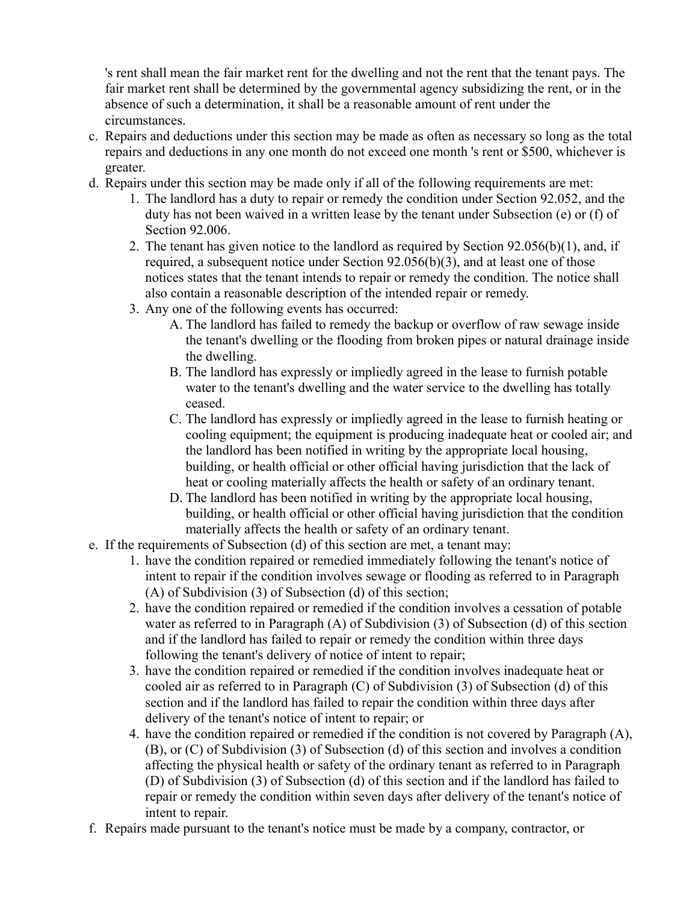's rent shall mean the fair market rent for the dwelling and not the rent that the tenant pays. The fair market rent shall be determined by the governmental agency subsidizing the rent, or in the absence of such a determination, it shall be a reasonable amount of rent under the circumstances.

- c. Repairs and deductions under this section may be made as often as necessary so long as the total repairs and deductions in any one month do not exceed one month 's rent or \$500, whichever is greater.
- d. Repairs under this section may be made only if all of the following requirements are met:
	- 1. The landlord has a duty to repair or remedy the condition under Section 92.052, and the duty has not been waived in a written lease by the tenant under Subsection (e) or (f) of Section 92.006.
	- 2. The tenant has given notice to the landlord as required by Section 92.056(b)(1), and, if required, a subsequent notice under Section 92.056(b)(3), and at least one of those notices states that the tenant intends to repair or remedy the condition. The notice shall also contain a reasonable description of the intended repair or remedy.
	- 3. Any one of the following events has occurred:
		- A. The landlord has failed to remedy the backup or overflow of raw sewage inside the tenant's dwelling or the flooding from broken pipes or natural drainage inside the dwelling.
		- B. The landlord has expressly or impliedly agreed in the lease to furnish potable water to the tenant's dwelling and the water service to the dwelling has totally ceased.
		- C. The landlord has expressly or impliedly agreed in the lease to furnish heating or cooling equipment; the equipment is producing inadequate heat or cooled air; and the landlord has been notified in writing by the appropriate local housing, building, or health official or other official having jurisdiction that the lack of heat or cooling materially affects the health or safety of an ordinary tenant.
		- D. The landlord has been notified in writing by the appropriate local housing, building, or health official or other official having jurisdiction that the condition materially affects the health or safety of an ordinary tenant.
- e. If the requirements of Subsection (d) of this section are met, a tenant may:
	- 1. have the condition repaired or remedied immediately following the tenant's notice of intent to repair if the condition involves sewage or flooding as referred to in Paragraph (A) of Subdivision (3) of Subsection (d) of this section;
	- 2. have the condition repaired or remedied if the condition involves a cessation of potable water as referred to in Paragraph (A) of Subdivision (3) of Subsection (d) of this section and if the landlord has failed to repair or remedy the condition within three days following the tenant's delivery of notice of intent to repair;
	- 3. have the condition repaired or remedied if the condition involves inadequate heat or cooled air as referred to in Paragraph (C) of Subdivision (3) of Subsection (d) of this section and if the landlord has failed to repair the condition within three days after delivery of the tenant's notice of intent to repair; or
	- 4. have the condition repaired or remedied if the condition is not covered by Paragraph (A), (B), or (C) of Subdivision (3) of Subsection (d) of this section and involves a condition affecting the physical health or safety of the ordinary tenant as referred to in Paragraph (D) of Subdivision (3) of Subsection (d) of this section and if the landlord has failed to repair or remedy the condition within seven days after delivery of the tenant's notice of intent to repair.
- f. Repairs made pursuant to the tenant's notice must be made by a company, contractor, or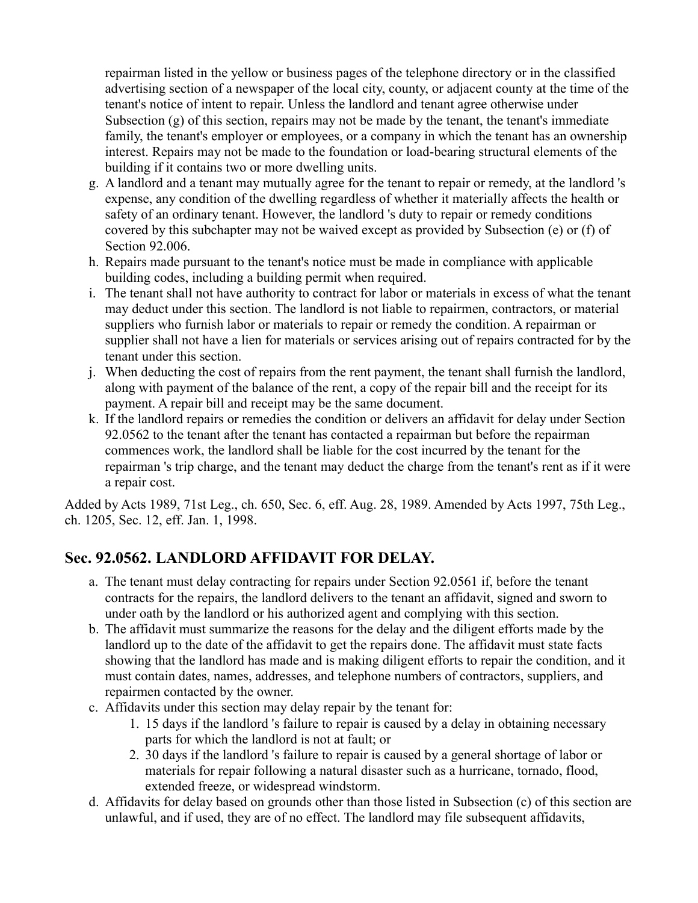repairman listed in the yellow or business pages of the telephone directory or in the classified advertising section of a newspaper of the local city, county, or adjacent county at the time of the tenant's notice of intent to repair. Unless the landlord and tenant agree otherwise under Subsection (g) of this section, repairs may not be made by the tenant, the tenant's immediate family, the tenant's employer or employees, or a company in which the tenant has an ownership interest. Repairs may not be made to the foundation or load-bearing structural elements of the building if it contains two or more dwelling units.

- g. A landlord and a tenant may mutually agree for the tenant to repair or remedy, at the landlord 's expense, any condition of the dwelling regardless of whether it materially affects the health or safety of an ordinary tenant. However, the landlord 's duty to repair or remedy conditions covered by this subchapter may not be waived except as provided by Subsection (e) or (f) of Section 92.006.
- h. Repairs made pursuant to the tenant's notice must be made in compliance with applicable building codes, including a building permit when required.
- i. The tenant shall not have authority to contract for labor or materials in excess of what the tenant may deduct under this section. The landlord is not liable to repairmen, contractors, or material suppliers who furnish labor or materials to repair or remedy the condition. A repairman or supplier shall not have a lien for materials or services arising out of repairs contracted for by the tenant under this section.
- j. When deducting the cost of repairs from the rent payment, the tenant shall furnish the landlord, along with payment of the balance of the rent, a copy of the repair bill and the receipt for its payment. A repair bill and receipt may be the same document.
- k. If the landlord repairs or remedies the condition or delivers an affidavit for delay under Section 92.0562 to the tenant after the tenant has contacted a repairman but before the repairman commences work, the landlord shall be liable for the cost incurred by the tenant for the repairman 's trip charge, and the tenant may deduct the charge from the tenant's rent as if it were a repair cost.

Added by Acts 1989, 71st Leg., ch. 650, Sec. 6, eff. Aug. 28, 1989. Amended by Acts 1997, 75th Leg., ch. 1205, Sec. 12, eff. Jan. 1, 1998.

### **Sec. 92.0562. LANDLORD AFFIDAVIT FOR DELAY.**

- a. The tenant must delay contracting for repairs under Section 92.0561 if, before the tenant contracts for the repairs, the landlord delivers to the tenant an affidavit, signed and sworn to under oath by the landlord or his authorized agent and complying with this section.
- b. The affidavit must summarize the reasons for the delay and the diligent efforts made by the landlord up to the date of the affidavit to get the repairs done. The affidavit must state facts showing that the landlord has made and is making diligent efforts to repair the condition, and it must contain dates, names, addresses, and telephone numbers of contractors, suppliers, and repairmen contacted by the owner.
- c. Affidavits under this section may delay repair by the tenant for:
	- 1. 15 days if the landlord 's failure to repair is caused by a delay in obtaining necessary parts for which the landlord is not at fault; or
	- 2. 30 days if the landlord 's failure to repair is caused by a general shortage of labor or materials for repair following a natural disaster such as a hurricane, tornado, flood, extended freeze, or widespread windstorm.
- d. Affidavits for delay based on grounds other than those listed in Subsection (c) of this section are unlawful, and if used, they are of no effect. The landlord may file subsequent affidavits,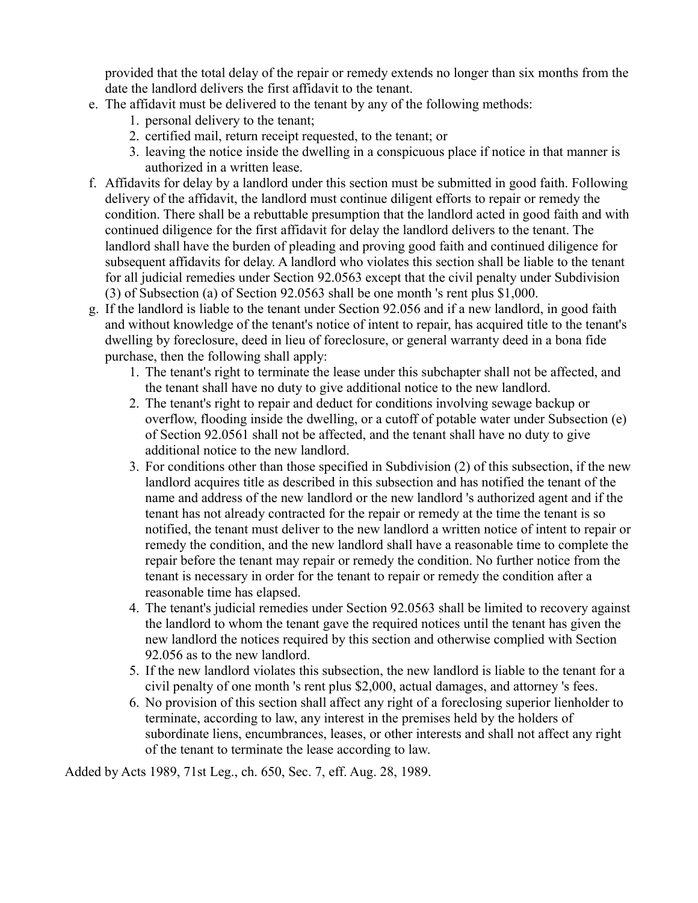provided that the total delay of the repair or remedy extends no longer than six months from the date the landlord delivers the first affidavit to the tenant.

- e. The affidavit must be delivered to the tenant by any of the following methods:
	- 1. personal delivery to the tenant;
	- 2. certified mail, return receipt requested, to the tenant; or
	- 3. leaving the notice inside the dwelling in a conspicuous place if notice in that manner is authorized in a written lease.
- f. Affidavits for delay by a landlord under this section must be submitted in good faith. Following delivery of the affidavit, the landlord must continue diligent efforts to repair or remedy the condition. There shall be a rebuttable presumption that the landlord acted in good faith and with continued diligence for the first affidavit for delay the landlord delivers to the tenant. The landlord shall have the burden of pleading and proving good faith and continued diligence for subsequent affidavits for delay. A landlord who violates this section shall be liable to the tenant for all judicial remedies under Section 92.0563 except that the civil penalty under Subdivision (3) of Subsection (a) of Section 92.0563 shall be one month 's rent plus \$1,000.
- g. If the landlord is liable to the tenant under Section 92.056 and if a new landlord, in good faith and without knowledge of the tenant's notice of intent to repair, has acquired title to the tenant's dwelling by foreclosure, deed in lieu of foreclosure, or general warranty deed in a bona fide purchase, then the following shall apply:
	- 1. The tenant's right to terminate the lease under this subchapter shall not be affected, and the tenant shall have no duty to give additional notice to the new landlord.
	- 2. The tenant's right to repair and deduct for conditions involving sewage backup or overflow, flooding inside the dwelling, or a cutoff of potable water under Subsection (e) of Section 92.0561 shall not be affected, and the tenant shall have no duty to give additional notice to the new landlord.
	- 3. For conditions other than those specified in Subdivision (2) of this subsection, if the new landlord acquires title as described in this subsection and has notified the tenant of the name and address of the new landlord or the new landlord 's authorized agent and if the tenant has not already contracted for the repair or remedy at the time the tenant is so notified, the tenant must deliver to the new landlord a written notice of intent to repair or remedy the condition, and the new landlord shall have a reasonable time to complete the repair before the tenant may repair or remedy the condition. No further notice from the tenant is necessary in order for the tenant to repair or remedy the condition after a reasonable time has elapsed.
	- 4. The tenant's judicial remedies under Section 92.0563 shall be limited to recovery against the landlord to whom the tenant gave the required notices until the tenant has given the new landlord the notices required by this section and otherwise complied with Section 92.056 as to the new landlord.
	- 5. If the new landlord violates this subsection, the new landlord is liable to the tenant for a civil penalty of one month 's rent plus \$2,000, actual damages, and attorney 's fees.
	- 6. No provision of this section shall affect any right of a foreclosing superior lienholder to terminate, according to law, any interest in the premises held by the holders of subordinate liens, encumbrances, leases, or other interests and shall not affect any right of the tenant to terminate the lease according to law.

Added by Acts 1989, 71st Leg., ch. 650, Sec. 7, eff. Aug. 28, 1989.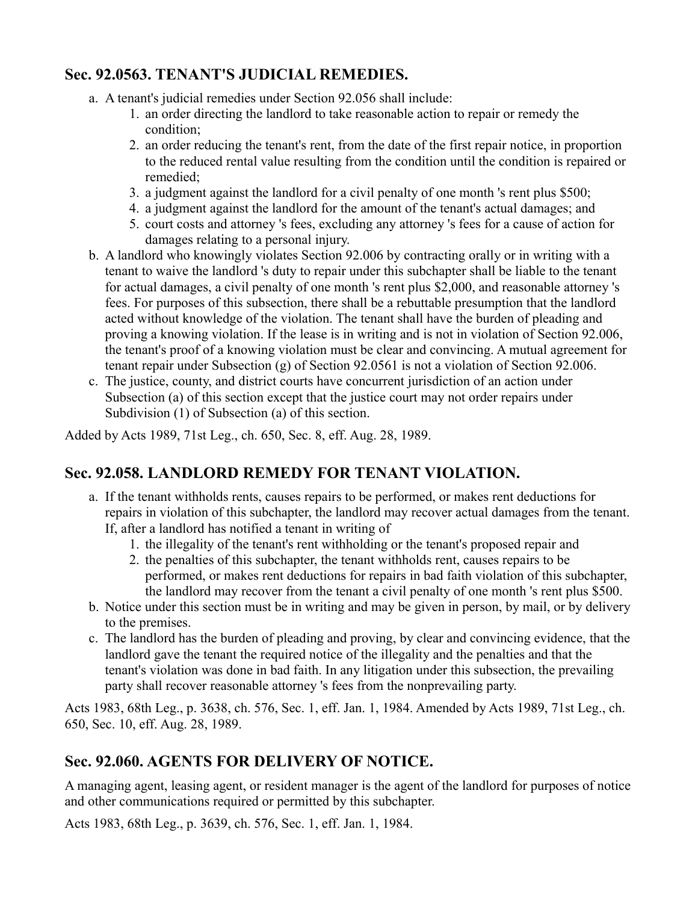### **Sec. 92.0563. TENANT'S JUDICIAL REMEDIES.**

- a. A tenant's judicial remedies under Section 92.056 shall include:
	- 1. an order directing the landlord to take reasonable action to repair or remedy the condition;
	- 2. an order reducing the tenant's rent, from the date of the first repair notice, in proportion to the reduced rental value resulting from the condition until the condition is repaired or remedied;
	- 3. a judgment against the landlord for a civil penalty of one month 's rent plus \$500;
	- 4. a judgment against the landlord for the amount of the tenant's actual damages; and
	- 5. court costs and attorney 's fees, excluding any attorney 's fees for a cause of action for damages relating to a personal injury.
- b. A landlord who knowingly violates Section 92.006 by contracting orally or in writing with a tenant to waive the landlord 's duty to repair under this subchapter shall be liable to the tenant for actual damages, a civil penalty of one month 's rent plus \$2,000, and reasonable attorney 's fees. For purposes of this subsection, there shall be a rebuttable presumption that the landlord acted without knowledge of the violation. The tenant shall have the burden of pleading and proving a knowing violation. If the lease is in writing and is not in violation of Section 92.006, the tenant's proof of a knowing violation must be clear and convincing. A mutual agreement for tenant repair under Subsection (g) of Section 92.0561 is not a violation of Section 92.006.
- c. The justice, county, and district courts have concurrent jurisdiction of an action under Subsection (a) of this section except that the justice court may not order repairs under Subdivision (1) of Subsection (a) of this section.

Added by Acts 1989, 71st Leg., ch. 650, Sec. 8, eff. Aug. 28, 1989.

# **Sec. 92.058. LANDLORD REMEDY FOR TENANT VIOLATION.**

- a. If the tenant withholds rents, causes repairs to be performed, or makes rent deductions for repairs in violation of this subchapter, the landlord may recover actual damages from the tenant. If, after a landlord has notified a tenant in writing of
	- 1. the illegality of the tenant's rent withholding or the tenant's proposed repair and
	- 2. the penalties of this subchapter, the tenant withholds rent, causes repairs to be performed, or makes rent deductions for repairs in bad faith violation of this subchapter, the landlord may recover from the tenant a civil penalty of one month 's rent plus \$500.
- b. Notice under this section must be in writing and may be given in person, by mail, or by delivery to the premises.
- c. The landlord has the burden of pleading and proving, by clear and convincing evidence, that the landlord gave the tenant the required notice of the illegality and the penalties and that the tenant's violation was done in bad faith. In any litigation under this subsection, the prevailing party shall recover reasonable attorney 's fees from the nonprevailing party.

Acts 1983, 68th Leg., p. 3638, ch. 576, Sec. 1, eff. Jan. 1, 1984. Amended by Acts 1989, 71st Leg., ch. 650, Sec. 10, eff. Aug. 28, 1989.

### **Sec. 92.060. AGENTS FOR DELIVERY OF NOTICE.**

A managing agent, leasing agent, or resident manager is the agent of the landlord for purposes of notice and other communications required or permitted by this subchapter.

Acts 1983, 68th Leg., p. 3639, ch. 576, Sec. 1, eff. Jan. 1, 1984.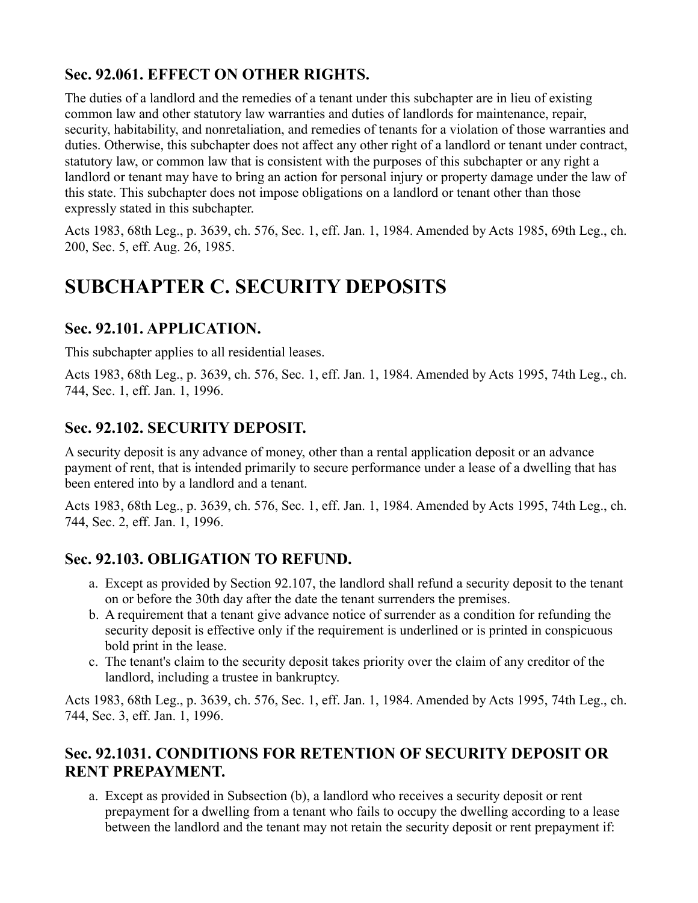# **Sec. 92.061. EFFECT ON OTHER RIGHTS.**

The duties of a landlord and the remedies of a tenant under this subchapter are in lieu of existing common law and other statutory law warranties and duties of landlords for maintenance, repair, security, habitability, and nonretaliation, and remedies of tenants for a violation of those warranties and duties. Otherwise, this subchapter does not affect any other right of a landlord or tenant under contract, statutory law, or common law that is consistent with the purposes of this subchapter or any right a landlord or tenant may have to bring an action for personal injury or property damage under the law of this state. This subchapter does not impose obligations on a landlord or tenant other than those expressly stated in this subchapter.

Acts 1983, 68th Leg., p. 3639, ch. 576, Sec. 1, eff. Jan. 1, 1984. Amended by Acts 1985, 69th Leg., ch. 200, Sec. 5, eff. Aug. 26, 1985.

# **SUBCHAPTER C. SECURITY DEPOSITS**

#### **Sec. 92.101. APPLICATION.**

This subchapter applies to all residential leases.

Acts 1983, 68th Leg., p. 3639, ch. 576, Sec. 1, eff. Jan. 1, 1984. Amended by Acts 1995, 74th Leg., ch. 744, Sec. 1, eff. Jan. 1, 1996.

## **Sec. 92.102. SECURITY DEPOSIT.**

A security deposit is any advance of money, other than a rental application deposit or an advance payment of rent, that is intended primarily to secure performance under a lease of a dwelling that has been entered into by a landlord and a tenant.

Acts 1983, 68th Leg., p. 3639, ch. 576, Sec. 1, eff. Jan. 1, 1984. Amended by Acts 1995, 74th Leg., ch. 744, Sec. 2, eff. Jan. 1, 1996.

### **Sec. 92.103. OBLIGATION TO REFUND.**

- a. Except as provided by Section 92.107, the landlord shall refund a security deposit to the tenant on or before the 30th day after the date the tenant surrenders the premises.
- b. A requirement that a tenant give advance notice of surrender as a condition for refunding the security deposit is effective only if the requirement is underlined or is printed in conspicuous bold print in the lease.
- c. The tenant's claim to the security deposit takes priority over the claim of any creditor of the landlord, including a trustee in bankruptcy.

Acts 1983, 68th Leg., p. 3639, ch. 576, Sec. 1, eff. Jan. 1, 1984. Amended by Acts 1995, 74th Leg., ch. 744, Sec. 3, eff. Jan. 1, 1996.

#### **Sec. 92.1031. CONDITIONS FOR RETENTION OF SECURITY DEPOSIT OR RENT PREPAYMENT.**

a. Except as provided in Subsection (b), a landlord who receives a security deposit or rent prepayment for a dwelling from a tenant who fails to occupy the dwelling according to a lease between the landlord and the tenant may not retain the security deposit or rent prepayment if: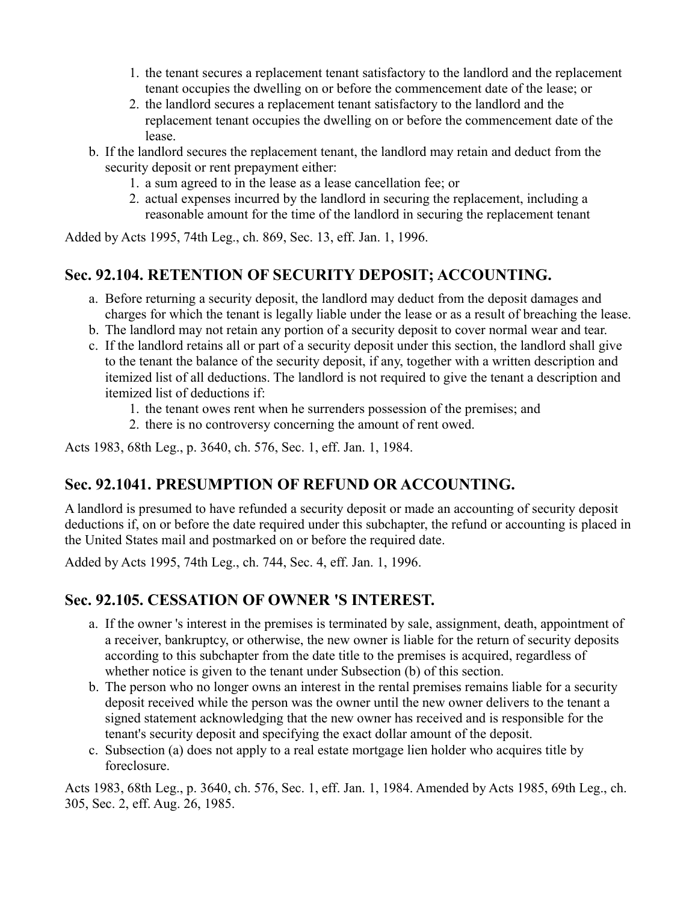- 1. the tenant secures a replacement tenant satisfactory to the landlord and the replacement tenant occupies the dwelling on or before the commencement date of the lease; or
- 2. the landlord secures a replacement tenant satisfactory to the landlord and the replacement tenant occupies the dwelling on or before the commencement date of the lease.
- b. If the landlord secures the replacement tenant, the landlord may retain and deduct from the security deposit or rent prepayment either:
	- 1. a sum agreed to in the lease as a lease cancellation fee; or
	- 2. actual expenses incurred by the landlord in securing the replacement, including a reasonable amount for the time of the landlord in securing the replacement tenant

Added by Acts 1995, 74th Leg., ch. 869, Sec. 13, eff. Jan. 1, 1996.

## **Sec. 92.104. RETENTION OF SECURITY DEPOSIT; ACCOUNTING.**

- a. Before returning a security deposit, the landlord may deduct from the deposit damages and charges for which the tenant is legally liable under the lease or as a result of breaching the lease.
- b. The landlord may not retain any portion of a security deposit to cover normal wear and tear.
- c. If the landlord retains all or part of a security deposit under this section, the landlord shall give to the tenant the balance of the security deposit, if any, together with a written description and itemized list of all deductions. The landlord is not required to give the tenant a description and itemized list of deductions if:
	- 1. the tenant owes rent when he surrenders possession of the premises; and
	- 2. there is no controversy concerning the amount of rent owed.

Acts 1983, 68th Leg., p. 3640, ch. 576, Sec. 1, eff. Jan. 1, 1984.

# **Sec. 92.1041. PRESUMPTION OF REFUND OR ACCOUNTING.**

A landlord is presumed to have refunded a security deposit or made an accounting of security deposit deductions if, on or before the date required under this subchapter, the refund or accounting is placed in the United States mail and postmarked on or before the required date.

Added by Acts 1995, 74th Leg., ch. 744, Sec. 4, eff. Jan. 1, 1996.

# **Sec. 92.105. CESSATION OF OWNER 'S INTEREST.**

- a. If the owner 's interest in the premises is terminated by sale, assignment, death, appointment of a receiver, bankruptcy, or otherwise, the new owner is liable for the return of security deposits according to this subchapter from the date title to the premises is acquired, regardless of whether notice is given to the tenant under Subsection (b) of this section.
- b. The person who no longer owns an interest in the rental premises remains liable for a security deposit received while the person was the owner until the new owner delivers to the tenant a signed statement acknowledging that the new owner has received and is responsible for the tenant's security deposit and specifying the exact dollar amount of the deposit.
- c. Subsection (a) does not apply to a real estate mortgage lien holder who acquires title by foreclosure.

Acts 1983, 68th Leg., p. 3640, ch. 576, Sec. 1, eff. Jan. 1, 1984. Amended by Acts 1985, 69th Leg., ch. 305, Sec. 2, eff. Aug. 26, 1985.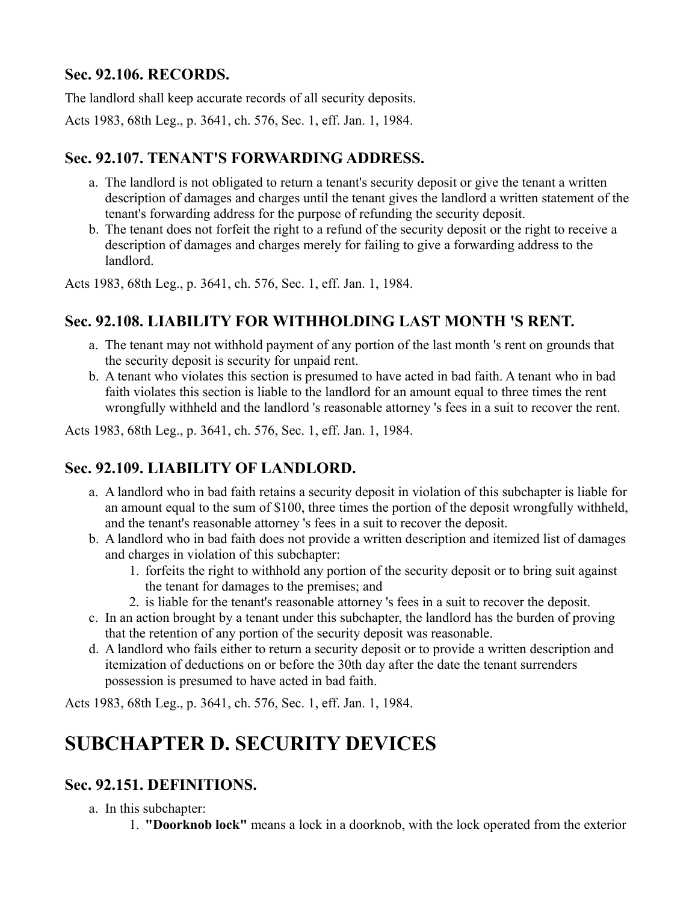### **Sec. 92.106. RECORDS.**

The landlord shall keep accurate records of all security deposits.

Acts 1983, 68th Leg., p. 3641, ch. 576, Sec. 1, eff. Jan. 1, 1984.

#### **Sec. 92.107. TENANT'S FORWARDING ADDRESS.**

- a. The landlord is not obligated to return a tenant's security deposit or give the tenant a written description of damages and charges until the tenant gives the landlord a written statement of the tenant's forwarding address for the purpose of refunding the security deposit.
- b. The tenant does not forfeit the right to a refund of the security deposit or the right to receive a description of damages and charges merely for failing to give a forwarding address to the landlord.

Acts 1983, 68th Leg., p. 3641, ch. 576, Sec. 1, eff. Jan. 1, 1984.

### **Sec. 92.108. LIABILITY FOR WITHHOLDING LAST MONTH 'S RENT.**

- a. The tenant may not withhold payment of any portion of the last month 's rent on grounds that the security deposit is security for unpaid rent.
- b. A tenant who violates this section is presumed to have acted in bad faith. A tenant who in bad faith violates this section is liable to the landlord for an amount equal to three times the rent wrongfully withheld and the landlord 's reasonable attorney 's fees in a suit to recover the rent.

Acts 1983, 68th Leg., p. 3641, ch. 576, Sec. 1, eff. Jan. 1, 1984.

### **Sec. 92.109. LIABILITY OF LANDLORD.**

- a. A landlord who in bad faith retains a security deposit in violation of this subchapter is liable for an amount equal to the sum of \$100, three times the portion of the deposit wrongfully withheld, and the tenant's reasonable attorney 's fees in a suit to recover the deposit.
- b. A landlord who in bad faith does not provide a written description and itemized list of damages and charges in violation of this subchapter:
	- 1. forfeits the right to withhold any portion of the security deposit or to bring suit against the tenant for damages to the premises; and
	- 2. is liable for the tenant's reasonable attorney 's fees in a suit to recover the deposit.
- c. In an action brought by a tenant under this subchapter, the landlord has the burden of proving that the retention of any portion of the security deposit was reasonable.
- d. A landlord who fails either to return a security deposit or to provide a written description and itemization of deductions on or before the 30th day after the date the tenant surrenders possession is presumed to have acted in bad faith.

Acts 1983, 68th Leg., p. 3641, ch. 576, Sec. 1, eff. Jan. 1, 1984.

# **SUBCHAPTER D. SECURITY DEVICES**

### **Sec. 92.151. DEFINITIONS.**

a. In this subchapter:

1. **"Doorknob lock"** means a lock in a doorknob, with the lock operated from the exterior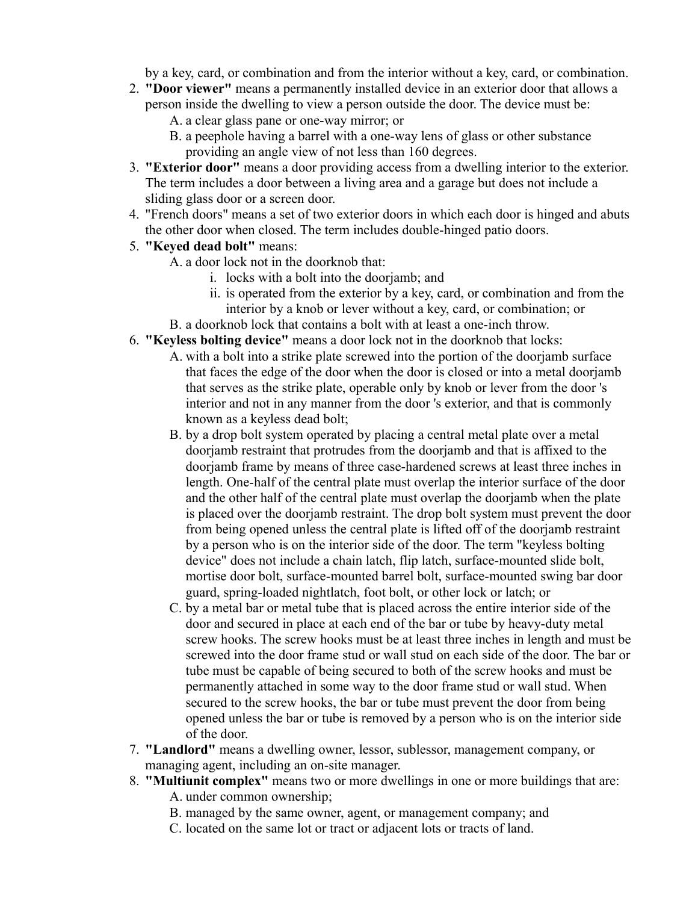by a key, card, or combination and from the interior without a key, card, or combination.

- 2. **"Door viewer"** means a permanently installed device in an exterior door that allows a person inside the dwelling to view a person outside the door. The device must be:
	- A. a clear glass pane or one-way mirror; or
	- B. a peephole having a barrel with a one-way lens of glass or other substance providing an angle view of not less than 160 degrees.
- 3. **"Exterior door"** means a door providing access from a dwelling interior to the exterior. The term includes a door between a living area and a garage but does not include a sliding glass door or a screen door.
- 4. "French doors" means a set of two exterior doors in which each door is hinged and abuts the other door when closed. The term includes double-hinged patio doors.
- 5. **"Keyed dead bolt"** means:
	- A. a door lock not in the doorknob that:
		- i. locks with a bolt into the doorjamb; and
		- ii. is operated from the exterior by a key, card, or combination and from the interior by a knob or lever without a key, card, or combination; or
	- B. a doorknob lock that contains a bolt with at least a one-inch throw.
- 6. **"Keyless bolting device"** means a door lock not in the doorknob that locks:
	- A. with a bolt into a strike plate screwed into the portion of the doorjamb surface that faces the edge of the door when the door is closed or into a metal doorjamb that serves as the strike plate, operable only by knob or lever from the door 's interior and not in any manner from the door 's exterior, and that is commonly known as a keyless dead bolt;
	- B. by a drop bolt system operated by placing a central metal plate over a metal doorjamb restraint that protrudes from the doorjamb and that is affixed to the doorjamb frame by means of three case-hardened screws at least three inches in length. One-half of the central plate must overlap the interior surface of the door and the other half of the central plate must overlap the doorjamb when the plate is placed over the doorjamb restraint. The drop bolt system must prevent the door from being opened unless the central plate is lifted off of the doorjamb restraint by a person who is on the interior side of the door. The term "keyless bolting device" does not include a chain latch, flip latch, surface-mounted slide bolt, mortise door bolt, surface-mounted barrel bolt, surface-mounted swing bar door guard, spring-loaded nightlatch, foot bolt, or other lock or latch; or
	- C. by a metal bar or metal tube that is placed across the entire interior side of the door and secured in place at each end of the bar or tube by heavy-duty metal screw hooks. The screw hooks must be at least three inches in length and must be screwed into the door frame stud or wall stud on each side of the door. The bar or tube must be capable of being secured to both of the screw hooks and must be permanently attached in some way to the door frame stud or wall stud. When secured to the screw hooks, the bar or tube must prevent the door from being opened unless the bar or tube is removed by a person who is on the interior side of the door.
- 7. **"Landlord"** means a dwelling owner, lessor, sublessor, management company, or managing agent, including an on-site manager.
- 8. **"Multiunit complex"** means two or more dwellings in one or more buildings that are: A. under common ownership;
	- B. managed by the same owner, agent, or management company; and
	- C. located on the same lot or tract or adjacent lots or tracts of land.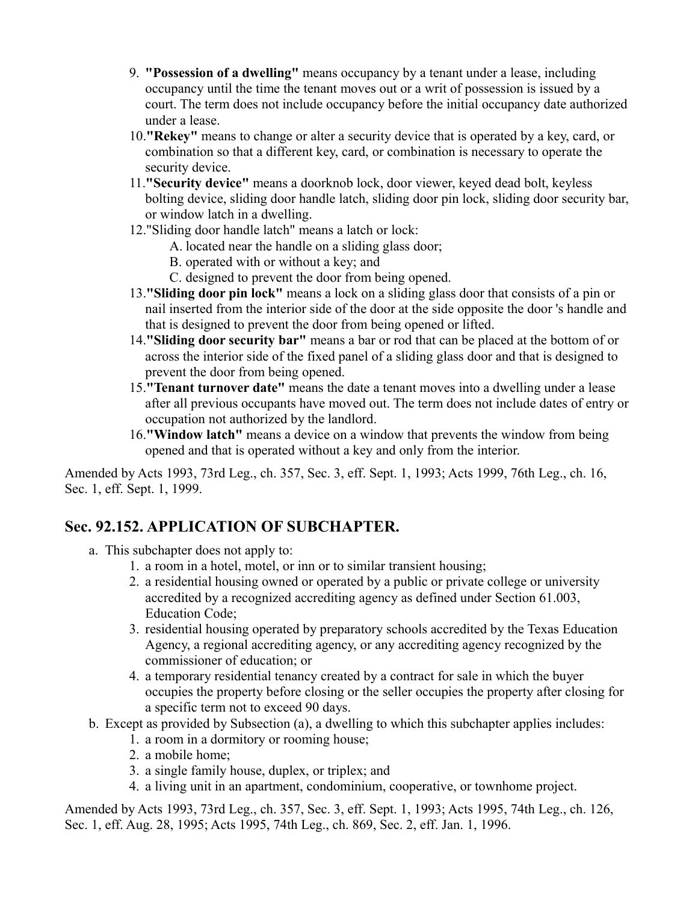- 9. **"Possession of a dwelling"** means occupancy by a tenant under a lease, including occupancy until the time the tenant moves out or a writ of possession is issued by a court. The term does not include occupancy before the initial occupancy date authorized under a lease.
- 10.**"Rekey"** means to change or alter a security device that is operated by a key, card, or combination so that a different key, card, or combination is necessary to operate the security device.
- 11.**"Security device"** means a doorknob lock, door viewer, keyed dead bolt, keyless bolting device, sliding door handle latch, sliding door pin lock, sliding door security bar, or window latch in a dwelling.
- 12."Sliding door handle latch" means a latch or lock:
	- A. located near the handle on a sliding glass door;
	- B. operated with or without a key; and
	- C. designed to prevent the door from being opened.
- 13.**"Sliding door pin lock"** means a lock on a sliding glass door that consists of a pin or nail inserted from the interior side of the door at the side opposite the door 's handle and that is designed to prevent the door from being opened or lifted.
- 14.**"Sliding door security bar"** means a bar or rod that can be placed at the bottom of or across the interior side of the fixed panel of a sliding glass door and that is designed to prevent the door from being opened.
- 15.**"Tenant turnover date"** means the date a tenant moves into a dwelling under a lease after all previous occupants have moved out. The term does not include dates of entry or occupation not authorized by the landlord.
- 16.**"Window latch"** means a device on a window that prevents the window from being opened and that is operated without a key and only from the interior.

Amended by Acts 1993, 73rd Leg., ch. 357, Sec. 3, eff. Sept. 1, 1993; Acts 1999, 76th Leg., ch. 16, Sec. 1, eff. Sept. 1, 1999.

### **Sec. 92.152. APPLICATION OF SUBCHAPTER.**

- a. This subchapter does not apply to:
	- 1. a room in a hotel, motel, or inn or to similar transient housing;
	- 2. a residential housing owned or operated by a public or private college or university accredited by a recognized accrediting agency as defined under Section 61.003, Education Code;
	- 3. residential housing operated by preparatory schools accredited by the Texas Education Agency, a regional accrediting agency, or any accrediting agency recognized by the commissioner of education; or
	- 4. a temporary residential tenancy created by a contract for sale in which the buyer occupies the property before closing or the seller occupies the property after closing for a specific term not to exceed 90 days.
- b. Except as provided by Subsection (a), a dwelling to which this subchapter applies includes:
	- 1. a room in a dormitory or rooming house;
	- 2. a mobile home;
	- 3. a single family house, duplex, or triplex; and
	- 4. a living unit in an apartment, condominium, cooperative, or townhome project.

Amended by Acts 1993, 73rd Leg., ch. 357, Sec. 3, eff. Sept. 1, 1993; Acts 1995, 74th Leg., ch. 126, Sec. 1, eff. Aug. 28, 1995; Acts 1995, 74th Leg., ch. 869, Sec. 2, eff. Jan. 1, 1996.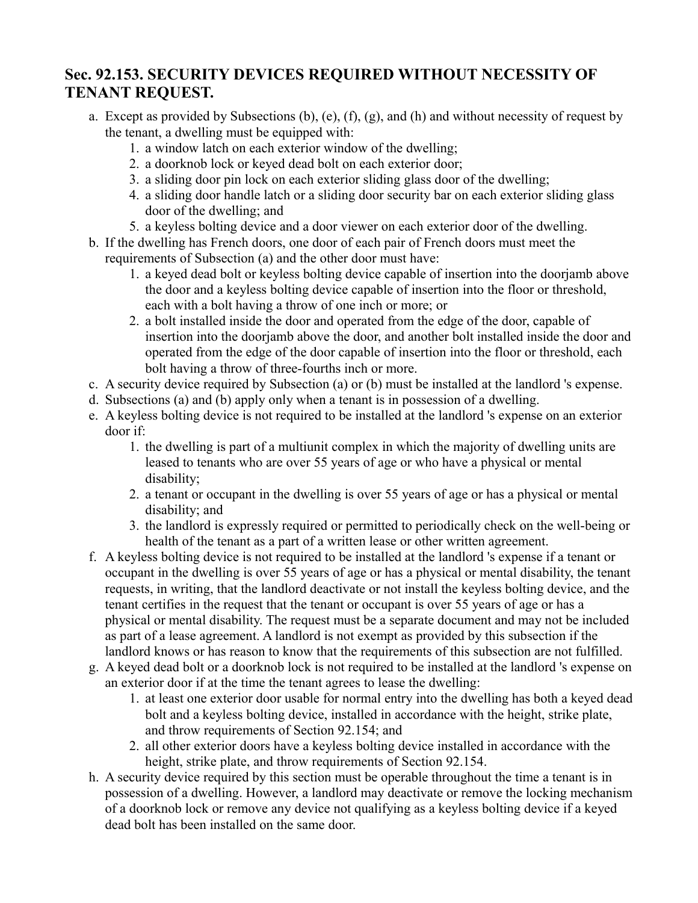# **Sec. 92.153. SECURITY DEVICES REQUIRED WITHOUT NECESSITY OF TENANT REQUEST.**

- a. Except as provided by Subsections (b), (e), (f), (g), and (h) and without necessity of request by the tenant, a dwelling must be equipped with:
	- 1. a window latch on each exterior window of the dwelling;
	- 2. a doorknob lock or keyed dead bolt on each exterior door;
	- 3. a sliding door pin lock on each exterior sliding glass door of the dwelling;
	- 4. a sliding door handle latch or a sliding door security bar on each exterior sliding glass door of the dwelling; and
	- 5. a keyless bolting device and a door viewer on each exterior door of the dwelling.
- b. If the dwelling has French doors, one door of each pair of French doors must meet the requirements of Subsection (a) and the other door must have:
	- 1. a keyed dead bolt or keyless bolting device capable of insertion into the doorjamb above the door and a keyless bolting device capable of insertion into the floor or threshold, each with a bolt having a throw of one inch or more; or
	- 2. a bolt installed inside the door and operated from the edge of the door, capable of insertion into the doorjamb above the door, and another bolt installed inside the door and operated from the edge of the door capable of insertion into the floor or threshold, each bolt having a throw of three-fourths inch or more.
- c. A security device required by Subsection (a) or (b) must be installed at the landlord 's expense.
- d. Subsections (a) and (b) apply only when a tenant is in possession of a dwelling.
- e. A keyless bolting device is not required to be installed at the landlord 's expense on an exterior door if:
	- 1. the dwelling is part of a multiunit complex in which the majority of dwelling units are leased to tenants who are over 55 years of age or who have a physical or mental disability;
	- 2. a tenant or occupant in the dwelling is over 55 years of age or has a physical or mental disability; and
	- 3. the landlord is expressly required or permitted to periodically check on the well-being or health of the tenant as a part of a written lease or other written agreement.
- f. A keyless bolting device is not required to be installed at the landlord 's expense if a tenant or occupant in the dwelling is over 55 years of age or has a physical or mental disability, the tenant requests, in writing, that the landlord deactivate or not install the keyless bolting device, and the tenant certifies in the request that the tenant or occupant is over 55 years of age or has a physical or mental disability. The request must be a separate document and may not be included as part of a lease agreement. A landlord is not exempt as provided by this subsection if the landlord knows or has reason to know that the requirements of this subsection are not fulfilled.
- g. A keyed dead bolt or a doorknob lock is not required to be installed at the landlord 's expense on an exterior door if at the time the tenant agrees to lease the dwelling:
	- 1. at least one exterior door usable for normal entry into the dwelling has both a keyed dead bolt and a keyless bolting device, installed in accordance with the height, strike plate, and throw requirements of Section 92.154; and
	- 2. all other exterior doors have a keyless bolting device installed in accordance with the height, strike plate, and throw requirements of Section 92.154.
- h. A security device required by this section must be operable throughout the time a tenant is in possession of a dwelling. However, a landlord may deactivate or remove the locking mechanism of a doorknob lock or remove any device not qualifying as a keyless bolting device if a keyed dead bolt has been installed on the same door.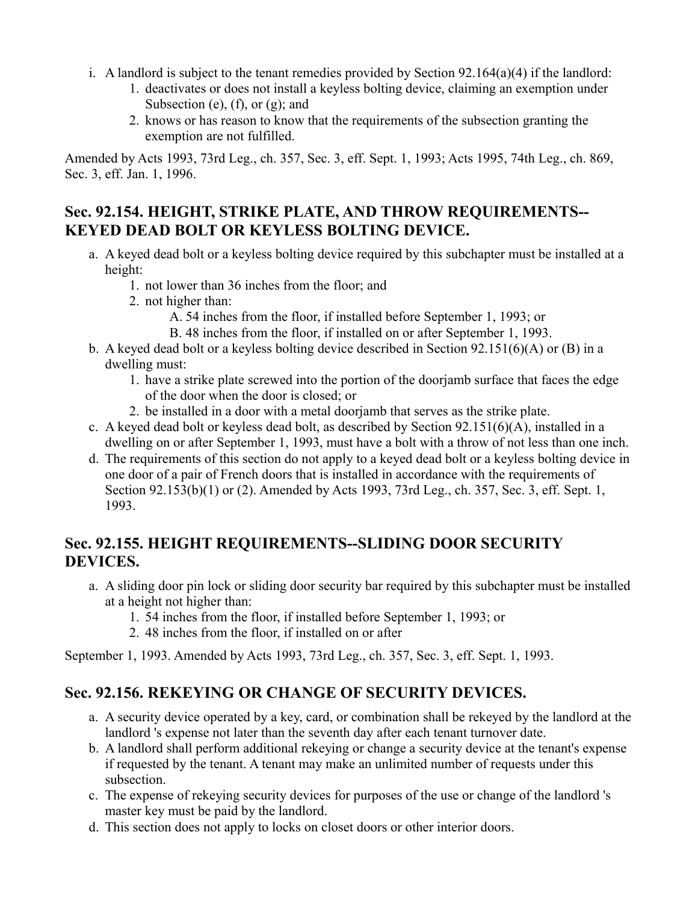- i. A landlord is subject to the tenant remedies provided by Section  $92.164(a)(4)$  if the landlord:
	- 1. deactivates or does not install a keyless bolting device, claiming an exemption under Subsection (e),  $(f)$ , or  $(g)$ ; and
	- 2. knows or has reason to know that the requirements of the subsection granting the exemption are not fulfilled.

Amended by Acts 1993, 73rd Leg., ch. 357, Sec. 3, eff. Sept. 1, 1993; Acts 1995, 74th Leg., ch. 869, Sec. 3, eff. Jan. 1, 1996.

#### **Sec. 92.154. HEIGHT, STRIKE PLATE, AND THROW REQUIREMENTS-- KEYED DEAD BOLT OR KEYLESS BOLTING DEVICE.**

- a. A keyed dead bolt or a keyless bolting device required by this subchapter must be installed at a height:
	- 1. not lower than 36 inches from the floor; and
	- 2. not higher than:
		- A. 54 inches from the floor, if installed before September 1, 1993; or
		- B. 48 inches from the floor, if installed on or after September 1, 1993.
- b. A keyed dead bolt or a keyless bolting device described in Section 92.151(6)(A) or (B) in a dwelling must:
	- 1. have a strike plate screwed into the portion of the doorjamb surface that faces the edge of the door when the door is closed; or
	- 2. be installed in a door with a metal doorjamb that serves as the strike plate.
- c. A keyed dead bolt or keyless dead bolt, as described by Section 92.151(6)(A), installed in a dwelling on or after September 1, 1993, must have a bolt with a throw of not less than one inch.
- d. The requirements of this section do not apply to a keyed dead bolt or a keyless bolting device in one door of a pair of French doors that is installed in accordance with the requirements of Section 92.153(b)(1) or (2). Amended by Acts 1993, 73rd Leg., ch. 357, Sec. 3, eff. Sept. 1, 1993.

#### **Sec. 92.155. HEIGHT REQUIREMENTS--SLIDING DOOR SECURITY DEVICES.**

- a. A sliding door pin lock or sliding door security bar required by this subchapter must be installed at a height not higher than:
	- 1. 54 inches from the floor, if installed before September 1, 1993; or
	- 2. 48 inches from the floor, if installed on or after

September 1, 1993. Amended by Acts 1993, 73rd Leg., ch. 357, Sec. 3, eff. Sept. 1, 1993.

### **Sec. 92.156. REKEYING OR CHANGE OF SECURITY DEVICES.**

- a. A security device operated by a key, card, or combination shall be rekeyed by the landlord at the landlord 's expense not later than the seventh day after each tenant turnover date.
- b. A landlord shall perform additional rekeying or change a security device at the tenant's expense if requested by the tenant. A tenant may make an unlimited number of requests under this subsection.
- c. The expense of rekeying security devices for purposes of the use or change of the landlord 's master key must be paid by the landlord.
- d. This section does not apply to locks on closet doors or other interior doors.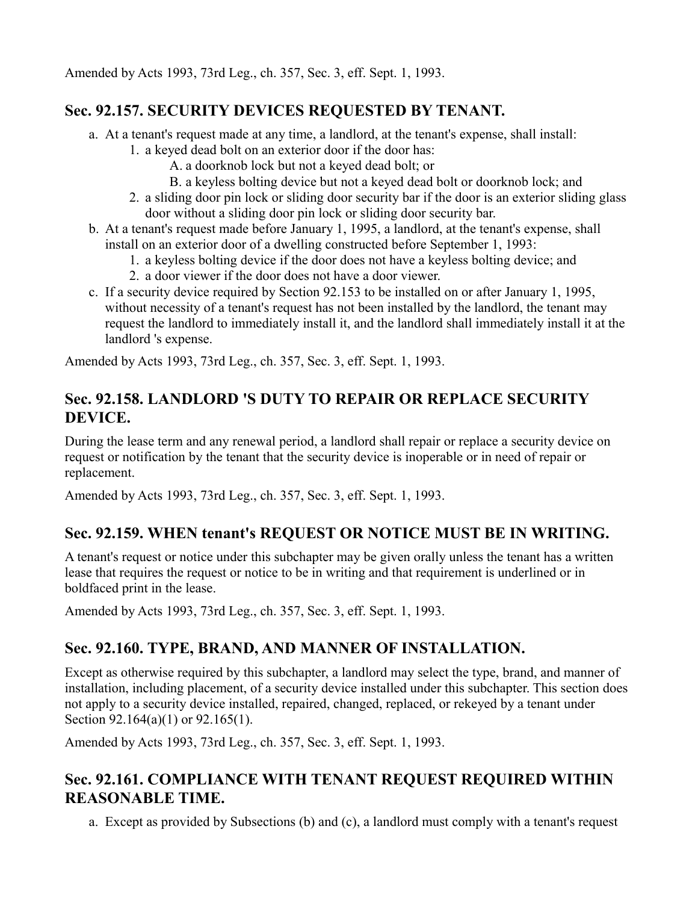Amended by Acts 1993, 73rd Leg., ch. 357, Sec. 3, eff. Sept. 1, 1993.

## **Sec. 92.157. SECURITY DEVICES REQUESTED BY TENANT.**

- a. At a tenant's request made at any time, a landlord, at the tenant's expense, shall install:
	- 1. a keyed dead bolt on an exterior door if the door has:
		- A. a doorknob lock but not a keyed dead bolt; or
		- B. a keyless bolting device but not a keyed dead bolt or doorknob lock; and
	- 2. a sliding door pin lock or sliding door security bar if the door is an exterior sliding glass door without a sliding door pin lock or sliding door security bar.
- b. At a tenant's request made before January 1, 1995, a landlord, at the tenant's expense, shall install on an exterior door of a dwelling constructed before September 1, 1993:
	- 1. a keyless bolting device if the door does not have a keyless bolting device; and
	- 2. a door viewer if the door does not have a door viewer.
- c. If a security device required by Section 92.153 to be installed on or after January 1, 1995, without necessity of a tenant's request has not been installed by the landlord, the tenant may request the landlord to immediately install it, and the landlord shall immediately install it at the landlord 's expense.

Amended by Acts 1993, 73rd Leg., ch. 357, Sec. 3, eff. Sept. 1, 1993.

### **Sec. 92.158. LANDLORD 'S DUTY TO REPAIR OR REPLACE SECURITY DEVICE.**

During the lease term and any renewal period, a landlord shall repair or replace a security device on request or notification by the tenant that the security device is inoperable or in need of repair or replacement.

Amended by Acts 1993, 73rd Leg., ch. 357, Sec. 3, eff. Sept. 1, 1993.

# **Sec. 92.159. WHEN tenant's REQUEST OR NOTICE MUST BE IN WRITING.**

A tenant's request or notice under this subchapter may be given orally unless the tenant has a written lease that requires the request or notice to be in writing and that requirement is underlined or in boldfaced print in the lease.

Amended by Acts 1993, 73rd Leg., ch. 357, Sec. 3, eff. Sept. 1, 1993.

### **Sec. 92.160. TYPE, BRAND, AND MANNER OF INSTALLATION.**

Except as otherwise required by this subchapter, a landlord may select the type, brand, and manner of installation, including placement, of a security device installed under this subchapter. This section does not apply to a security device installed, repaired, changed, replaced, or rekeyed by a tenant under Section 92.164(a)(1) or 92.165(1).

Amended by Acts 1993, 73rd Leg., ch. 357, Sec. 3, eff. Sept. 1, 1993.

### **Sec. 92.161. COMPLIANCE WITH TENANT REQUEST REQUIRED WITHIN REASONABLE TIME.**

a. Except as provided by Subsections (b) and (c), a landlord must comply with a tenant's request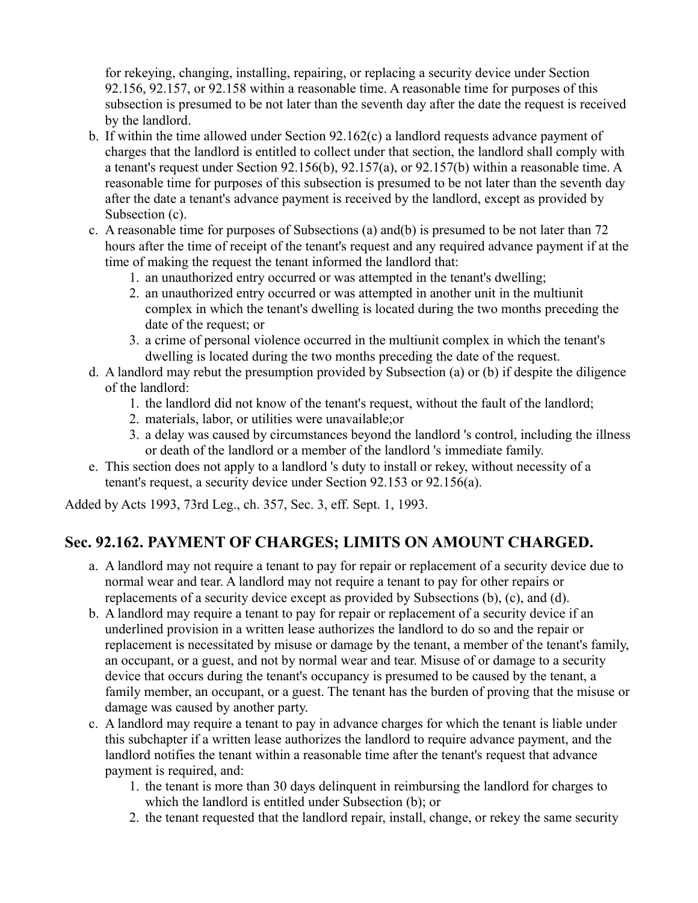for rekeying, changing, installing, repairing, or replacing a security device under Section 92.156, 92.157, or 92.158 within a reasonable time. A reasonable time for purposes of this subsection is presumed to be not later than the seventh day after the date the request is received by the landlord.

- b. If within the time allowed under Section 92.162(c) a landlord requests advance payment of charges that the landlord is entitled to collect under that section, the landlord shall comply with a tenant's request under Section 92.156(b), 92.157(a), or 92.157(b) within a reasonable time. A reasonable time for purposes of this subsection is presumed to be not later than the seventh day after the date a tenant's advance payment is received by the landlord, except as provided by Subsection (c).
- c. A reasonable time for purposes of Subsections (a) and(b) is presumed to be not later than 72 hours after the time of receipt of the tenant's request and any required advance payment if at the time of making the request the tenant informed the landlord that:
	- 1. an unauthorized entry occurred or was attempted in the tenant's dwelling;
	- 2. an unauthorized entry occurred or was attempted in another unit in the multiunit complex in which the tenant's dwelling is located during the two months preceding the date of the request; or
	- 3. a crime of personal violence occurred in the multiunit complex in which the tenant's dwelling is located during the two months preceding the date of the request.
- d. A landlord may rebut the presumption provided by Subsection (a) or (b) if despite the diligence of the landlord:
	- 1. the landlord did not know of the tenant's request, without the fault of the landlord;
	- 2. materials, labor, or utilities were unavailable;or
	- 3. a delay was caused by circumstances beyond the landlord 's control, including the illness or death of the landlord or a member of the landlord 's immediate family.
- e. This section does not apply to a landlord 's duty to install or rekey, without necessity of a tenant's request, a security device under Section 92.153 or 92.156(a).

Added by Acts 1993, 73rd Leg., ch. 357, Sec. 3, eff. Sept. 1, 1993.

# **Sec. 92.162. PAYMENT OF CHARGES; LIMITS ON AMOUNT CHARGED.**

- a. A landlord may not require a tenant to pay for repair or replacement of a security device due to normal wear and tear. A landlord may not require a tenant to pay for other repairs or replacements of a security device except as provided by Subsections (b), (c), and (d).
- b. A landlord may require a tenant to pay for repair or replacement of a security device if an underlined provision in a written lease authorizes the landlord to do so and the repair or replacement is necessitated by misuse or damage by the tenant, a member of the tenant's family, an occupant, or a guest, and not by normal wear and tear. Misuse of or damage to a security device that occurs during the tenant's occupancy is presumed to be caused by the tenant, a family member, an occupant, or a guest. The tenant has the burden of proving that the misuse or damage was caused by another party.
- c. A landlord may require a tenant to pay in advance charges for which the tenant is liable under this subchapter if a written lease authorizes the landlord to require advance payment, and the landlord notifies the tenant within a reasonable time after the tenant's request that advance payment is required, and:
	- 1. the tenant is more than 30 days delinquent in reimbursing the landlord for charges to which the landlord is entitled under Subsection (b); or
	- 2. the tenant requested that the landlord repair, install, change, or rekey the same security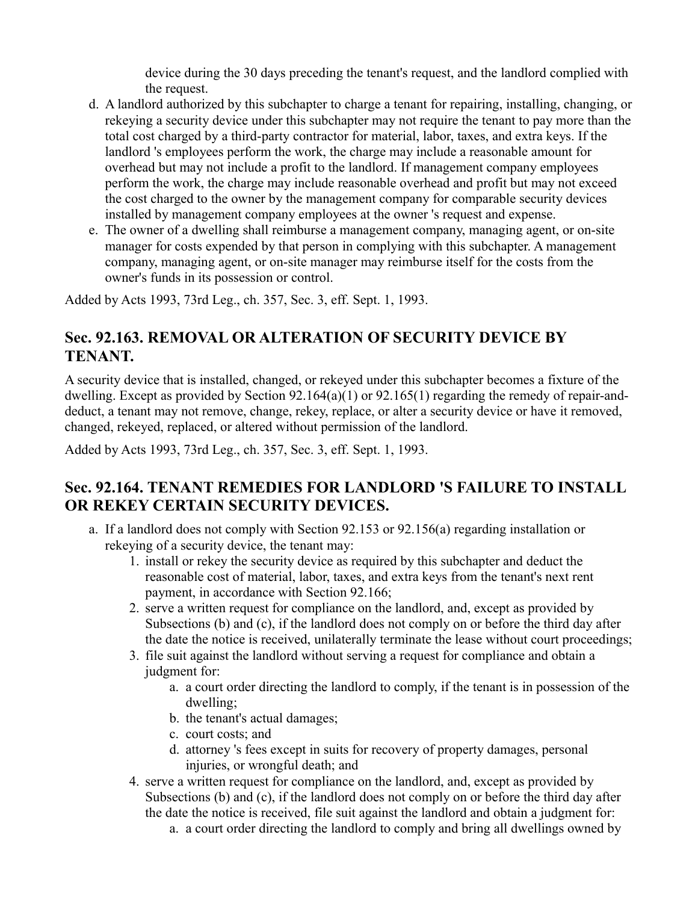device during the 30 days preceding the tenant's request, and the landlord complied with the request.

- d. A landlord authorized by this subchapter to charge a tenant for repairing, installing, changing, or rekeying a security device under this subchapter may not require the tenant to pay more than the total cost charged by a third-party contractor for material, labor, taxes, and extra keys. If the landlord 's employees perform the work, the charge may include a reasonable amount for overhead but may not include a profit to the landlord. If management company employees perform the work, the charge may include reasonable overhead and profit but may not exceed the cost charged to the owner by the management company for comparable security devices installed by management company employees at the owner 's request and expense.
- e. The owner of a dwelling shall reimburse a management company, managing agent, or on-site manager for costs expended by that person in complying with this subchapter. A management company, managing agent, or on-site manager may reimburse itself for the costs from the owner's funds in its possession or control.

Added by Acts 1993, 73rd Leg., ch. 357, Sec. 3, eff. Sept. 1, 1993.

# **Sec. 92.163. REMOVAL OR ALTERATION OF SECURITY DEVICE BY TENANT.**

A security device that is installed, changed, or rekeyed under this subchapter becomes a fixture of the dwelling. Except as provided by Section 92.164(a)(1) or 92.165(1) regarding the remedy of repair-anddeduct, a tenant may not remove, change, rekey, replace, or alter a security device or have it removed, changed, rekeyed, replaced, or altered without permission of the landlord.

Added by Acts 1993, 73rd Leg., ch. 357, Sec. 3, eff. Sept. 1, 1993.

#### **Sec. 92.164. TENANT REMEDIES FOR LANDLORD 'S FAILURE TO INSTALL OR REKEY CERTAIN SECURITY DEVICES.**

- a. If a landlord does not comply with Section 92.153 or 92.156(a) regarding installation or rekeying of a security device, the tenant may:
	- 1. install or rekey the security device as required by this subchapter and deduct the reasonable cost of material, labor, taxes, and extra keys from the tenant's next rent payment, in accordance with Section 92.166;
	- 2. serve a written request for compliance on the landlord, and, except as provided by Subsections (b) and (c), if the landlord does not comply on or before the third day after the date the notice is received, unilaterally terminate the lease without court proceedings;
	- 3. file suit against the landlord without serving a request for compliance and obtain a judgment for:
		- a. a court order directing the landlord to comply, if the tenant is in possession of the dwelling;
		- b. the tenant's actual damages;
		- c. court costs; and
		- d. attorney 's fees except in suits for recovery of property damages, personal injuries, or wrongful death; and
	- 4. serve a written request for compliance on the landlord, and, except as provided by Subsections (b) and (c), if the landlord does not comply on or before the third day after the date the notice is received, file suit against the landlord and obtain a judgment for:
		- a. a court order directing the landlord to comply and bring all dwellings owned by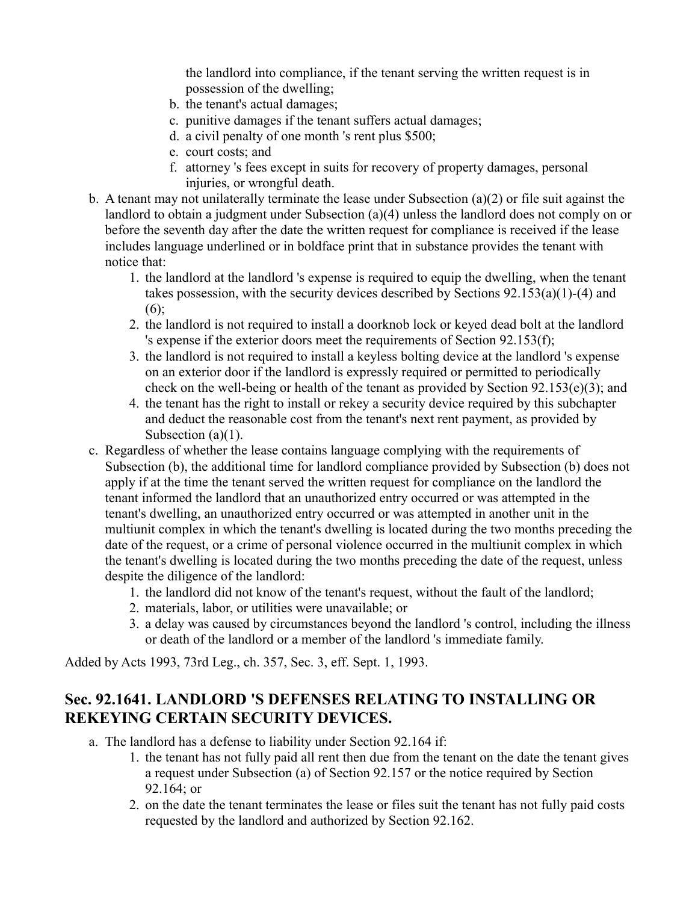the landlord into compliance, if the tenant serving the written request is in possession of the dwelling;

- b. the tenant's actual damages;
- c. punitive damages if the tenant suffers actual damages;
- d. a civil penalty of one month 's rent plus \$500;
- e. court costs; and
- f. attorney 's fees except in suits for recovery of property damages, personal injuries, or wrongful death.
- b. A tenant may not unilaterally terminate the lease under Subsection (a)(2) or file suit against the landlord to obtain a judgment under Subsection (a)(4) unless the landlord does not comply on or before the seventh day after the date the written request for compliance is received if the lease includes language underlined or in boldface print that in substance provides the tenant with notice that:
	- 1. the landlord at the landlord 's expense is required to equip the dwelling, when the tenant takes possession, with the security devices described by Sections  $92.153(a)(1)-(4)$  and  $(6)$ :
	- 2. the landlord is not required to install a doorknob lock or keyed dead bolt at the landlord 's expense if the exterior doors meet the requirements of Section 92.153(f);
	- 3. the landlord is not required to install a keyless bolting device at the landlord 's expense on an exterior door if the landlord is expressly required or permitted to periodically check on the well-being or health of the tenant as provided by Section 92.153(e)(3); and
	- 4. the tenant has the right to install or rekey a security device required by this subchapter and deduct the reasonable cost from the tenant's next rent payment, as provided by Subsection (a)(1).
- c. Regardless of whether the lease contains language complying with the requirements of Subsection (b), the additional time for landlord compliance provided by Subsection (b) does not apply if at the time the tenant served the written request for compliance on the landlord the tenant informed the landlord that an unauthorized entry occurred or was attempted in the tenant's dwelling, an unauthorized entry occurred or was attempted in another unit in the multiunit complex in which the tenant's dwelling is located during the two months preceding the date of the request, or a crime of personal violence occurred in the multiunit complex in which the tenant's dwelling is located during the two months preceding the date of the request, unless despite the diligence of the landlord:
	- 1. the landlord did not know of the tenant's request, without the fault of the landlord;
	- 2. materials, labor, or utilities were unavailable; or
	- 3. a delay was caused by circumstances beyond the landlord 's control, including the illness or death of the landlord or a member of the landlord 's immediate family.

Added by Acts 1993, 73rd Leg., ch. 357, Sec. 3, eff. Sept. 1, 1993.

### **Sec. 92.1641. LANDLORD 'S DEFENSES RELATING TO INSTALLING OR REKEYING CERTAIN SECURITY DEVICES.**

- a. The landlord has a defense to liability under Section 92.164 if:
	- 1. the tenant has not fully paid all rent then due from the tenant on the date the tenant gives a request under Subsection (a) of Section 92.157 or the notice required by Section 92.164; or
	- 2. on the date the tenant terminates the lease or files suit the tenant has not fully paid costs requested by the landlord and authorized by Section 92.162.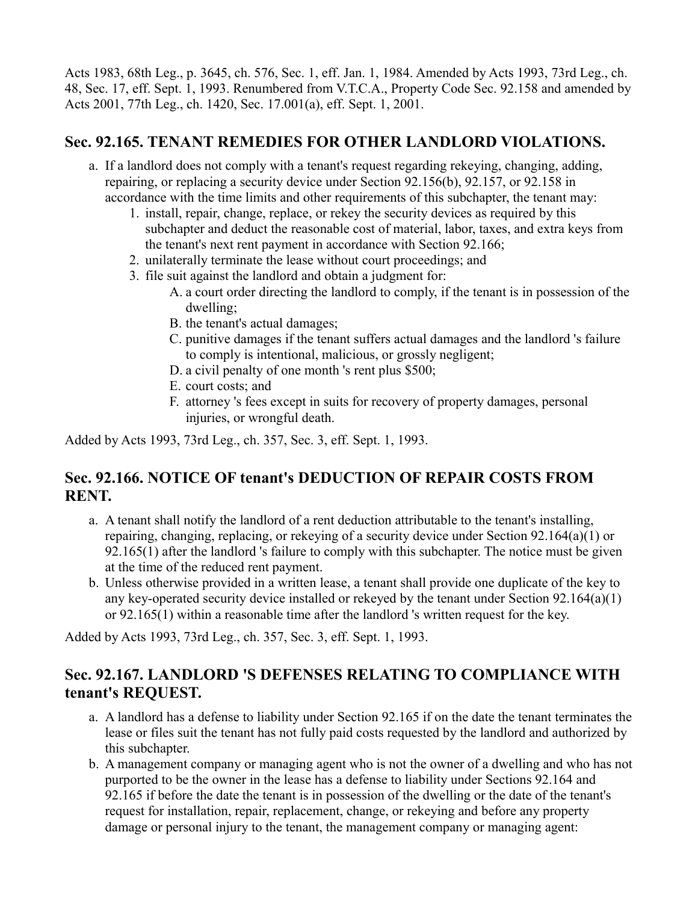Acts 1983, 68th Leg., p. 3645, ch. 576, Sec. 1, eff. Jan. 1, 1984. Amended by Acts 1993, 73rd Leg., ch. 48, Sec. 17, eff. Sept. 1, 1993. Renumbered from V.T.C.A., Property Code Sec. 92.158 and amended by Acts 2001, 77th Leg., ch. 1420, Sec. 17.001(a), eff. Sept. 1, 2001.

#### **Sec. 92.165. TENANT REMEDIES FOR OTHER LANDLORD VIOLATIONS.**

- a. If a landlord does not comply with a tenant's request regarding rekeying, changing, adding, repairing, or replacing a security device under Section 92.156(b), 92.157, or 92.158 in accordance with the time limits and other requirements of this subchapter, the tenant may:
	- 1. install, repair, change, replace, or rekey the security devices as required by this subchapter and deduct the reasonable cost of material, labor, taxes, and extra keys from the tenant's next rent payment in accordance with Section 92.166;
	- 2. unilaterally terminate the lease without court proceedings; and
	- 3. file suit against the landlord and obtain a judgment for:
		- A. a court order directing the landlord to comply, if the tenant is in possession of the dwelling;
		- B. the tenant's actual damages;
		- C. punitive damages if the tenant suffers actual damages and the landlord 's failure to comply is intentional, malicious, or grossly negligent;
		- D. a civil penalty of one month 's rent plus \$500;
		- E. court costs; and
		- F. attorney 's fees except in suits for recovery of property damages, personal injuries, or wrongful death.

Added by Acts 1993, 73rd Leg., ch. 357, Sec. 3, eff. Sept. 1, 1993.

#### **Sec. 92.166. NOTICE OF tenant's DEDUCTION OF REPAIR COSTS FROM RENT.**

- a. A tenant shall notify the landlord of a rent deduction attributable to the tenant's installing, repairing, changing, replacing, or rekeying of a security device under Section 92.164(a)(1) or 92.165(1) after the landlord 's failure to comply with this subchapter. The notice must be given at the time of the reduced rent payment.
- b. Unless otherwise provided in a written lease, a tenant shall provide one duplicate of the key to any key-operated security device installed or rekeyed by the tenant under Section 92.164(a)(1) or 92.165(1) within a reasonable time after the landlord 's written request for the key.

Added by Acts 1993, 73rd Leg., ch. 357, Sec. 3, eff. Sept. 1, 1993.

### **Sec. 92.167. LANDLORD 'S DEFENSES RELATING TO COMPLIANCE WITH tenant's REQUEST.**

- a. A landlord has a defense to liability under Section 92.165 if on the date the tenant terminates the lease or files suit the tenant has not fully paid costs requested by the landlord and authorized by this subchapter.
- b. A management company or managing agent who is not the owner of a dwelling and who has not purported to be the owner in the lease has a defense to liability under Sections 92.164 and 92.165 if before the date the tenant is in possession of the dwelling or the date of the tenant's request for installation, repair, replacement, change, or rekeying and before any property damage or personal injury to the tenant, the management company or managing agent: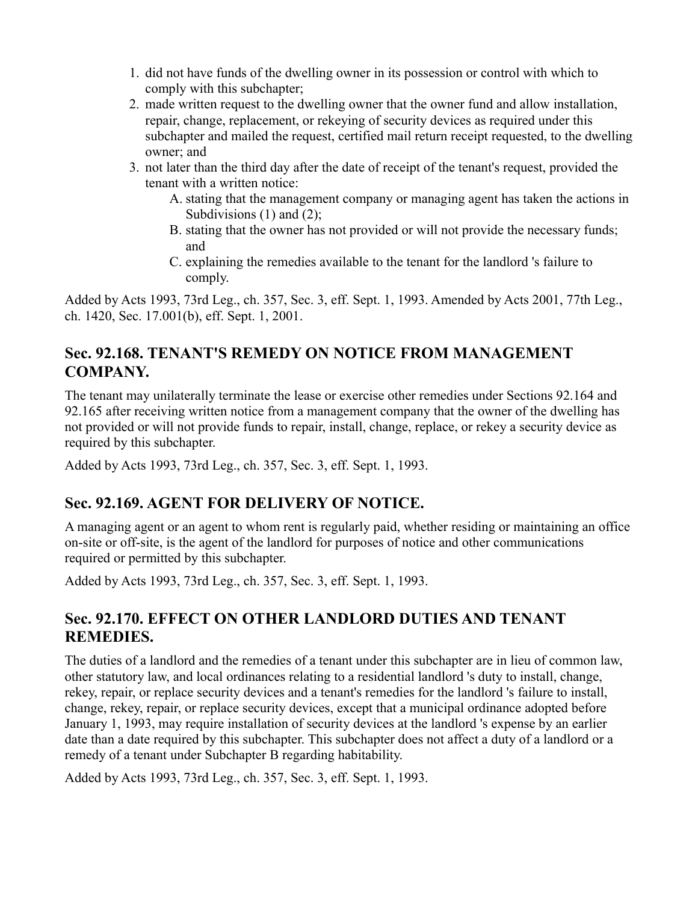- 1. did not have funds of the dwelling owner in its possession or control with which to comply with this subchapter;
- 2. made written request to the dwelling owner that the owner fund and allow installation, repair, change, replacement, or rekeying of security devices as required under this subchapter and mailed the request, certified mail return receipt requested, to the dwelling owner; and
- 3. not later than the third day after the date of receipt of the tenant's request, provided the tenant with a written notice:
	- A. stating that the management company or managing agent has taken the actions in Subdivisions  $(1)$  and  $(2)$ ;
	- B. stating that the owner has not provided or will not provide the necessary funds; and
	- C. explaining the remedies available to the tenant for the landlord 's failure to comply.

Added by Acts 1993, 73rd Leg., ch. 357, Sec. 3, eff. Sept. 1, 1993. Amended by Acts 2001, 77th Leg., ch. 1420, Sec. 17.001(b), eff. Sept. 1, 2001.

## **Sec. 92.168. TENANT'S REMEDY ON NOTICE FROM MANAGEMENT COMPANY.**

The tenant may unilaterally terminate the lease or exercise other remedies under Sections 92.164 and 92.165 after receiving written notice from a management company that the owner of the dwelling has not provided or will not provide funds to repair, install, change, replace, or rekey a security device as required by this subchapter.

Added by Acts 1993, 73rd Leg., ch. 357, Sec. 3, eff. Sept. 1, 1993.

### **Sec. 92.169. AGENT FOR DELIVERY OF NOTICE.**

A managing agent or an agent to whom rent is regularly paid, whether residing or maintaining an office on-site or off-site, is the agent of the landlord for purposes of notice and other communications required or permitted by this subchapter.

Added by Acts 1993, 73rd Leg., ch. 357, Sec. 3, eff. Sept. 1, 1993.

## **Sec. 92.170. EFFECT ON OTHER LANDLORD DUTIES AND TENANT REMEDIES.**

The duties of a landlord and the remedies of a tenant under this subchapter are in lieu of common law, other statutory law, and local ordinances relating to a residential landlord 's duty to install, change, rekey, repair, or replace security devices and a tenant's remedies for the landlord 's failure to install, change, rekey, repair, or replace security devices, except that a municipal ordinance adopted before January 1, 1993, may require installation of security devices at the landlord 's expense by an earlier date than a date required by this subchapter. This subchapter does not affect a duty of a landlord or a remedy of a tenant under Subchapter B regarding habitability.

Added by Acts 1993, 73rd Leg., ch. 357, Sec. 3, eff. Sept. 1, 1993.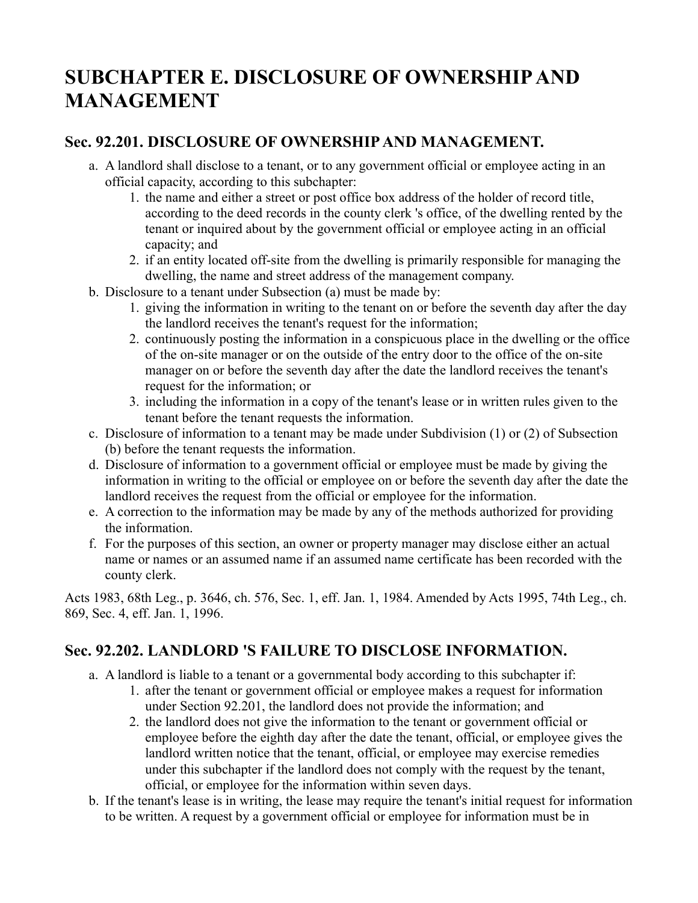# **SUBCHAPTER E. DISCLOSURE OF OWNERSHIP AND MANAGEMENT**

#### **Sec. 92.201. DISCLOSURE OF OWNERSHIP AND MANAGEMENT.**

- a. A landlord shall disclose to a tenant, or to any government official or employee acting in an official capacity, according to this subchapter:
	- 1. the name and either a street or post office box address of the holder of record title, according to the deed records in the county clerk 's office, of the dwelling rented by the tenant or inquired about by the government official or employee acting in an official capacity; and
	- 2. if an entity located off-site from the dwelling is primarily responsible for managing the dwelling, the name and street address of the management company.
- b. Disclosure to a tenant under Subsection (a) must be made by:
	- 1. giving the information in writing to the tenant on or before the seventh day after the day the landlord receives the tenant's request for the information;
	- 2. continuously posting the information in a conspicuous place in the dwelling or the office of the on-site manager or on the outside of the entry door to the office of the on-site manager on or before the seventh day after the date the landlord receives the tenant's request for the information; or
	- 3. including the information in a copy of the tenant's lease or in written rules given to the tenant before the tenant requests the information.
- c. Disclosure of information to a tenant may be made under Subdivision (1) or (2) of Subsection (b) before the tenant requests the information.
- d. Disclosure of information to a government official or employee must be made by giving the information in writing to the official or employee on or before the seventh day after the date the landlord receives the request from the official or employee for the information.
- e. A correction to the information may be made by any of the methods authorized for providing the information.
- f. For the purposes of this section, an owner or property manager may disclose either an actual name or names or an assumed name if an assumed name certificate has been recorded with the county clerk.

Acts 1983, 68th Leg., p. 3646, ch. 576, Sec. 1, eff. Jan. 1, 1984. Amended by Acts 1995, 74th Leg., ch. 869, Sec. 4, eff. Jan. 1, 1996.

### **Sec. 92.202. LANDLORD 'S FAILURE TO DISCLOSE INFORMATION.**

- a. A landlord is liable to a tenant or a governmental body according to this subchapter if:
	- 1. after the tenant or government official or employee makes a request for information under Section 92.201, the landlord does not provide the information; and
	- 2. the landlord does not give the information to the tenant or government official or employee before the eighth day after the date the tenant, official, or employee gives the landlord written notice that the tenant, official, or employee may exercise remedies under this subchapter if the landlord does not comply with the request by the tenant, official, or employee for the information within seven days.
- b. If the tenant's lease is in writing, the lease may require the tenant's initial request for information to be written. A request by a government official or employee for information must be in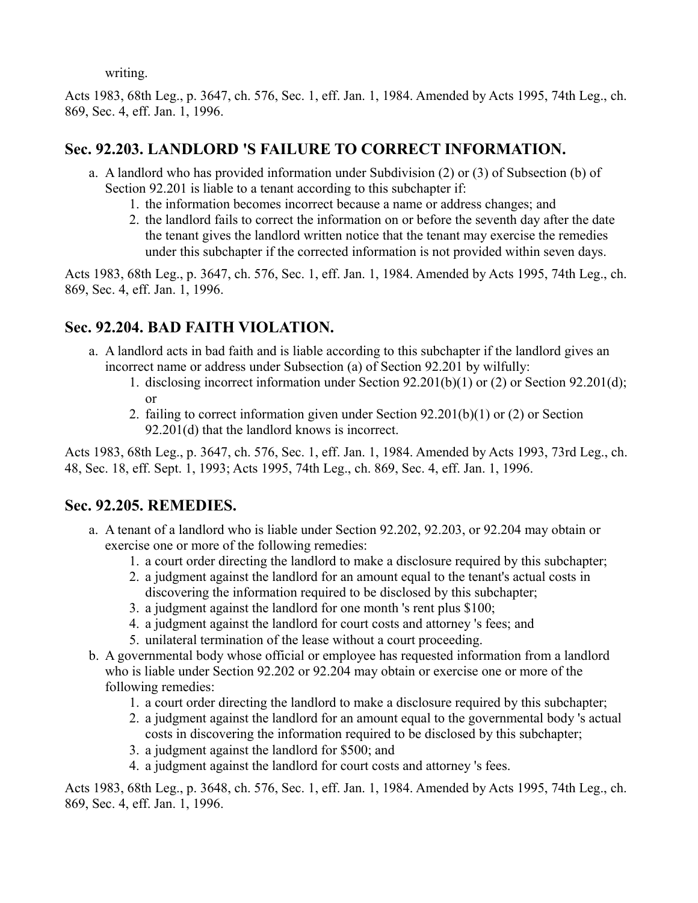writing.

Acts 1983, 68th Leg., p. 3647, ch. 576, Sec. 1, eff. Jan. 1, 1984. Amended by Acts 1995, 74th Leg., ch. 869, Sec. 4, eff. Jan. 1, 1996.

### **Sec. 92.203. LANDLORD 'S FAILURE TO CORRECT INFORMATION.**

- a. A landlord who has provided information under Subdivision (2) or (3) of Subsection (b) of Section 92.201 is liable to a tenant according to this subchapter if:
	- 1. the information becomes incorrect because a name or address changes; and
	- 2. the landlord fails to correct the information on or before the seventh day after the date the tenant gives the landlord written notice that the tenant may exercise the remedies under this subchapter if the corrected information is not provided within seven days.

Acts 1983, 68th Leg., p. 3647, ch. 576, Sec. 1, eff. Jan. 1, 1984. Amended by Acts 1995, 74th Leg., ch. 869, Sec. 4, eff. Jan. 1, 1996.

#### **Sec. 92.204. BAD FAITH VIOLATION.**

- a. A landlord acts in bad faith and is liable according to this subchapter if the landlord gives an incorrect name or address under Subsection (a) of Section 92.201 by wilfully:
	- 1. disclosing incorrect information under Section 92.201(b)(1) or (2) or Section 92.201(d); or
	- 2. failing to correct information given under Section 92.201(b)(1) or (2) or Section 92.201(d) that the landlord knows is incorrect.

Acts 1983, 68th Leg., p. 3647, ch. 576, Sec. 1, eff. Jan. 1, 1984. Amended by Acts 1993, 73rd Leg., ch. 48, Sec. 18, eff. Sept. 1, 1993; Acts 1995, 74th Leg., ch. 869, Sec. 4, eff. Jan. 1, 1996.

#### **Sec. 92.205. REMEDIES.**

- a. A tenant of a landlord who is liable under Section 92.202, 92.203, or 92.204 may obtain or exercise one or more of the following remedies:
	- 1. a court order directing the landlord to make a disclosure required by this subchapter;
	- 2. a judgment against the landlord for an amount equal to the tenant's actual costs in discovering the information required to be disclosed by this subchapter;
	- 3. a judgment against the landlord for one month 's rent plus \$100;
	- 4. a judgment against the landlord for court costs and attorney 's fees; and
	- 5. unilateral termination of the lease without a court proceeding.
- b. A governmental body whose official or employee has requested information from a landlord who is liable under Section 92.202 or 92.204 may obtain or exercise one or more of the following remedies:
	- 1. a court order directing the landlord to make a disclosure required by this subchapter;
	- 2. a judgment against the landlord for an amount equal to the governmental body 's actual costs in discovering the information required to be disclosed by this subchapter;
	- 3. a judgment against the landlord for \$500; and
	- 4. a judgment against the landlord for court costs and attorney 's fees.

Acts 1983, 68th Leg., p. 3648, ch. 576, Sec. 1, eff. Jan. 1, 1984. Amended by Acts 1995, 74th Leg., ch. 869, Sec. 4, eff. Jan. 1, 1996.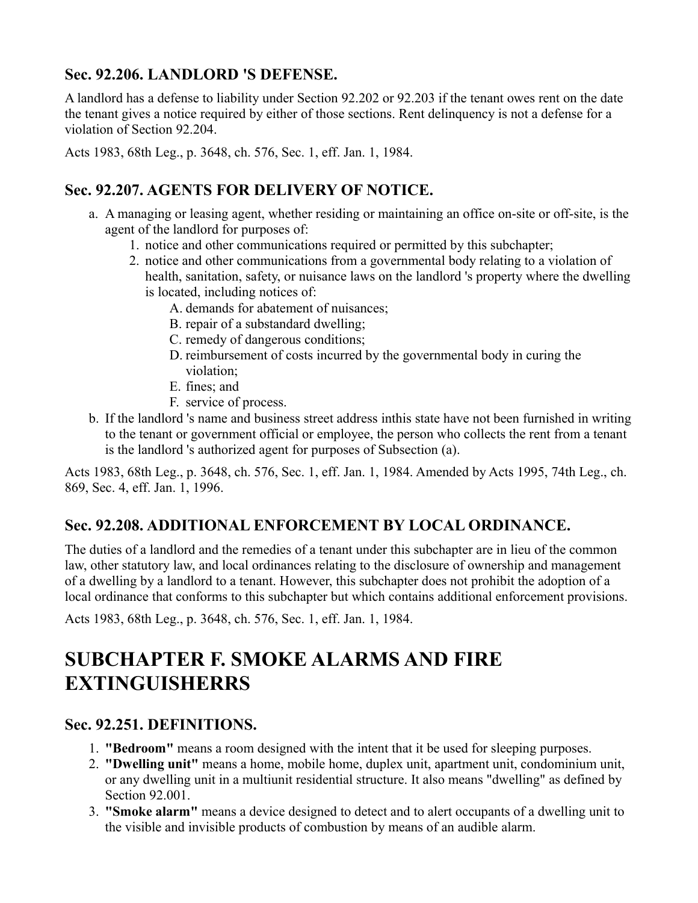### **Sec. 92.206. LANDLORD 'S DEFENSE.**

A landlord has a defense to liability under Section 92.202 or 92.203 if the tenant owes rent on the date the tenant gives a notice required by either of those sections. Rent delinquency is not a defense for a violation of Section 92.204.

Acts 1983, 68th Leg., p. 3648, ch. 576, Sec. 1, eff. Jan. 1, 1984.

# **Sec. 92.207. AGENTS FOR DELIVERY OF NOTICE.**

- a. A managing or leasing agent, whether residing or maintaining an office on-site or off-site, is the agent of the landlord for purposes of:
	- 1. notice and other communications required or permitted by this subchapter;
	- 2. notice and other communications from a governmental body relating to a violation of health, sanitation, safety, or nuisance laws on the landlord 's property where the dwelling is located, including notices of:
		- A. demands for abatement of nuisances;
		- B. repair of a substandard dwelling;
		- C. remedy of dangerous conditions;
		- D. reimbursement of costs incurred by the governmental body in curing the violation;
		- E. fines; and
		- F. service of process.
- b. If the landlord 's name and business street address inthis state have not been furnished in writing to the tenant or government official or employee, the person who collects the rent from a tenant is the landlord 's authorized agent for purposes of Subsection (a).

Acts 1983, 68th Leg., p. 3648, ch. 576, Sec. 1, eff. Jan. 1, 1984. Amended by Acts 1995, 74th Leg., ch. 869, Sec. 4, eff. Jan. 1, 1996.

# **Sec. 92.208. ADDITIONAL ENFORCEMENT BY LOCAL ORDINANCE.**

The duties of a landlord and the remedies of a tenant under this subchapter are in lieu of the common law, other statutory law, and local ordinances relating to the disclosure of ownership and management of a dwelling by a landlord to a tenant. However, this subchapter does not prohibit the adoption of a local ordinance that conforms to this subchapter but which contains additional enforcement provisions.

Acts 1983, 68th Leg., p. 3648, ch. 576, Sec. 1, eff. Jan. 1, 1984.

# **SUBCHAPTER F. SMOKE ALARMS AND FIRE EXTINGUISHERRS**

#### **Sec. 92.251. DEFINITIONS.**

- 1. **"Bedroom"** means a room designed with the intent that it be used for sleeping purposes.
- 2. **"Dwelling unit"** means a home, mobile home, duplex unit, apartment unit, condominium unit, or any dwelling unit in a multiunit residential structure. It also means "dwelling" as defined by Section 92.001.
- 3. **"Smoke alarm"** means a device designed to detect and to alert occupants of a dwelling unit to the visible and invisible products of combustion by means of an audible alarm.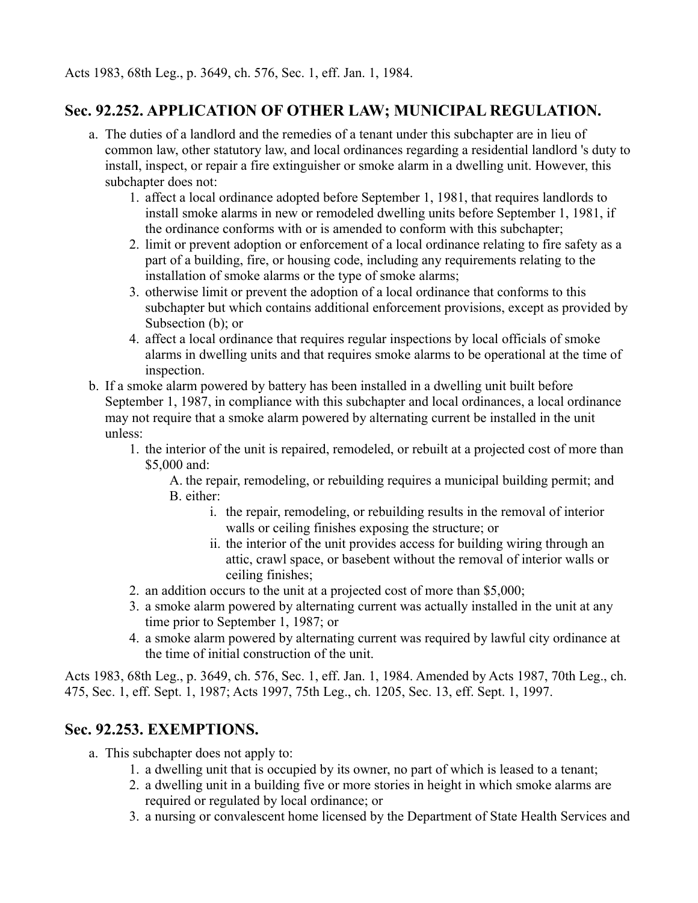#### **Sec. 92.252. APPLICATION OF OTHER LAW; MUNICIPAL REGULATION.**

- a. The duties of a landlord and the remedies of a tenant under this subchapter are in lieu of common law, other statutory law, and local ordinances regarding a residential landlord 's duty to install, inspect, or repair a fire extinguisher or smoke alarm in a dwelling unit. However, this subchapter does not:
	- 1. affect a local ordinance adopted before September 1, 1981, that requires landlords to install smoke alarms in new or remodeled dwelling units before September 1, 1981, if the ordinance conforms with or is amended to conform with this subchapter;
	- 2. limit or prevent adoption or enforcement of a local ordinance relating to fire safety as a part of a building, fire, or housing code, including any requirements relating to the installation of smoke alarms or the type of smoke alarms;
	- 3. otherwise limit or prevent the adoption of a local ordinance that conforms to this subchapter but which contains additional enforcement provisions, except as provided by Subsection (b); or
	- 4. affect a local ordinance that requires regular inspections by local officials of smoke alarms in dwelling units and that requires smoke alarms to be operational at the time of inspection.
- b. If a smoke alarm powered by battery has been installed in a dwelling unit built before September 1, 1987, in compliance with this subchapter and local ordinances, a local ordinance may not require that a smoke alarm powered by alternating current be installed in the unit unless:
	- 1. the interior of the unit is repaired, remodeled, or rebuilt at a projected cost of more than \$5,000 and:

A. the repair, remodeling, or rebuilding requires a municipal building permit; and B. either:

- i. the repair, remodeling, or rebuilding results in the removal of interior walls or ceiling finishes exposing the structure; or
- ii. the interior of the unit provides access for building wiring through an attic, crawl space, or basebent without the removal of interior walls or ceiling finishes;
- 2. an addition occurs to the unit at a projected cost of more than \$5,000;
- 3. a smoke alarm powered by alternating current was actually installed in the unit at any time prior to September 1, 1987; or
- 4. a smoke alarm powered by alternating current was required by lawful city ordinance at the time of initial construction of the unit.

Acts 1983, 68th Leg., p. 3649, ch. 576, Sec. 1, eff. Jan. 1, 1984. Amended by Acts 1987, 70th Leg., ch. 475, Sec. 1, eff. Sept. 1, 1987; Acts 1997, 75th Leg., ch. 1205, Sec. 13, eff. Sept. 1, 1997.

#### **Sec. 92.253. EXEMPTIONS.**

- a. This subchapter does not apply to:
	- 1. a dwelling unit that is occupied by its owner, no part of which is leased to a tenant;
	- 2. a dwelling unit in a building five or more stories in height in which smoke alarms are required or regulated by local ordinance; or
	- 3. a nursing or convalescent home licensed by the Department of State Health Services and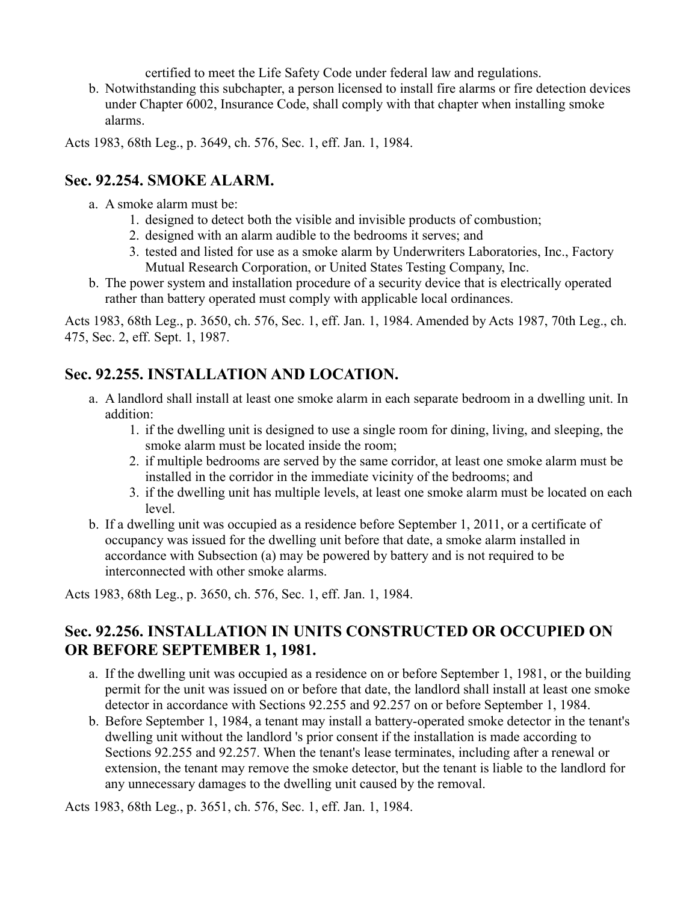certified to meet the Life Safety Code under federal law and regulations.

b. Notwithstanding this subchapter, a person licensed to install fire alarms or fire detection devices under Chapter 6002, Insurance Code, shall comply with that chapter when installing smoke alarms.

Acts 1983, 68th Leg., p. 3649, ch. 576, Sec. 1, eff. Jan. 1, 1984.

### **Sec. 92.254. SMOKE ALARM.**

- a. A smoke alarm must be:
	- 1. designed to detect both the visible and invisible products of combustion;
	- 2. designed with an alarm audible to the bedrooms it serves; and
	- 3. tested and listed for use as a smoke alarm by Underwriters Laboratories, Inc., Factory Mutual Research Corporation, or United States Testing Company, Inc.
- b. The power system and installation procedure of a security device that is electrically operated rather than battery operated must comply with applicable local ordinances.

Acts 1983, 68th Leg., p. 3650, ch. 576, Sec. 1, eff. Jan. 1, 1984. Amended by Acts 1987, 70th Leg., ch. 475, Sec. 2, eff. Sept. 1, 1987.

# **Sec. 92.255. INSTALLATION AND LOCATION.**

- a. A landlord shall install at least one smoke alarm in each separate bedroom in a dwelling unit. In addition:
	- 1. if the dwelling unit is designed to use a single room for dining, living, and sleeping, the smoke alarm must be located inside the room;
	- 2. if multiple bedrooms are served by the same corridor, at least one smoke alarm must be installed in the corridor in the immediate vicinity of the bedrooms; and
	- 3. if the dwelling unit has multiple levels, at least one smoke alarm must be located on each level.
- b. If a dwelling unit was occupied as a residence before September 1, 2011, or a certificate of occupancy was issued for the dwelling unit before that date, a smoke alarm installed in accordance with Subsection (a) may be powered by battery and is not required to be interconnected with other smoke alarms.

Acts 1983, 68th Leg., p. 3650, ch. 576, Sec. 1, eff. Jan. 1, 1984.

#### **Sec. 92.256. INSTALLATION IN UNITS CONSTRUCTED OR OCCUPIED ON OR BEFORE SEPTEMBER 1, 1981.**

- a. If the dwelling unit was occupied as a residence on or before September 1, 1981, or the building permit for the unit was issued on or before that date, the landlord shall install at least one smoke detector in accordance with Sections 92.255 and 92.257 on or before September 1, 1984.
- b. Before September 1, 1984, a tenant may install a battery-operated smoke detector in the tenant's dwelling unit without the landlord 's prior consent if the installation is made according to Sections 92.255 and 92.257. When the tenant's lease terminates, including after a renewal or extension, the tenant may remove the smoke detector, but the tenant is liable to the landlord for any unnecessary damages to the dwelling unit caused by the removal.

Acts 1983, 68th Leg., p. 3651, ch. 576, Sec. 1, eff. Jan. 1, 1984.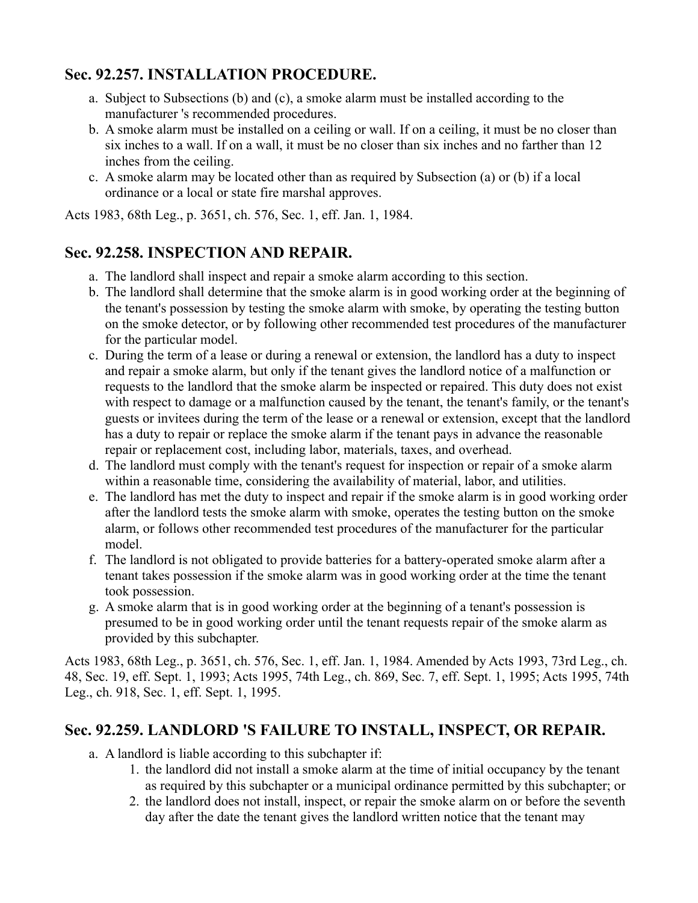## **Sec. 92.257. INSTALLATION PROCEDURE.**

- a. Subject to Subsections (b) and (c), a smoke alarm must be installed according to the manufacturer 's recommended procedures.
- b. A smoke alarm must be installed on a ceiling or wall. If on a ceiling, it must be no closer than six inches to a wall. If on a wall, it must be no closer than six inches and no farther than 12 inches from the ceiling.
- c. A smoke alarm may be located other than as required by Subsection (a) or (b) if a local ordinance or a local or state fire marshal approves.

Acts 1983, 68th Leg., p. 3651, ch. 576, Sec. 1, eff. Jan. 1, 1984.

## **Sec. 92.258. INSPECTION AND REPAIR.**

- a. The landlord shall inspect and repair a smoke alarm according to this section.
- b. The landlord shall determine that the smoke alarm is in good working order at the beginning of the tenant's possession by testing the smoke alarm with smoke, by operating the testing button on the smoke detector, or by following other recommended test procedures of the manufacturer for the particular model.
- c. During the term of a lease or during a renewal or extension, the landlord has a duty to inspect and repair a smoke alarm, but only if the tenant gives the landlord notice of a malfunction or requests to the landlord that the smoke alarm be inspected or repaired. This duty does not exist with respect to damage or a malfunction caused by the tenant, the tenant's family, or the tenant's guests or invitees during the term of the lease or a renewal or extension, except that the landlord has a duty to repair or replace the smoke alarm if the tenant pays in advance the reasonable repair or replacement cost, including labor, materials, taxes, and overhead.
- d. The landlord must comply with the tenant's request for inspection or repair of a smoke alarm within a reasonable time, considering the availability of material, labor, and utilities.
- e. The landlord has met the duty to inspect and repair if the smoke alarm is in good working order after the landlord tests the smoke alarm with smoke, operates the testing button on the smoke alarm, or follows other recommended test procedures of the manufacturer for the particular model.
- f. The landlord is not obligated to provide batteries for a battery-operated smoke alarm after a tenant takes possession if the smoke alarm was in good working order at the time the tenant took possession.
- g. A smoke alarm that is in good working order at the beginning of a tenant's possession is presumed to be in good working order until the tenant requests repair of the smoke alarm as provided by this subchapter.

Acts 1983, 68th Leg., p. 3651, ch. 576, Sec. 1, eff. Jan. 1, 1984. Amended by Acts 1993, 73rd Leg., ch. 48, Sec. 19, eff. Sept. 1, 1993; Acts 1995, 74th Leg., ch. 869, Sec. 7, eff. Sept. 1, 1995; Acts 1995, 74th Leg., ch. 918, Sec. 1, eff. Sept. 1, 1995.

# **Sec. 92.259. LANDLORD 'S FAILURE TO INSTALL, INSPECT, OR REPAIR.**

- a. A landlord is liable according to this subchapter if:
	- 1. the landlord did not install a smoke alarm at the time of initial occupancy by the tenant as required by this subchapter or a municipal ordinance permitted by this subchapter; or
	- 2. the landlord does not install, inspect, or repair the smoke alarm on or before the seventh day after the date the tenant gives the landlord written notice that the tenant may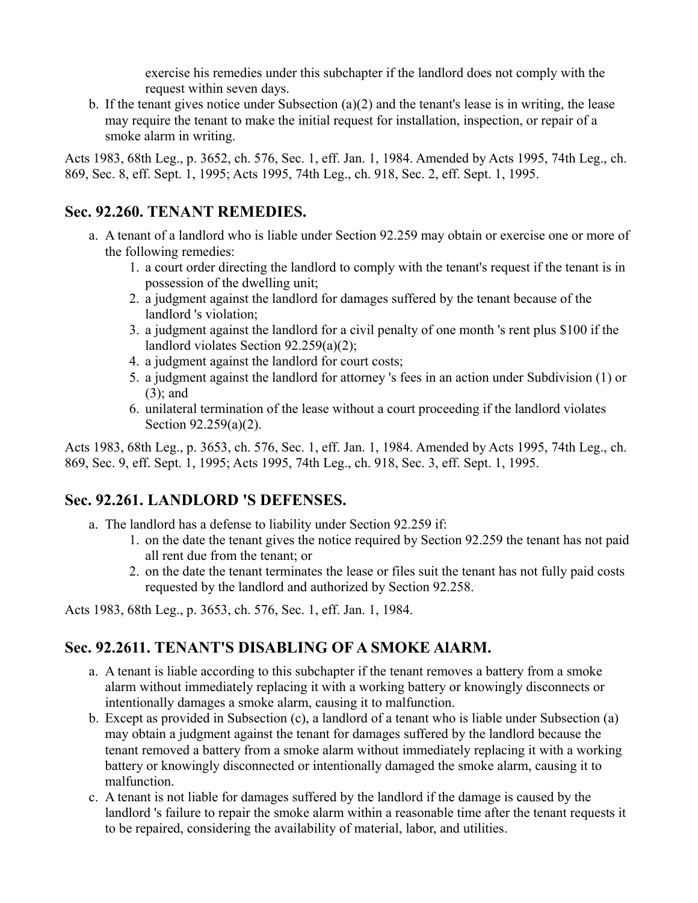exercise his remedies under this subchapter if the landlord does not comply with the request within seven days.

b. If the tenant gives notice under Subsection (a)(2) and the tenant's lease is in writing, the lease may require the tenant to make the initial request for installation, inspection, or repair of a smoke alarm in writing.

Acts 1983, 68th Leg., p. 3652, ch. 576, Sec. 1, eff. Jan. 1, 1984. Amended by Acts 1995, 74th Leg., ch. 869, Sec. 8, eff. Sept. 1, 1995; Acts 1995, 74th Leg., ch. 918, Sec. 2, eff. Sept. 1, 1995.

#### **Sec. 92.260. TENANT REMEDIES.**

- a. A tenant of a landlord who is liable under Section 92.259 may obtain or exercise one or more of the following remedies:
	- 1. a court order directing the landlord to comply with the tenant's request if the tenant is in possession of the dwelling unit;
	- 2. a judgment against the landlord for damages suffered by the tenant because of the landlord 's violation;
	- 3. a judgment against the landlord for a civil penalty of one month 's rent plus \$100 if the landlord violates Section 92.259(a)(2);
	- 4. a judgment against the landlord for court costs;
	- 5. a judgment against the landlord for attorney 's fees in an action under Subdivision (1) or (3); and
	- 6. unilateral termination of the lease without a court proceeding if the landlord violates Section 92.259(a)(2).

Acts 1983, 68th Leg., p. 3653, ch. 576, Sec. 1, eff. Jan. 1, 1984. Amended by Acts 1995, 74th Leg., ch. 869, Sec. 9, eff. Sept. 1, 1995; Acts 1995, 74th Leg., ch. 918, Sec. 3, eff. Sept. 1, 1995.

### **Sec. 92.261. LANDLORD 'S DEFENSES.**

- a. The landlord has a defense to liability under Section 92.259 if:
	- 1. on the date the tenant gives the notice required by Section 92.259 the tenant has not paid all rent due from the tenant; or
	- 2. on the date the tenant terminates the lease or files suit the tenant has not fully paid costs requested by the landlord and authorized by Section 92.258.

Acts 1983, 68th Leg., p. 3653, ch. 576, Sec. 1, eff. Jan. 1, 1984.

# **Sec. 92.2611. TENANT'S DISABLING OF A SMOKE AlARM.**

- a. A tenant is liable according to this subchapter if the tenant removes a battery from a smoke alarm without immediately replacing it with a working battery or knowingly disconnects or intentionally damages a smoke alarm, causing it to malfunction.
- b. Except as provided in Subsection (c), a landlord of a tenant who is liable under Subsection (a) may obtain a judgment against the tenant for damages suffered by the landlord because the tenant removed a battery from a smoke alarm without immediately replacing it with a working battery or knowingly disconnected or intentionally damaged the smoke alarm, causing it to malfunction.
- c. A tenant is not liable for damages suffered by the landlord if the damage is caused by the landlord 's failure to repair the smoke alarm within a reasonable time after the tenant requests it to be repaired, considering the availability of material, labor, and utilities.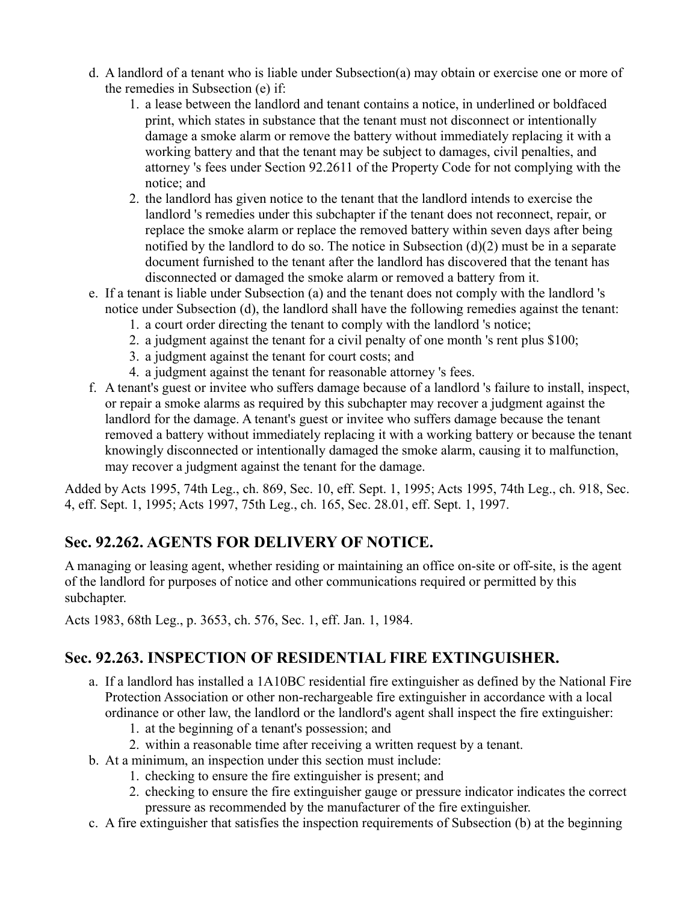- d. A landlord of a tenant who is liable under Subsection(a) may obtain or exercise one or more of the remedies in Subsection (e) if:
	- 1. a lease between the landlord and tenant contains a notice, in underlined or boldfaced print, which states in substance that the tenant must not disconnect or intentionally damage a smoke alarm or remove the battery without immediately replacing it with a working battery and that the tenant may be subject to damages, civil penalties, and attorney 's fees under Section 92.2611 of the Property Code for not complying with the notice; and
	- 2. the landlord has given notice to the tenant that the landlord intends to exercise the landlord 's remedies under this subchapter if the tenant does not reconnect, repair, or replace the smoke alarm or replace the removed battery within seven days after being notified by the landlord to do so. The notice in Subsection (d)(2) must be in a separate document furnished to the tenant after the landlord has discovered that the tenant has disconnected or damaged the smoke alarm or removed a battery from it.
- e. If a tenant is liable under Subsection (a) and the tenant does not comply with the landlord 's notice under Subsection (d), the landlord shall have the following remedies against the tenant:
	- 1. a court order directing the tenant to comply with the landlord 's notice;
	- 2. a judgment against the tenant for a civil penalty of one month 's rent plus \$100;
	- 3. a judgment against the tenant for court costs; and
	- 4. a judgment against the tenant for reasonable attorney 's fees.
- f. A tenant's guest or invitee who suffers damage because of a landlord 's failure to install, inspect, or repair a smoke alarms as required by this subchapter may recover a judgment against the landlord for the damage. A tenant's guest or invitee who suffers damage because the tenant removed a battery without immediately replacing it with a working battery or because the tenant knowingly disconnected or intentionally damaged the smoke alarm, causing it to malfunction, may recover a judgment against the tenant for the damage.

Added by Acts 1995, 74th Leg., ch. 869, Sec. 10, eff. Sept. 1, 1995; Acts 1995, 74th Leg., ch. 918, Sec. 4, eff. Sept. 1, 1995; Acts 1997, 75th Leg., ch. 165, Sec. 28.01, eff. Sept. 1, 1997.

### **Sec. 92.262. AGENTS FOR DELIVERY OF NOTICE.**

A managing or leasing agent, whether residing or maintaining an office on-site or off-site, is the agent of the landlord for purposes of notice and other communications required or permitted by this subchapter.

Acts 1983, 68th Leg., p. 3653, ch. 576, Sec. 1, eff. Jan. 1, 1984.

# **Sec. 92.263. INSPECTION OF RESIDENTIAL FIRE EXTINGUISHER.**

- a. If a landlord has installed a 1A10BC residential fire extinguisher as defined by the National Fire Protection Association or other non-rechargeable fire extinguisher in accordance with a local ordinance or other law, the landlord or the landlord's agent shall inspect the fire extinguisher:
	- 1. at the beginning of a tenant's possession; and
	- 2. within a reasonable time after receiving a written request by a tenant.
- b. At a minimum, an inspection under this section must include:
	- 1. checking to ensure the fire extinguisher is present; and
	- 2. checking to ensure the fire extinguisher gauge or pressure indicator indicates the correct pressure as recommended by the manufacturer of the fire extinguisher.
- c. A fire extinguisher that satisfies the inspection requirements of Subsection (b) at the beginning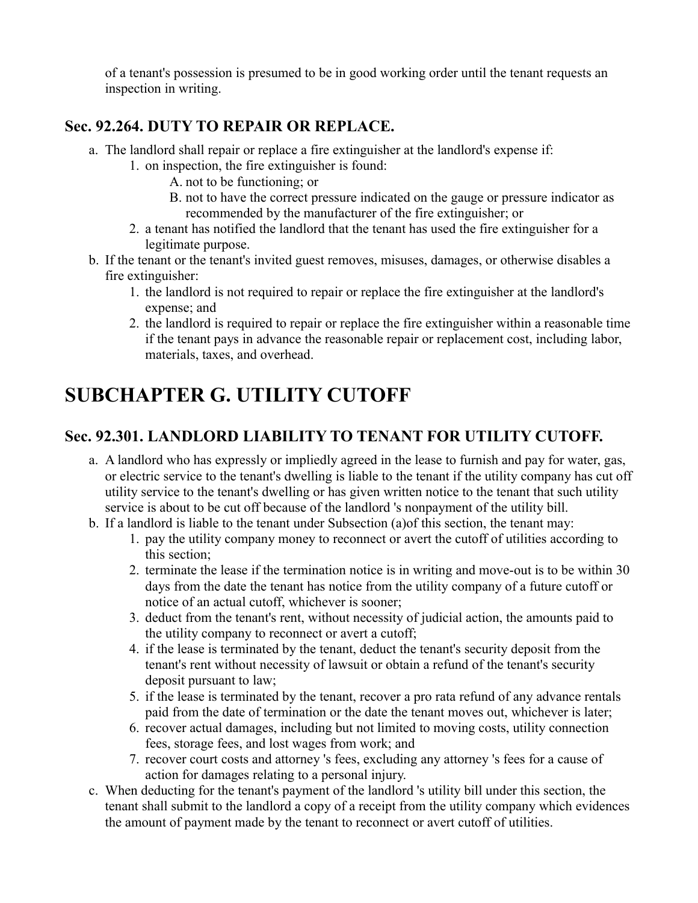of a tenant's possession is presumed to be in good working order until the tenant requests an inspection in writing.

### **Sec. 92.264. DUTY TO REPAIR OR REPLACE.**

- a. The landlord shall repair or replace a fire extinguisher at the landlord's expense if:
	- 1. on inspection, the fire extinguisher is found:
		- A. not to be functioning; or
		- B. not to have the correct pressure indicated on the gauge or pressure indicator as recommended by the manufacturer of the fire extinguisher; or
	- 2. a tenant has notified the landlord that the tenant has used the fire extinguisher for a legitimate purpose.
- b. If the tenant or the tenant's invited guest removes, misuses, damages, or otherwise disables a fire extinguisher:
	- 1. the landlord is not required to repair or replace the fire extinguisher at the landlord's expense; and
	- 2. the landlord is required to repair or replace the fire extinguisher within a reasonable time if the tenant pays in advance the reasonable repair or replacement cost, including labor, materials, taxes, and overhead.

# **SUBCHAPTER G. UTILITY CUTOFF**

## **Sec. 92.301. LANDLORD LIABILITY TO TENANT FOR UTILITY CUTOFF.**

- a. A landlord who has expressly or impliedly agreed in the lease to furnish and pay for water, gas, or electric service to the tenant's dwelling is liable to the tenant if the utility company has cut off utility service to the tenant's dwelling or has given written notice to the tenant that such utility service is about to be cut off because of the landlord 's nonpayment of the utility bill.
- b. If a landlord is liable to the tenant under Subsection (a)of this section, the tenant may:
	- 1. pay the utility company money to reconnect or avert the cutoff of utilities according to this section;
	- 2. terminate the lease if the termination notice is in writing and move-out is to be within 30 days from the date the tenant has notice from the utility company of a future cutoff or notice of an actual cutoff, whichever is sooner;
	- 3. deduct from the tenant's rent, without necessity of judicial action, the amounts paid to the utility company to reconnect or avert a cutoff;
	- 4. if the lease is terminated by the tenant, deduct the tenant's security deposit from the tenant's rent without necessity of lawsuit or obtain a refund of the tenant's security deposit pursuant to law;
	- 5. if the lease is terminated by the tenant, recover a pro rata refund of any advance rentals paid from the date of termination or the date the tenant moves out, whichever is later;
	- 6. recover actual damages, including but not limited to moving costs, utility connection fees, storage fees, and lost wages from work; and
	- 7. recover court costs and attorney 's fees, excluding any attorney 's fees for a cause of action for damages relating to a personal injury.
- c. When deducting for the tenant's payment of the landlord 's utility bill under this section, the tenant shall submit to the landlord a copy of a receipt from the utility company which evidences the amount of payment made by the tenant to reconnect or avert cutoff of utilities.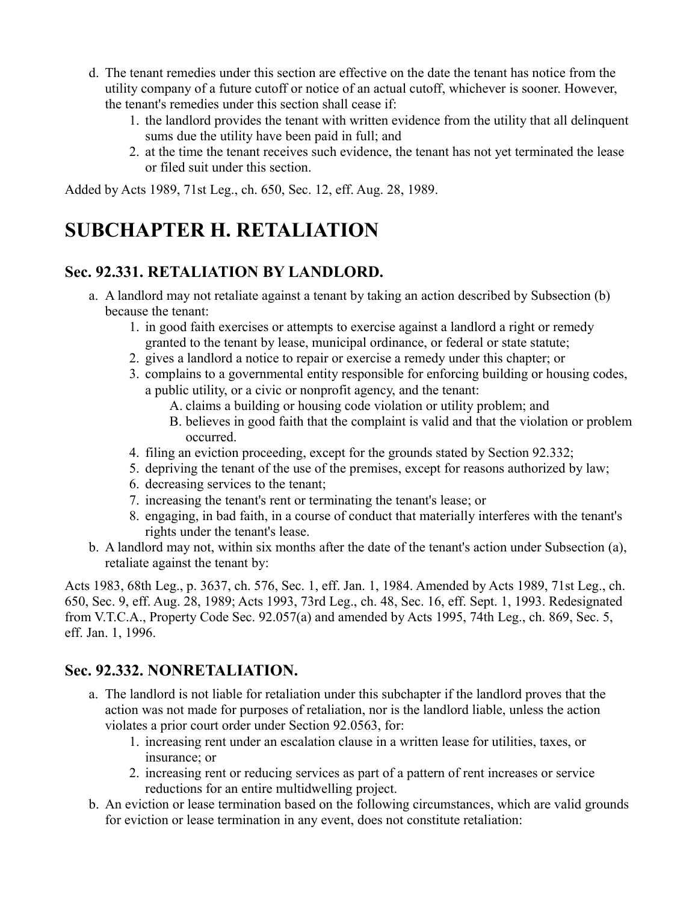- d. The tenant remedies under this section are effective on the date the tenant has notice from the utility company of a future cutoff or notice of an actual cutoff, whichever is sooner. However, the tenant's remedies under this section shall cease if:
	- 1. the landlord provides the tenant with written evidence from the utility that all delinquent sums due the utility have been paid in full; and
	- 2. at the time the tenant receives such evidence, the tenant has not yet terminated the lease or filed suit under this section.

Added by Acts 1989, 71st Leg., ch. 650, Sec. 12, eff. Aug. 28, 1989.

# **SUBCHAPTER H. RETALIATION**

### **Sec. 92.331. RETALIATION BY LANDLORD.**

- a. A landlord may not retaliate against a tenant by taking an action described by Subsection (b) because the tenant:
	- 1. in good faith exercises or attempts to exercise against a landlord a right or remedy granted to the tenant by lease, municipal ordinance, or federal or state statute;
	- 2. gives a landlord a notice to repair or exercise a remedy under this chapter; or
	- 3. complains to a governmental entity responsible for enforcing building or housing codes, a public utility, or a civic or nonprofit agency, and the tenant:
		- A. claims a building or housing code violation or utility problem; and
		- B. believes in good faith that the complaint is valid and that the violation or problem occurred.
	- 4. filing an eviction proceeding, except for the grounds stated by Section 92.332;
	- 5. depriving the tenant of the use of the premises, except for reasons authorized by law;
	- 6. decreasing services to the tenant;
	- 7. increasing the tenant's rent or terminating the tenant's lease; or
	- 8. engaging, in bad faith, in a course of conduct that materially interferes with the tenant's rights under the tenant's lease.
- b. A landlord may not, within six months after the date of the tenant's action under Subsection (a), retaliate against the tenant by:

Acts 1983, 68th Leg., p. 3637, ch. 576, Sec. 1, eff. Jan. 1, 1984. Amended by Acts 1989, 71st Leg., ch. 650, Sec. 9, eff. Aug. 28, 1989; Acts 1993, 73rd Leg., ch. 48, Sec. 16, eff. Sept. 1, 1993. Redesignated from V.T.C.A., Property Code Sec. 92.057(a) and amended by Acts 1995, 74th Leg., ch. 869, Sec. 5, eff. Jan. 1, 1996.

#### **Sec. 92.332. NONRETALIATION.**

- a. The landlord is not liable for retaliation under this subchapter if the landlord proves that the action was not made for purposes of retaliation, nor is the landlord liable, unless the action violates a prior court order under Section 92.0563, for:
	- 1. increasing rent under an escalation clause in a written lease for utilities, taxes, or insurance; or
	- 2. increasing rent or reducing services as part of a pattern of rent increases or service reductions for an entire multidwelling project.
- b. An eviction or lease termination based on the following circumstances, which are valid grounds for eviction or lease termination in any event, does not constitute retaliation: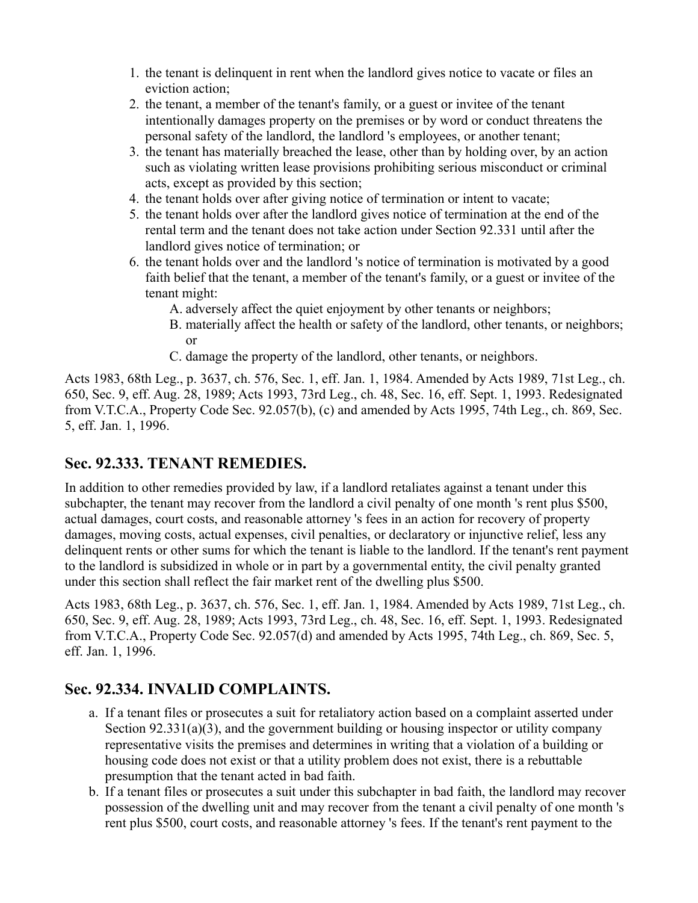- 1. the tenant is delinquent in rent when the landlord gives notice to vacate or files an eviction action;
- 2. the tenant, a member of the tenant's family, or a guest or invitee of the tenant intentionally damages property on the premises or by word or conduct threatens the personal safety of the landlord, the landlord 's employees, or another tenant;
- 3. the tenant has materially breached the lease, other than by holding over, by an action such as violating written lease provisions prohibiting serious misconduct or criminal acts, except as provided by this section;
- 4. the tenant holds over after giving notice of termination or intent to vacate;
- 5. the tenant holds over after the landlord gives notice of termination at the end of the rental term and the tenant does not take action under Section 92.331 until after the landlord gives notice of termination; or
- 6. the tenant holds over and the landlord 's notice of termination is motivated by a good faith belief that the tenant, a member of the tenant's family, or a guest or invitee of the tenant might:
	- A. adversely affect the quiet enjoyment by other tenants or neighbors;
	- B. materially affect the health or safety of the landlord, other tenants, or neighbors; or
	- C. damage the property of the landlord, other tenants, or neighbors.

Acts 1983, 68th Leg., p. 3637, ch. 576, Sec. 1, eff. Jan. 1, 1984. Amended by Acts 1989, 71st Leg., ch. 650, Sec. 9, eff. Aug. 28, 1989; Acts 1993, 73rd Leg., ch. 48, Sec. 16, eff. Sept. 1, 1993. Redesignated from V.T.C.A., Property Code Sec. 92.057(b), (c) and amended by Acts 1995, 74th Leg., ch. 869, Sec. 5, eff. Jan. 1, 1996.

### **Sec. 92.333. TENANT REMEDIES.**

In addition to other remedies provided by law, if a landlord retaliates against a tenant under this subchapter, the tenant may recover from the landlord a civil penalty of one month 's rent plus \$500, actual damages, court costs, and reasonable attorney 's fees in an action for recovery of property damages, moving costs, actual expenses, civil penalties, or declaratory or injunctive relief, less any delinquent rents or other sums for which the tenant is liable to the landlord. If the tenant's rent payment to the landlord is subsidized in whole or in part by a governmental entity, the civil penalty granted under this section shall reflect the fair market rent of the dwelling plus \$500.

Acts 1983, 68th Leg., p. 3637, ch. 576, Sec. 1, eff. Jan. 1, 1984. Amended by Acts 1989, 71st Leg., ch. 650, Sec. 9, eff. Aug. 28, 1989; Acts 1993, 73rd Leg., ch. 48, Sec. 16, eff. Sept. 1, 1993. Redesignated from V.T.C.A., Property Code Sec. 92.057(d) and amended by Acts 1995, 74th Leg., ch. 869, Sec. 5, eff. Jan. 1, 1996.

### **Sec. 92.334. INVALID COMPLAINTS.**

- a. If a tenant files or prosecutes a suit for retaliatory action based on a complaint asserted under Section 92.331(a)(3), and the government building or housing inspector or utility company representative visits the premises and determines in writing that a violation of a building or housing code does not exist or that a utility problem does not exist, there is a rebuttable presumption that the tenant acted in bad faith.
- b. If a tenant files or prosecutes a suit under this subchapter in bad faith, the landlord may recover possession of the dwelling unit and may recover from the tenant a civil penalty of one month 's rent plus \$500, court costs, and reasonable attorney 's fees. If the tenant's rent payment to the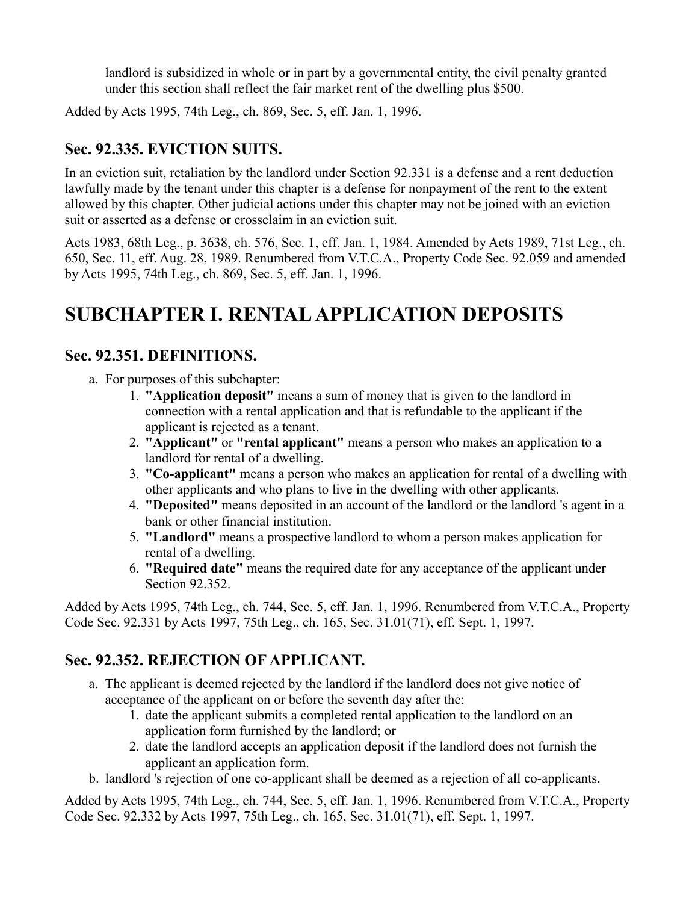landlord is subsidized in whole or in part by a governmental entity, the civil penalty granted under this section shall reflect the fair market rent of the dwelling plus \$500.

Added by Acts 1995, 74th Leg., ch. 869, Sec. 5, eff. Jan. 1, 1996.

### **Sec. 92.335. EVICTION SUITS.**

In an eviction suit, retaliation by the landlord under Section 92.331 is a defense and a rent deduction lawfully made by the tenant under this chapter is a defense for nonpayment of the rent to the extent allowed by this chapter. Other judicial actions under this chapter may not be joined with an eviction suit or asserted as a defense or crossclaim in an eviction suit.

Acts 1983, 68th Leg., p. 3638, ch. 576, Sec. 1, eff. Jan. 1, 1984. Amended by Acts 1989, 71st Leg., ch. 650, Sec. 11, eff. Aug. 28, 1989. Renumbered from V.T.C.A., Property Code Sec. 92.059 and amended by Acts 1995, 74th Leg., ch. 869, Sec. 5, eff. Jan. 1, 1996.

# **SUBCHAPTER I. RENTAL APPLICATION DEPOSITS**

#### **Sec. 92.351. DEFINITIONS.**

a. For purposes of this subchapter:

- 1. **"Application deposit"** means a sum of money that is given to the landlord in connection with a rental application and that is refundable to the applicant if the applicant is rejected as a tenant.
- 2. **"Applicant"** or **"rental applicant"** means a person who makes an application to a landlord for rental of a dwelling.
- 3. **"Co-applicant"** means a person who makes an application for rental of a dwelling with other applicants and who plans to live in the dwelling with other applicants.
- 4. **"Deposited"** means deposited in an account of the landlord or the landlord 's agent in a bank or other financial institution.
- 5. **"Landlord"** means a prospective landlord to whom a person makes application for rental of a dwelling.
- 6. **"Required date"** means the required date for any acceptance of the applicant under Section 92.352.

Added by Acts 1995, 74th Leg., ch. 744, Sec. 5, eff. Jan. 1, 1996. Renumbered from V.T.C.A., Property Code Sec. 92.331 by Acts 1997, 75th Leg., ch. 165, Sec. 31.01(71), eff. Sept. 1, 1997.

# **Sec. 92.352. REJECTION OF APPLICANT.**

- a. The applicant is deemed rejected by the landlord if the landlord does not give notice of acceptance of the applicant on or before the seventh day after the:
	- 1. date the applicant submits a completed rental application to the landlord on an application form furnished by the landlord; or
	- 2. date the landlord accepts an application deposit if the landlord does not furnish the applicant an application form.
- b. landlord 's rejection of one co-applicant shall be deemed as a rejection of all co-applicants.

Added by Acts 1995, 74th Leg., ch. 744, Sec. 5, eff. Jan. 1, 1996. Renumbered from V.T.C.A., Property Code Sec. 92.332 by Acts 1997, 75th Leg., ch. 165, Sec. 31.01(71), eff. Sept. 1, 1997.